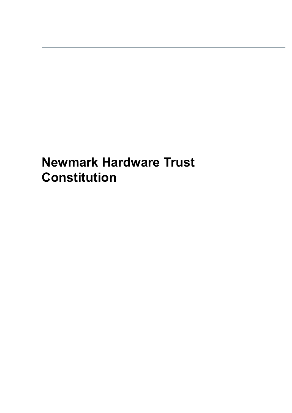# **Newmark Hardware Trust Constitution**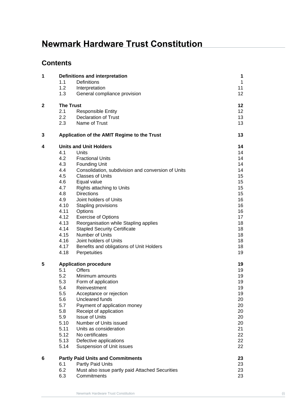## **Newmark Hardware Trust Constitution**

## **Contents**

| 1            | <b>Definitions and interpretation</b>    |                                                    | $\mathbf{1}$ |
|--------------|------------------------------------------|----------------------------------------------------|--------------|
|              | 1.1                                      | Definitions                                        | $\mathbf{1}$ |
|              | 1.2                                      | Interpretation                                     | 11           |
|              | 1.3                                      | General compliance provision                       | 12           |
| $\mathbf{2}$ | <b>The Trust</b>                         |                                                    | 12           |
|              | 2.1                                      | <b>Responsible Entity</b>                          | 12           |
|              | 2.2                                      | <b>Declaration of Trust</b>                        | 13           |
|              | 2.3                                      | Name of Trust                                      | 13           |
| 3            |                                          | Application of the AMIT Regime to the Trust        | 13           |
| 4            | <b>Units and Unit Holders</b>            |                                                    | 14           |
|              | 4.1                                      | Units                                              | 14           |
|              | 4.2                                      | <b>Fractional Units</b>                            | 14           |
|              | 4.3                                      | <b>Founding Unit</b>                               | 14           |
|              | 4.4                                      | Consolidation, subdivision and conversion of Units | 14           |
|              | 4.5                                      | <b>Classes of Units</b>                            | 15           |
|              | 4.6                                      | Equal value                                        | 15           |
|              | 4.7                                      | Rights attaching to Units                          | 15           |
|              | 4.8                                      | <b>Directions</b>                                  | 15           |
|              | 4.9                                      | Joint holders of Units                             | 16           |
|              | 4.10                                     | Stapling provisions                                | 16           |
|              | 4.11                                     | Options                                            | 16           |
|              | 4.12                                     | <b>Exercise of Options</b>                         | 17           |
|              | 4.13                                     | Reorganisation while Stapling applies              | 18           |
|              | 4.14                                     | <b>Stapled Security Certificate</b>                | 18           |
|              | 4.15                                     | Number of Units                                    | 18           |
|              | 4.16                                     | Joint holders of Units                             | 18           |
|              | 4.17                                     | Benefits and obligations of Unit Holders           | 18           |
|              | 4.18                                     | Perpetuities                                       | 19           |
| 5            | <b>Application procedure</b>             |                                                    | 19           |
|              | 5.1                                      | <b>Offers</b>                                      | 19           |
|              | 5.2                                      | Minimum amounts                                    | 19           |
|              | 5.3                                      | Form of application                                | 19           |
|              | 5.4                                      | Reinvestment                                       | 19           |
|              | 5.5                                      | Acceptance or rejection                            | 19           |
|              | 5.6                                      | Uncleared funds                                    | 20           |
|              | 5.7                                      | Payment of application money                       | 20           |
|              | 5.8                                      | Receipt of application                             | 20           |
|              | 5.9                                      | <b>Issue of Units</b>                              | 20           |
|              | 5.10                                     | Number of Units issued                             | 20           |
|              | 5.11                                     | Units as consideration                             | 21           |
|              | 5.12                                     | No certificates                                    | 22           |
|              | 5.13                                     | Defective applications                             | 22           |
|              | 5.14                                     | Suspension of Unit issues                          | 22           |
| 6            | <b>Partly Paid Units and Commitments</b> |                                                    |              |
|              | 6.1                                      | Partly Paid Units                                  | 23           |
|              | 6.2                                      | Must also issue partly paid Attached Securities    | 23           |
|              | 6.3                                      | Commitments                                        | 23           |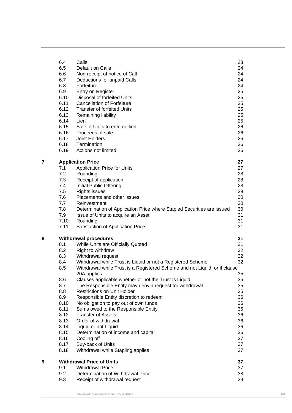|   | 6.4  | Calls                                                                      | 23 |
|---|------|----------------------------------------------------------------------------|----|
|   | 6.5  | Default on Calls                                                           | 24 |
|   | 6.6  | Non-receipt of notice of Call                                              | 24 |
|   | 6.7  | Deductions for unpaid Calls                                                | 24 |
|   | 6.8  | Forfeiture                                                                 | 24 |
|   | 6.9  | Entry on Register                                                          | 25 |
|   | 6.10 | Disposal of forfeited Units                                                | 25 |
|   | 6.11 | <b>Cancellation of Forfeiture</b>                                          | 25 |
|   | 6.12 | <b>Transfer of forfeited Units</b>                                         | 25 |
|   | 6.13 | Remaining liability                                                        | 25 |
|   | 6.14 | Lien                                                                       | 25 |
|   | 6.15 | Sale of Units to enforce lien                                              | 26 |
|   | 6.16 | Proceeds of sale                                                           | 26 |
|   | 6.17 | Joint Holders                                                              | 26 |
|   | 6.18 | Termination                                                                | 26 |
|   | 6.19 | Actions not limited                                                        | 26 |
|   |      |                                                                            |    |
| 7 |      | <b>Application Price</b>                                                   | 27 |
|   | 7.1  | <b>Application Price for Units</b>                                         | 27 |
|   | 7.2  | Rounding                                                                   | 28 |
|   | 7.3  | Receipt of application                                                     | 28 |
|   | 7.4  | Initial Public Offering                                                    | 28 |
|   | 7.5  | <b>Rights issues</b>                                                       | 29 |
|   | 7.6  | Placements and other issues                                                | 30 |
|   | 7.7  | Reinvestment                                                               | 30 |
|   | 7.8  | Determination of Application Price where Stapled Securities are issued     | 30 |
|   | 7.9  | Issue of Units to acquire an Asset                                         | 31 |
|   | 7.10 | Rounding                                                                   | 31 |
|   | 7.11 | Satisfaction of Application Price                                          | 31 |
|   |      |                                                                            |    |
| 8 |      | <b>Withdrawal procedures</b>                                               | 31 |
|   | 8.1  | While Units are Officially Quoted                                          | 31 |
|   | 8.2  | Right to withdraw                                                          | 32 |
|   | 8.3  | Withdrawal request                                                         | 32 |
|   | 8.4  | Withdrawal while Trust is Liquid or not a Registered Scheme                | 32 |
|   | 8.5  | Withdrawal while Trust is a Registered Scheme and not Liquid, or if clause |    |
|   |      | 20A applies                                                                | 35 |
|   | 8.6  | Clauses applicable whether or not the Trust is Liquid                      | 35 |
|   | 8.7  | The Responsible Entity may deny a request for withdrawal                   | 35 |
|   | 8.8  | <b>Restrictions on Unit Holder</b>                                         | 35 |
|   | 8.9  | Responsible Entity discretion to redeem                                    | 36 |
|   | 8.10 | No obligation to pay out of own funds                                      | 36 |
|   | 8.11 | Sums owed to the Responsible Entity                                        | 36 |
|   | 8.12 | <b>Transfer of Assets</b>                                                  | 36 |
|   | 8.13 | Order of withdrawal                                                        | 36 |
|   | 8.14 | Liquid or not Liquid                                                       | 36 |
|   | 8.15 | Determination of income and capital                                        | 36 |
|   | 8.16 | Cooling off                                                                | 37 |
|   | 8.17 |                                                                            | 37 |
|   |      | Buy-back of Units                                                          | 37 |
|   | 8.18 | Withdrawal while Stapling applies                                          |    |
| 9 |      | <b>Withdrawal Price of Units</b>                                           | 37 |
|   | 9.1  | <b>Withdrawal Price</b>                                                    | 37 |
|   | 9.2  | Determination of Withdrawal Price                                          | 38 |
|   | 9.3  | Receipt of withdrawal request                                              | 38 |
|   |      |                                                                            |    |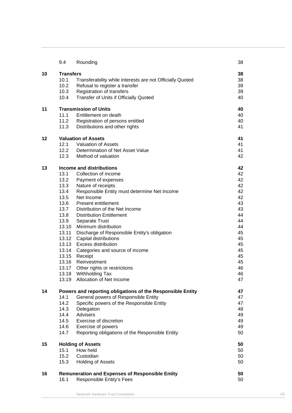|    | 9.4                                                        | Rounding                                                  | 38 |
|----|------------------------------------------------------------|-----------------------------------------------------------|----|
| 10 | <b>Transfers</b>                                           |                                                           | 38 |
|    | 10.1                                                       | Transferability while interests are not Officially Quoted | 38 |
|    | 10.2                                                       | Refusal to register a transfer                            | 39 |
|    | 10.3                                                       | Registration of transfers                                 | 39 |
|    | 10.4                                                       | Transfer of Units if Officially Quoted                    | 40 |
| 11 | <b>Transmission of Units</b>                               |                                                           | 40 |
|    | 11.1                                                       | Entitlement on death                                      | 40 |
|    | 11.2                                                       | Registration of persons entitled                          | 40 |
|    | 11.3                                                       | Distributions and other rights                            | 41 |
| 12 |                                                            | <b>Valuation of Assets</b>                                | 41 |
|    | 12.1                                                       | <b>Valuation of Assets</b>                                | 41 |
|    | 12.2                                                       | Determination of Net Asset Value                          | 41 |
|    | 12.3                                                       | Method of valuation                                       | 42 |
| 13 | <b>Income and distributions</b>                            |                                                           | 42 |
|    | 13.1                                                       | Collection of income                                      | 42 |
|    | 13.2                                                       | Payment of expenses                                       | 42 |
|    | 13.3                                                       | Nature of receipts                                        | 42 |
|    | 13.4                                                       | Responsible Entity must determine Net Income              | 42 |
|    | 13.5                                                       | Net Income                                                | 42 |
|    | 13.6                                                       | <b>Present entitlement</b>                                | 43 |
|    | 13.7                                                       | Distribution of the Net Income                            | 43 |
|    | 13.8                                                       | <b>Distribution Entitlement</b>                           | 44 |
|    | 13.9                                                       | Separate Trust                                            | 44 |
|    | 13.10                                                      | Minimum distribution                                      | 44 |
|    | 13.11                                                      | Discharge of Responsible Entity's obligation              | 45 |
|    | 13.12                                                      | Capital distributions                                     | 45 |
|    | 13.13                                                      | <b>Excess distribution</b>                                | 45 |
|    |                                                            | 13.14 Categories and source of income                     | 45 |
|    | 13.15                                                      | Receipt                                                   | 45 |
|    | 13.16                                                      | Reinvestment                                              | 45 |
|    |                                                            | 13.17 Other rights or restrictions                        | 46 |
|    | 13.18                                                      | Withholding Tax                                           | 46 |
|    |                                                            | 13.19 Allocation of Net Income                            | 47 |
| 14 | Powers and reporting obligations of the Responsible Entity |                                                           | 47 |
|    | 14.1                                                       | General powers of Responsible Entity                      | 47 |
|    | 14.2                                                       | Specific powers of the Responsible Entity                 | 47 |
|    | 14.3                                                       | Delegation                                                | 48 |
|    | 14.4                                                       | Advisers                                                  | 49 |
|    | 14.5                                                       | Exercise of discretion                                    | 49 |
|    | 14.6                                                       | Exercise of powers                                        | 49 |
|    | 14.7                                                       | Reporting obligations of the Responsible Entity           | 50 |
| 15 |                                                            | <b>Holding of Assets</b>                                  | 50 |
|    | 15.1                                                       | How held                                                  | 50 |
|    | 15.2                                                       | Custodian                                                 | 50 |
|    | 15.3                                                       | <b>Holding of Assets</b>                                  | 50 |
| 16 |                                                            | <b>Remuneration and Expenses of Responsible Entity</b>    | 50 |
|    | 16.1                                                       | Responsible Entity's Fees                                 | 50 |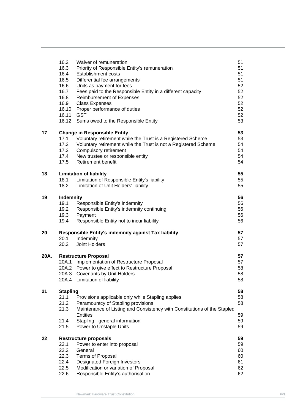|      | 16.2                                | Waiver of remuneration                                                   | 51       |  |
|------|-------------------------------------|--------------------------------------------------------------------------|----------|--|
|      | 16.3                                | Priority of Responsible Entity's remuneration                            | 51       |  |
|      | 16.4                                | <b>Establishment costs</b>                                               | 51       |  |
|      | 16.5                                | Differential fee arrangements                                            | 51       |  |
|      | 16.6                                | Units as payment for fees                                                | 52       |  |
|      | 16.7                                | Fees paid to the Responsible Entity in a different capacity              | 52       |  |
|      | 16.8                                | Reimbursement of Expenses                                                | 52       |  |
|      | 16.9                                | <b>Class Expenses</b>                                                    | 52       |  |
|      | 16.10                               | Proper performance of duties                                             | 52       |  |
|      | 16.11                               | <b>GST</b>                                                               | 52       |  |
|      | 16.12                               | Sums owed to the Responsible Entity                                      | 53       |  |
| 17   | <b>Change in Responsible Entity</b> | 53                                                                       |          |  |
|      | 17.1                                | Voluntary retirement while the Trust is a Registered Scheme              | 53       |  |
|      | 17.2                                | Voluntary retirement while the Trust is not a Registered Scheme          | 54       |  |
|      | 17.3                                | Compulsory retirement                                                    | 54       |  |
|      | 17.4                                | New trustee or responsible entity                                        | 54       |  |
|      | 17.5                                | <b>Retirement benefit</b>                                                | 54       |  |
| 18   | <b>Limitation of liability</b>      |                                                                          | 55       |  |
|      | 18.1                                | Limitation of Responsible Entity's liability                             | 55       |  |
|      | 18.2                                | Limitation of Unit Holders' liability                                    | 55       |  |
| 19   | <b>Indemnity</b>                    |                                                                          | 56       |  |
|      | 19.1                                | Responsible Entity's indemnity                                           | 56       |  |
|      | 19.2                                | Responsible Entity's indemnity continuing                                | 56       |  |
|      | 19.3                                | Payment                                                                  | 56       |  |
|      | 19.4                                | Responsible Entity not to incur liability                                | 56       |  |
| 20   |                                     | Responsible Entity's indemnity against Tax liability<br>57               |          |  |
|      | 20.1                                | Indemnity                                                                | 57       |  |
|      | 20.2                                | Joint Holders                                                            | 57       |  |
| 20A. | <b>Restructure Proposal</b>         |                                                                          |          |  |
|      |                                     | 20A.1 Implementation of Restructure Proposal                             | 57<br>57 |  |
|      |                                     | 20A.2 Power to give effect to Restructure Proposal                       | 58       |  |
|      |                                     | 20A.3 Covenants by Unit Holders                                          | 58       |  |
|      |                                     | 20A.4 Limitation of liability                                            | 58       |  |
| 21   | <b>Stapling</b>                     |                                                                          | 58       |  |
|      | 21.1                                | Provisions applicable only while Stapling applies                        | 58       |  |
|      | 21.2                                | Paramountcy of Stapling provisions                                       | 58       |  |
|      | 21.3                                | Maintenance of Listing and Consistency with Constitutions of the Stapled |          |  |
|      |                                     | Entities                                                                 | 59       |  |
|      | 21.4                                | Stapling - general information                                           | 59       |  |
|      | 21.5                                | Power to Unstaple Units                                                  | 59       |  |
| 22   | <b>Restructure proposals</b>        |                                                                          | 59       |  |
|      | 22.1                                | Power to enter into proposal                                             | 59       |  |
|      | 22.2                                | General                                                                  | 60       |  |
|      | 22.3                                | <b>Terms of Proposal</b>                                                 | 60       |  |
|      | 22.4                                | Designated Foreign Investors                                             | 61       |  |
|      | 22.5                                | Modification or variation of Proposal                                    | 62       |  |
|      | 22.6                                | Responsible Entity's authorisation                                       | 62       |  |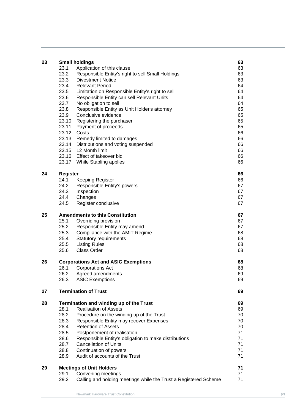| <b>Small holdings</b><br>Application of this clause<br>63<br>23.1<br>23.2<br>63<br>Responsible Entity's right to sell Small Holdings<br>23.3<br>63<br><b>Divestment Notice</b><br>23.4<br>64<br><b>Relevant Period</b><br>23.5<br>64<br>Limitation on Responsible Entity's right to sell<br>23.6<br>64<br>Responsible Entity can sell Relevant Units<br>23.7<br>No obligation to sell<br>64<br>23.8<br>65<br>Responsible Entity as Unit Holder's attorney<br>23.9<br>65<br>Conclusive evidence<br>65<br>23.10<br>Registering the purchaser<br>65<br>23.11<br>Payment of proceeds<br>23.12<br>Costs<br>66<br>23.13<br>66<br>Remedy limited to damages<br>23.14<br>66<br>Distributions and voting suspended |    |
|-----------------------------------------------------------------------------------------------------------------------------------------------------------------------------------------------------------------------------------------------------------------------------------------------------------------------------------------------------------------------------------------------------------------------------------------------------------------------------------------------------------------------------------------------------------------------------------------------------------------------------------------------------------------------------------------------------------|----|
|                                                                                                                                                                                                                                                                                                                                                                                                                                                                                                                                                                                                                                                                                                           |    |
|                                                                                                                                                                                                                                                                                                                                                                                                                                                                                                                                                                                                                                                                                                           |    |
|                                                                                                                                                                                                                                                                                                                                                                                                                                                                                                                                                                                                                                                                                                           |    |
|                                                                                                                                                                                                                                                                                                                                                                                                                                                                                                                                                                                                                                                                                                           |    |
|                                                                                                                                                                                                                                                                                                                                                                                                                                                                                                                                                                                                                                                                                                           |    |
|                                                                                                                                                                                                                                                                                                                                                                                                                                                                                                                                                                                                                                                                                                           |    |
|                                                                                                                                                                                                                                                                                                                                                                                                                                                                                                                                                                                                                                                                                                           |    |
|                                                                                                                                                                                                                                                                                                                                                                                                                                                                                                                                                                                                                                                                                                           |    |
|                                                                                                                                                                                                                                                                                                                                                                                                                                                                                                                                                                                                                                                                                                           |    |
|                                                                                                                                                                                                                                                                                                                                                                                                                                                                                                                                                                                                                                                                                                           |    |
|                                                                                                                                                                                                                                                                                                                                                                                                                                                                                                                                                                                                                                                                                                           |    |
|                                                                                                                                                                                                                                                                                                                                                                                                                                                                                                                                                                                                                                                                                                           |    |
|                                                                                                                                                                                                                                                                                                                                                                                                                                                                                                                                                                                                                                                                                                           |    |
|                                                                                                                                                                                                                                                                                                                                                                                                                                                                                                                                                                                                                                                                                                           |    |
| 23.15<br>12 Month limit<br>66                                                                                                                                                                                                                                                                                                                                                                                                                                                                                                                                                                                                                                                                             |    |
| 23.16 Effect of takeover bid<br>66                                                                                                                                                                                                                                                                                                                                                                                                                                                                                                                                                                                                                                                                        |    |
| 23.17 While Stapling applies<br>66                                                                                                                                                                                                                                                                                                                                                                                                                                                                                                                                                                                                                                                                        |    |
|                                                                                                                                                                                                                                                                                                                                                                                                                                                                                                                                                                                                                                                                                                           |    |
| 24<br><b>Register</b><br>66                                                                                                                                                                                                                                                                                                                                                                                                                                                                                                                                                                                                                                                                               |    |
| 24.1<br>66<br><b>Keeping Register</b>                                                                                                                                                                                                                                                                                                                                                                                                                                                                                                                                                                                                                                                                     |    |
| 24.2<br>67<br>Responsible Entity's powers                                                                                                                                                                                                                                                                                                                                                                                                                                                                                                                                                                                                                                                                 |    |
| 24.3<br>Inspection<br>67                                                                                                                                                                                                                                                                                                                                                                                                                                                                                                                                                                                                                                                                                  |    |
| 24.4<br>Changes<br>67                                                                                                                                                                                                                                                                                                                                                                                                                                                                                                                                                                                                                                                                                     |    |
| 24.5<br>Register conclusive<br>67                                                                                                                                                                                                                                                                                                                                                                                                                                                                                                                                                                                                                                                                         |    |
| 25<br><b>Amendments to this Constitution</b><br>67                                                                                                                                                                                                                                                                                                                                                                                                                                                                                                                                                                                                                                                        |    |
| 25.1<br>67<br>Overriding provision                                                                                                                                                                                                                                                                                                                                                                                                                                                                                                                                                                                                                                                                        |    |
| 25.2<br>Responsible Entity may amend<br>67                                                                                                                                                                                                                                                                                                                                                                                                                                                                                                                                                                                                                                                                |    |
| 25.3<br>Compliance with the AMIT Regime<br>68                                                                                                                                                                                                                                                                                                                                                                                                                                                                                                                                                                                                                                                             |    |
| 25.4<br>68<br><b>Statutory requirements</b>                                                                                                                                                                                                                                                                                                                                                                                                                                                                                                                                                                                                                                                               |    |
| 25.5<br><b>Listing Rules</b><br>68                                                                                                                                                                                                                                                                                                                                                                                                                                                                                                                                                                                                                                                                        |    |
| 68<br>25.6<br><b>Class Order</b>                                                                                                                                                                                                                                                                                                                                                                                                                                                                                                                                                                                                                                                                          |    |
| 26<br><b>Corporations Act and ASIC Exemptions</b>                                                                                                                                                                                                                                                                                                                                                                                                                                                                                                                                                                                                                                                         | 68 |
| <b>Corporations Act</b><br>26.1                                                                                                                                                                                                                                                                                                                                                                                                                                                                                                                                                                                                                                                                           | 68 |
| 26.2<br>Agreed amendments                                                                                                                                                                                                                                                                                                                                                                                                                                                                                                                                                                                                                                                                                 | 69 |
| 26.3<br><b>ASIC Exemptions</b><br>69                                                                                                                                                                                                                                                                                                                                                                                                                                                                                                                                                                                                                                                                      |    |
| <b>Termination of Trust</b>                                                                                                                                                                                                                                                                                                                                                                                                                                                                                                                                                                                                                                                                               |    |
| 27<br>69                                                                                                                                                                                                                                                                                                                                                                                                                                                                                                                                                                                                                                                                                                  |    |
| 28<br>Termination and winding up of the Trust                                                                                                                                                                                                                                                                                                                                                                                                                                                                                                                                                                                                                                                             | 69 |
| <b>Realisation of Assets</b><br>28.1                                                                                                                                                                                                                                                                                                                                                                                                                                                                                                                                                                                                                                                                      | 69 |
| 28.2<br>Procedure on the winding up of the Trust                                                                                                                                                                                                                                                                                                                                                                                                                                                                                                                                                                                                                                                          | 70 |
| 28.3<br>Responsible Entity may recover Expenses<br>70                                                                                                                                                                                                                                                                                                                                                                                                                                                                                                                                                                                                                                                     |    |
| 28.4<br><b>Retention of Assets</b><br>70                                                                                                                                                                                                                                                                                                                                                                                                                                                                                                                                                                                                                                                                  |    |
| 28.5<br>Postponement of realisation<br>71                                                                                                                                                                                                                                                                                                                                                                                                                                                                                                                                                                                                                                                                 |    |
| 28.6<br>Responsible Entity's obligation to make distributions<br>71                                                                                                                                                                                                                                                                                                                                                                                                                                                                                                                                                                                                                                       |    |
| 28.7<br>71<br><b>Cancellation of Units</b>                                                                                                                                                                                                                                                                                                                                                                                                                                                                                                                                                                                                                                                                |    |
| 28.8<br>71<br>Continuation of powers                                                                                                                                                                                                                                                                                                                                                                                                                                                                                                                                                                                                                                                                      |    |
| Audit of accounts of the Trust<br>71<br>28.9                                                                                                                                                                                                                                                                                                                                                                                                                                                                                                                                                                                                                                                              |    |
| <b>Meetings of Unit Holders</b><br>71<br>29                                                                                                                                                                                                                                                                                                                                                                                                                                                                                                                                                                                                                                                               |    |
| 71<br>29.1<br>Convening meetings                                                                                                                                                                                                                                                                                                                                                                                                                                                                                                                                                                                                                                                                          |    |
| 29.2<br>Calling and holding meetings while the Trust a Registered Scheme                                                                                                                                                                                                                                                                                                                                                                                                                                                                                                                                                                                                                                  | 71 |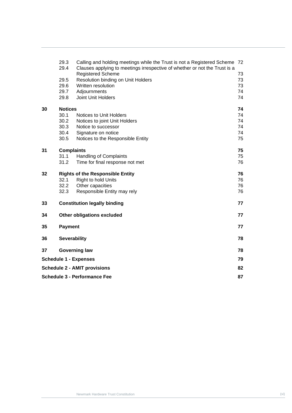|                                     | 29.3<br>29.4                      | Calling and holding meetings while the Trust is not a Registered Scheme 72<br>Clauses applying to meetings irrespective of whether or not the Trust is a |    |
|-------------------------------------|-----------------------------------|----------------------------------------------------------------------------------------------------------------------------------------------------------|----|
|                                     |                                   | <b>Registered Scheme</b>                                                                                                                                 | 73 |
|                                     | 29.5                              | Resolution binding on Unit Holders                                                                                                                       | 73 |
|                                     | 29.6                              | Written resolution                                                                                                                                       | 73 |
|                                     | 29.7                              | Adjournments                                                                                                                                             | 74 |
|                                     | 29.8                              | Joint Unit Holders                                                                                                                                       | 74 |
| 30                                  | <b>Notices</b>                    |                                                                                                                                                          | 74 |
|                                     | 30.1                              | Notices to Unit Holders                                                                                                                                  | 74 |
|                                     | 30.2                              | Notices to joint Unit Holders                                                                                                                            | 74 |
|                                     | 30.3                              | Notice to successor                                                                                                                                      | 74 |
|                                     | 30.4                              | Signature on notice                                                                                                                                      | 74 |
|                                     | 30.5                              | Notices to the Responsible Entity                                                                                                                        | 75 |
| 31                                  | <b>Complaints</b>                 |                                                                                                                                                          | 75 |
|                                     | 31.1                              | <b>Handling of Complaints</b>                                                                                                                            | 75 |
|                                     | 31.2                              | Time for final response not met                                                                                                                          | 76 |
| 32                                  |                                   | <b>Rights of the Responsible Entity</b>                                                                                                                  | 76 |
|                                     | 32.1                              | Right to hold Units                                                                                                                                      | 76 |
|                                     | 32.2                              | Other capacities                                                                                                                                         | 76 |
|                                     | 32.3                              | Responsible Entity may rely                                                                                                                              | 76 |
| 33                                  |                                   | <b>Constitution legally binding</b>                                                                                                                      | 77 |
| 34                                  | <b>Other obligations excluded</b> |                                                                                                                                                          | 77 |
| 35                                  | <b>Payment</b>                    |                                                                                                                                                          | 77 |
| 36                                  | <b>Severability</b>               |                                                                                                                                                          | 78 |
| 37                                  | <b>Governing law</b>              |                                                                                                                                                          | 78 |
| <b>Schedule 1 - Expenses</b>        |                                   |                                                                                                                                                          | 79 |
| <b>Schedule 2 - AMIT provisions</b> |                                   |                                                                                                                                                          |    |
|                                     |                                   |                                                                                                                                                          | 82 |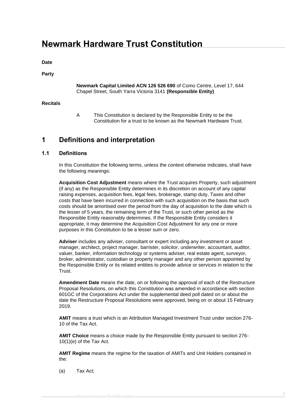## **Newmark Hardware Trust Constitution**

**Date**

#### **Party**

#### **Newmark Capital Limited ACN 126 526 690** of Como Centre, Level 17, 644 Chapel Street, South Yarra Victoria 3141 **(Responsible Entity)**

#### **Recitals**

A This Constitution is declared by the Responsible Entity to be the Constitution for a trust to be known as the Newmark Hardware Trust.

### <span id="page-7-0"></span>**1 Definitions and interpretation**

#### <span id="page-7-1"></span>**1.1 Definitions**

In this Constitution the following terms, unless the context otherwise indicates, shall have the following meanings:

**Acquisition Cost Adjustment** means where the Trust acquires Property, such adjustment (if any) as the Responsible Entity determines in its discretion on account of any capital raising expenses, acquisition fees, legal fees, brokerage, stamp duty, Taxes and other costs that have been incurred in connection with such acquisition on the basis that such costs should be amortised over the period from the day of acquisition to the date which is the lesser of 5 years, the remaining term of the Trust, or such other period as the Responsible Entity reasonably determines. If the Responsible Entity considers it appropriate, it may determine the Acquisition Cost Adjustment for any one or more purposes in this Constitution to be a lesser sum or zero.

**Adviser** includes any adviser, consultant or expert including any investment or asset manager, architect, project manager, barrister, solicitor, underwriter, accountant, auditor, valuer, banker, information technology or systems adviser, real estate agent, surveyor, broker, administrator, custodian or property manager and any other person appointed by the Responsible Entity or its related entities to provide advice or services in relation to the Trust.

**Amendment Date** means the date, on or following the approval of each of the Restructure Proposal Resolutions, on which this Constitution was amended in accordance with section 601GC of the Corporations Act under the supplemental deed poll dated on or about the date the Restructure Proposal Resolutions were approved, being on or about 15 February 2019.

**AMIT** means a trust which is an Attribution Managed Investment Trust under section 276- 10 of the Tax Act.

**AMIT Choice** means a choice made by the Responsible Entity pursuant to section 276- 10(1)(e) of the Tax Act.

**AMIT Regime** means the regime for the taxation of AMITs and Unit Holders contained in the:

(a) Tax Act;

Newmark Hardware Trust Constitution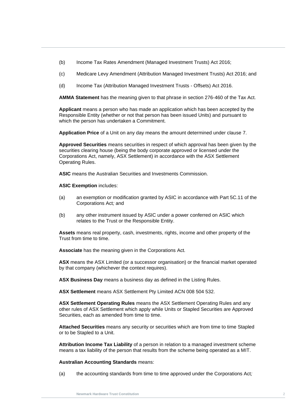- (b) Income Tax Rates Amendment (Managed Investment Trusts) Act 2016;
- (c) Medicare Levy Amendment (Attribution Managed Investment Trusts) Act 2016; and
- (d) Income Tax (Attribution Managed Investment Trusts Offsets) Act 2016.

**AMMA Statement** has the meaning given to that phrase in section 276-460 of the Tax Act.

Responsible Entity (whether or not that person has been issued Units) and pursuant to<br>which the person has undertaken a Commitment. **Applicant** means a person who has made an application which has been accepted by the which the person has undertaken a Commitment.

**Application Price** of a Unit on any day means the amount determined under clause [7.](#page-33-0)

**Approved Securities** means securities in respect of which approval has been given by the securities clearing house (being the body corporate approved or licensed under the Corporations Act, namely, ASX Settlement) in accordance with the ASX Settlement Operating Rules.

**ASIC** means the Australian Securities and Investments Commission.

**ASIC Exemption** includes:

- (a) an exemption or modification granted by ASIC in accordance with Part 5C.11 of the Corporations Act*;* and
- (b) any other instrument issued by ASIC under a power conferred on ASIC which relates to the Trust or the Responsible Entity.

**Assets** means real property, cash, investments, rights, income and other property of the Trust from time to time.

**Associate** has the meaning given in the Corporations Act*.*

**ASX** means the ASX Limited (or a successor organisation) or the financial market operated by that company (whichever the context requires).

**ASX Business Day** means a business day as defined in the Listing Rules.

**ASX Settlement** means ASX Settlement Pty Limited ACN 008 504 532.

**ASX Settlement Operating Rules** means the ASX Settlement Operating Rules and any other rules of ASX Settlement which apply while Units or Stapled Securities are Approved Securities, each as amended from time to time.

**Attached Securities** means any security or securities which are from time to time Stapled or to be Stapled to a Unit.

**Attribution Income Tax Liability** of a person in relation to a managed investment scheme means a tax liability of the person that results from the scheme being operated as a MIT.

**Australian Accounting Standards** means:

(a) the accounting standards from time to time approved under the Corporations Act*;*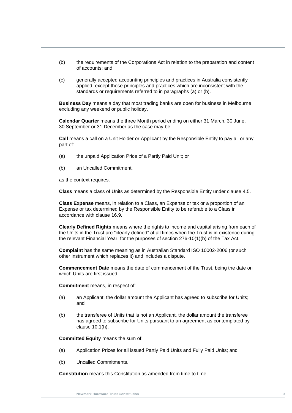- (b) the requirements of the Corporations Act in relation to the preparation and content of accounts; and
- (c) generally accepted accounting principles and practices in Australia consistently applied, except those principles and practices which are inconsistent with the standards or requirements referred to in paragraphs (a) or (b).

**Business Day** means a day that most trading banks are open for business in Melbourne excluding any weekend or public holiday.

**Calendar Quarter** means the three Month period ending on either 31 March, 30 June,<br>30 September or 31 December 35 the case may be 30 September or 31 December as the case may be.

**Call** means a call on a Unit Holder or Applicant by the Responsible Entity to pay all or any part of:

- (a) the unpaid Application Price of a Partly Paid Unit; or
- (b) an Uncalled Commitment,

as the context requires.

**Class** means a class of Units as determined by the Responsible Entity under clause [4.5.](#page-21-0)

**Class Expense** means, in relation to a Class, an Expense or tax or a proportion of an Expense or tax determined by the Responsible Entity to be referable to a Class in accordance with clause [16.9.](#page-58-3)

**Clearly Defined Rights** means where the rights to income and capital arising from each of the Units in the Trust are "clearly defined" at all times when the Trust is in existence during the relevant Financial Year, for the purposes of section 276-10(1)(b) of the Tax Act.

**Complaint** has the same meaning as in Australian Standard ISO 10002-2006 (or such other instrument which replaces it) and includes a dispute.

**Commencement Date** means the date of commencement of the Trust, being the date on which Units are first issued.

**Commitment** means, in respect of:

- (a) an Applicant, the dollar amount the Applicant has agreed to subscribe for Units; and
- (b) the transferee of Units that is not an Applicant, the dollar amount the transferee has agreed to subscribe for Units pursuant to an agreement as contemplated by clause [10.1\(h\).](#page-45-2)

**Committed Equity** means the sum of:

- (a) Application Prices for all issued Partly Paid Units and Fully Paid Units; and
- (b) Uncalled Commitments.

**Constitution** means this Constitution as amended from time to time.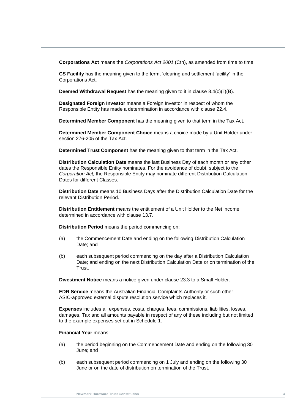**Corporations Act** means the *Corporations Act 2001* (Cth), as amended from time to time.

**CS Facility** has the meaning given to the term, 'clearing and settlement facility' in the Corporations Act.

**Deemed Withdrawal Request** has the meaning given to it in clause [8.4\(c\)\(ii\)\(B\).](#page-39-0)

**Designated Foreign Investor** means a Foreign Investor in respect of whom the Responsible Entity has made a determination in accordance with clause [22.4.](#page-67-0)

Determined Member Component has the meaning given to that term in the Tax Act.

**Determined Member Component Choice** means a choice made by a Unit Holder under section 276-205 of the Tax Act.

**Determined Trust Component** has the meaning given to that term in the Tax Act.

**Distribution Calculation Date** means the last Business Day of each month or any other dates the Responsible Entity nominates. For the avoidance of doubt, subject to the *Corporation Act,* the Responsible Entity may nominate different Distribution Calculation Dates for different Classes.

**Distribution Date** means 10 Business Days after the Distribution Calculation Date for the relevant Distribution Period.

**Distribution Entitlement** means the entitlement of a Unit Holder to the Net income determined in accordance with clause [13.7.](#page-49-1)

**Distribution Period** means the period commencing on:

- (a) the Commencement Date and ending on the following Distribution Calculation Date; and
- (b) each subsequent period commencing on the day after a Distribution Calculation Date; and ending on the next Distribution Calculation Date or on termination of the Trust.

**Divestment Notice** means a notice given under clause [23.3](#page-69-3) to a Small Holder.

**EDR Service** means the Australian Financial Complaints Authority or such other ASIC-approved external dispute resolution service which replaces it.

**Expenses** includes all expenses, costs, charges, fees, commissions, liabilities, losses, damages, Tax and all amounts payable in respect of any of these including but not limited to the example expenses set out in [Schedule 1.](#page-85-0)

**Financial Year** means:

- (a) the period beginning on the Commencement Date and ending on the following 30 June; and
- (b) each subsequent period commencing on 1 July and ending on the following 30 June or on the date of distribution on termination of the Trust.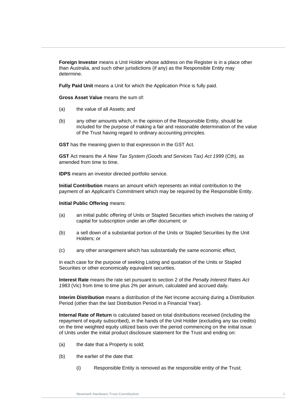**Foreign Investor** means a Unit Holder whose address on the Register is in a place other than Australia, and such other jurisdictions (if any) as the Responsible Entity may determine.

**Fully Paid Unit** means a Unit for which the Application Price is fully paid.

**Gross Asset Value** means the sum of:

- (a) the value of all Assets; and
- (b) any other amounts which, in the opinion of the Responsible Entity, should be<br>included for the purpose of making a fair and reasonable determination of the value included for the purpose of making a fair and reasonable determination of the value of the Trust having regard to ordinary accounting principles.

**GST** has the meaning given to that expression in the GST Act.

**GST** Act means the *A New Tax System (Goods and Services Tax) Act 1999* (Cth), as amended from time to time.

**IDPS** means an investor directed portfolio service.

**Initial Contribution** means an amount which represents an initial contribution to the payment of an Applicant's Commitment which may be required by the Responsible Entity.

**Initial Public Offering** means:

- (a) an initial public offering of Units or Stapled Securities which involves the raising of capital for subscription under an offer document; or
- (b) a sell down of a substantial portion of the Units or Stapled Securities by the Unit Holders; or
- (c) any other arrangement which has substantially the same economic effect,

in each case for the purpose of seeking Listing and quotation of the Units or Stapled Securities or other economically equivalent securities.

**Interest Rate** means the rate set pursuant to section 2 of the *Penalty Interest Rates Act 1983* (Vic) from time to time plus 2% per annum, calculated and accrued daily.

**Interim Distribution** means a distribution of the Net Income accruing during a Distribution Period (other than the last Distribution Period in a Financial Year).

**Internal Rate of Return** is calculated based on total distributions received (including the repayment of equity subscribed), in the hands of the Unit Holder (excluding any tax credits) on the time weighted equity utilized basis over the period commencing on the initial issue of Units under the initial product disclosure statement for the Trust and ending on:

- (a) the date that a Property is sold;
- (b) the earlier of the date that:
	- (i) Responsible Entity is removed as the responsible entity of the Trust;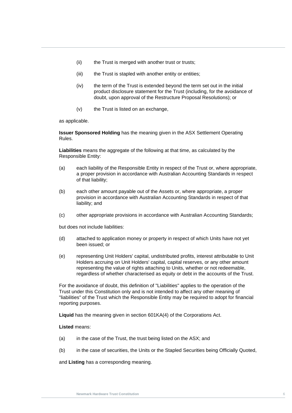- (ii) the Trust is merged with another trust or trusts;
- (iii) the Trust is stapled with another entity or entities;
- (iv) the term of the Trust is extended beyond the term set out in the initial product disclosure statement for the Trust (including, for the avoidance of doubt, upon approval of the Restructure Proposal Resolutions); or
- (v) the Trust is listed on an exchange,

**As applicable.** as applicable.

**Issuer Sponsored Holding** has the meaning given in the ASX Settlement Operating Rules.

**Liabilities** means the aggregate of the following at that time, as calculated by the Responsible Entity:

- (a) each liability of the Responsible Entity in respect of the Trust or, where appropriate, a proper provision in accordance with Australian Accounting Standards in respect of that liability;
- (b) each other amount payable out of the Assets or, where appropriate, a proper provision in accordance with Australian Accounting Standards in respect of that liability; and
- (c) other appropriate provisions in accordance with Australian Accounting Standards;

but does not include liabilities:

- (d) attached to application money or property in respect of which Units have not yet been issued; or
- (e) representing Unit Holders' capital, undistributed profits, interest attributable to Unit Holders accruing on Unit Holders' capital, capital reserves, or any other amount representing the value of rights attaching to Units, whether or not redeemable, regardless of whether characterised as equity or debt in the accounts of the Trust.

For the avoidance of doubt, this definition of "Liabilities" applies to the operation of the Trust under this Constitution only and is not intended to affect any other meaning of "liabilities" of the Trust which the Responsible Entity may be required to adopt for financial reporting purposes.

**Liquid** has the meaning given in section 601KA(4) of the Corporations Act.

#### **Listed** means:

- (a) in the case of the Trust, the trust being listed on the ASX; and
- (b) in the case of securities, the Units or the Stapled Securities being Officially Quoted,

and **Listing** has a corresponding meaning.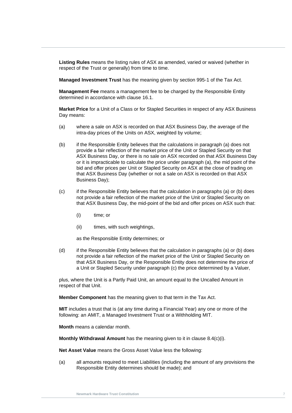**Listing Rules** means the listing rules of ASX as amended, varied or waived (whether in respect of the Trust or generally) from time to time.

**Managed Investment Trust** has the meaning given by section 995-1 of the Tax Act.

**Management Fee** means a management fee to be charged by the Responsible Entity determined in accordance with clause [16.1.](#page-56-6)

**Market Price** for a Unit of a Class or for Stapled Securities in respect of any ASX Business Day means:

- Day means:<br>(a) where a sale on ASX is recorded on that ASX Business Day, the average of the intra-day prices of the Units on ASX, weighted by volume;
	- (b) if the Responsible Entity believes that the calculations in paragraph (a) does not provide a fair reflection of the market price of the Unit or Stapled Security on that ASX Business Day, or there is no sale on ASX recorded on that ASX Business Day or it is impracticable to calculate the price under paragraph (a), the mid point of the bid and offer prices per Unit or Stapled Security on ASX at the close of trading on that ASX Business Day (whether or not a sale on ASX is recorded on that ASX Business Day);
	- (c) if the Responsible Entity believes that the calculation in paragraphs (a) or (b) does not provide a fair reflection of the market price of the Unit or Stapled Security on that ASX Business Day, the mid-point of the bid and offer prices on ASX such that:
		- (i) time; or
		- (ii) times, with such weightings,

as the Responsible Entity determines; or

(d) if the Responsible Entity believes that the calculation in paragraphs (a) or (b) does not provide a fair reflection of the market price of the Unit or Stapled Security on that ASX Business Day, or the Responsible Entity does not determine the price of a Unit or Stapled Security under paragraph (c) the price determined by a Valuer,

plus, where the Unit is a Partly Paid Unit, an amount equal to the Uncalled Amount in respect of that Unit.

**Member Component** has the meaning given to that term in the Tax Act.

**MIT** includes a trust that is (at any time during a Financial Year) any one or more of the following: an AMIT, a Managed Investment Trust or a Withholding MIT.

**Month** means a calendar month.

**Monthly Withdrawal Amount** has the meaning given to it in clause [8.4\(c\)\(i\).](#page-39-1) 

**Net Asset Value** means the Gross Asset Value less the following:

(a) all amounts required to meet Liabilities (including the amount of any provisions the Responsible Entity determines should be made); and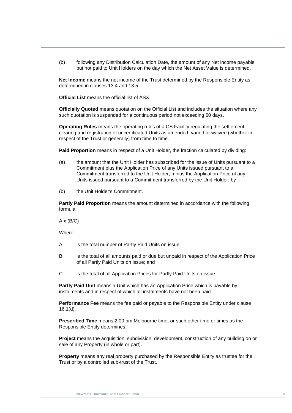(b) following any Distribution Calculation Date, the amount of any Net income payable but not paid to Unit Holders on the day which the Net Asset Value is determined.

**Net Income** means the net income of the Trust determined by the Responsible Entity as determined in clauses [13.4](#page-48-5) and [13.5.](#page-48-6)

**Official List** means the official list of ASX.

**Officially Quoted** means quotation on the Official List and includes the situation where any such quotation is suspended for a continuous period not exceeding 60 days.

sucn quotation is suspended for a continuous period not exceeding ou days.<br>**Operating Rules** means the operating rules of a CS Facility regulating the settlement, clearing and registration of uncertificated Units as amended, varied or waived (whether in respect of the Trust or generally) from time to time.

**Paid Proportion** means in respect of a Unit Holder, the fraction calculated by dividing:

- (a) the amount that the Unit Holder has subscribed for the issue of Units pursuant to a Commitment plus the Application Price of any Units issued pursuant to a Commitment transferred to the Unit Holder, minus the Application Price of any Units issued pursuant to a Commitment transferred by the Unit Holder; by
- (b) the Unit Holder's Commitment.

**Partly Paid Proportion** means the amount determined in accordance with the following formula:

 $A \times (B/C)$ 

Where:

- A is the total number of Partly Paid Units on issue;
- B is the total of all amounts paid or due but unpaid in respect of the Application Price of all Partly Paid Units on issue; and
- C is the total of all Application Prices for Partly Paid Units on issue.

**Partly Paid Unit** means a Unit which has an Application Price which is payable by instalments and in respect of which all instalments have not been paid.

**Performance Fee** means the fee paid or payable to the Responsible Entity under clause [16.1\(d\).](#page-57-4)

**Prescribed Time** means 2.00 pm Melbourne time, or such other time or times as the Responsible Entity determines.

**Project** means the acquisition, subdivision, development, construction of any building on or sale of any Property (in whole or part).

**Property** means any real property purchased by the Responsible Entity as trustee for the Trust or by a controlled sub-trust of the Trust.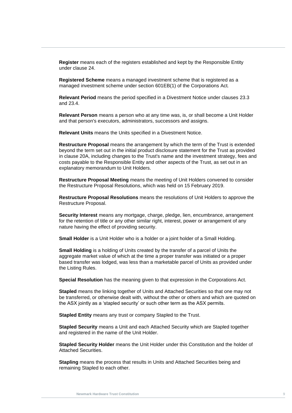**Register** means each of the registers established and kept by the Responsible Entity under clause [24.](#page-72-6)

**Registered Scheme** means a managed investment scheme that is registered as a managed investment scheme under section 601EB(1) of the Corporations Act*.*

**Relevant Period** means the period specified in a Divestment Notice under clauses [23.3](#page-69-3) and [23.4.](#page-70-0)

**Relevant Person** means a person wno at any time was, is, or snall become a Unit Holder<br>and that person's executors, administrators, successors and assigns. **Relevant Person** means a person who at any time was, is, or shall become a Unit Holder

**Relevant Units** means the Units specified in a Divestment Notice.

**Restructure Proposal** means the arrangement by which the term of the Trust is extended beyond the term set out in the initial product disclosure statement for the Trust as provided in clause 20A, including changes to the Trust's name and the investment strategy, fees and costs payable to the Responsible Entity and other aspects of the Trust, as set out in an explanatory memorandum to Unit Holders.

**Restructure Proposal Meeting** means the meeting of Unit Holders convened to consider the Restructure Proposal Resolutions, which was held on 15 February 2019.

**Restructure Proposal Resolutions** means the resolutions of Unit Holders to approve the Restructure Proposal.

**Security Interest** means any mortgage, charge, pledge, lien, encumbrance, arrangement for the retention of title or any other similar right, interest, power or arrangement of any nature having the effect of providing security.

**Small Holder** is a Unit Holder who is a holder or a joint holder of a Small Holding.

**Small Holding** is a holding of Units created by the transfer of a parcel of Units the aggregate market value of which at the time a proper transfer was initiated or a proper based transfer was lodged, was less than a marketable parcel of Units as provided under the Listing Rules.

**Special Resolution** has the meaning given to that expression in the Corporations Act.

**Stapled** means the linking together of Units and Attached Securities so that one may not be transferred, or otherwise dealt with, without the other or others and which are quoted on the ASX jointly as a 'stapled security' or such other term as the ASX permits.

**Stapled Entity** means any trust or company Stapled to the Trust.

**Stapled Security** means a Unit and each Attached Security which are Stapled together and registered in the name of the Unit Holder.

**Stapled Security Holder** means the Unit Holder under this Constitution and the holder of Attached Securities.

**Stapling** means the process that results in Units and Attached Securities being and remaining Stapled to each other.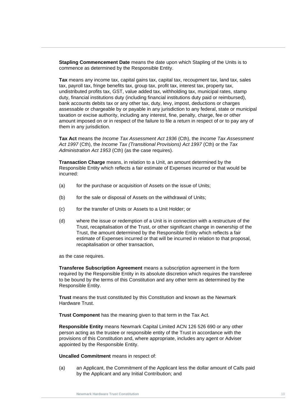**Stapling Commencement Date** means the date upon which Stapling of the Units is to commence as determined by the Responsible Entity.

taxation or excise authority, including any interest, fine, penaity, charge, fee or other<br>amount imposed on or in respect of the failure to file a return in respect of or to pay any of<br>them in any jurisdiction **Tax** means any income tax, capital gains tax, capital tax, recoupment tax, land tax, sales tax, payroll tax, fringe benefits tax, group tax, profit tax, interest tax, property tax, undistributed profits tax, GST, value added tax, withholding tax, municipal rates, stamp duty, financial institutions duty (including financial institutions duty paid or reimbursed), bank accounts debits tax or any other tax, duty, levy, impost, deductions or charges assessable or chargeable by or payable in any jurisdiction to any federal, state or municipal taxation or excise authority, including any interest, fine, penalty, charge, fee or other them in any jurisdiction.

**Tax Act** means the *Income Tax Assessment Act 1936* (Cth), the *Income Tax Assessment Act 1997* (Cth), the *Income Tax (Transitional Provisions) Act 1997* (Cth) or the *Tax Administration Act 1953* (Cth) (as the case requires).

**Transaction Charge** means, in relation to a Unit, an amount determined by the Responsible Entity which reflects a fair estimate of Expenses incurred or that would be incurred:

- (a) for the purchase or acquisition of Assets on the issue of Units;
- (b) for the sale or disposal of Assets on the withdrawal of Units;
- (c) for the transfer of Units or Assets to a Unit Holder; or
- (d) where the issue or redemption of a Unit is in connection with a restructure of the Trust, recapitalisation of the Trust, or other significant change in ownership of the Trust, the amount determined by the Responsible Entity which reflects a fair estimate of Expenses incurred or that will be incurred in relation to that proposal, recapitalisation or other transaction,

as the case requires.

**Transferee Subscription Agreement** means a subscription agreement in the form required by the Responsible Entity in its absolute discretion which requires the transferee to be bound by the terms of this Constitution and any other term as determined by the Responsible Entity.

**Trust** means the trust constituted by this Constitution and known as the Newmark Hardware Trust.

**Trust Component** has the meaning given to that term in the Tax Act.

**Responsible Entity** means Newmark Capital Limited ACN 126 526 690 or any other person acting as the trustee or responsible entity of the Trust in accordance with the provisions of this Constitution and, where appropriate, includes any agent or Adviser appointed by the Responsible Entity.

**Uncalled Commitment** means in respect of:

(a) an Applicant, the Commitment of the Applicant less the dollar amount of Calls paid by the Applicant and any Initial Contribution; and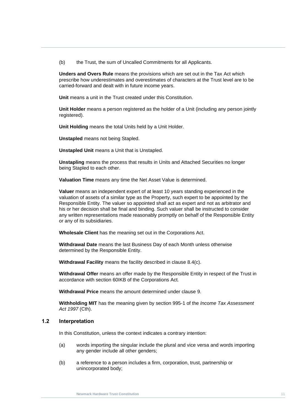(b) the Trust, the sum of Uncalled Commitments for all Applicants.

**Unders and Overs Rule** means the provisions which are set out in the Tax Act which prescribe how underestimates and overestimates of characters at the Trust level are to be carried-forward and dealt with in future income years.

**Unit** means a unit in the Trust created under this Constitution.

registered).<br>**Unit Holding** means the total Units held by a Unit Holder. **Unit Holder** means a person registered as the holder of a Unit (including any person jointly registered).

**Unstapled** means not being Stapled.

**Unstapled Unit** means a Unit that is Unstapled.

**Unstapling** means the process that results in Units and Attached Securities no longer being Stapled to each other.

**Valuation Time** means any time the Net Asset Value is determined.

**Valuer** means an independent expert of at least 10 years standing experienced in the valuation of assets of a similar type as the Property, such expert to be appointed by the Responsible Entity. The valuer so appointed shall act as expert and not as arbitrator and his or her decision shall be final and binding. Such valuer shall be instructed to consider any written representations made reasonably promptly on behalf of the Responsible Entity or any of its subsidiaries.

**Wholesale Client** has the meaning set out in the Corporations Act.

**Withdrawal Date** means the last Business Day of each Month unless otherwise determined by the Responsible Entity.

**Withdrawal Facility** means the facility described in clause [8.4\(c\).](#page-39-2)

**Withdrawal Offer** means an offer made by the Responsible Entity in respect of the Trust in accordance with section 60IKB of the Corporations Act*.*

**Withdrawal Price** means the amount determined under clause [9.](#page-43-3)

**Withholding MIT** has the meaning given by section 995-1 of the *Income Tax Assessment Act 1997* (Cth).

#### <span id="page-17-0"></span>**1.2 Interpretation**

In this Constitution, unless the context indicates a contrary intention:

- (a) words importing the singular include the plural and vice versa and words importing any gender include all other genders;
- (b) a reference to a person includes a firm, corporation, trust, partnership or unincorporated body;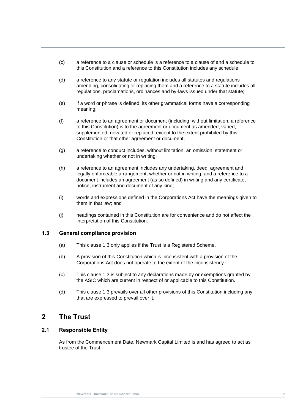- (c) a reference to a clause or schedule is a reference to a clause of and a schedule to this Constitution and a reference to this Constitution includes any schedule;
- (d) a reference to any statute or regulation includes all statutes and regulations amending, consolidating or replacing them and a reference to a statute includes all regulations, proclamations, ordinances and by-laws issued under that statute;
- (e) if a word or phrase is defined, its other grammatical forms have a corresponding meaning;
- (f) a reference to an agreement or document (including, without limitation, a reference)<br>to this Constitution) is to the agreement or document as amended varied to this Constitution) is to the agreement or document as amended, varied, supplemented, novated or replaced, except to the extent prohibited by this Constitution or that other agreement or document;
	- (g) a reference to conduct includes, without limitation, an omission, statement or undertaking whether or not in writing;
	- (h) a reference to an agreement includes any undertaking, deed, agreement and legally enforceable arrangement, whether or not in writing, and a reference to a document includes an agreement (as so defined) in writing and any certificate, notice, instrument and document of any kind;
	- (i) words and expressions defined in the Corporations Act have the meanings given to them in that law; and
	- (j) headings contained in this Constitution are for convenience and do not affect the interpretation of this Constitution.

#### <span id="page-18-0"></span>**1.3 General compliance provision**

- (a) This clause [1.3](#page-18-0) only applies if the Trust is a Registered Scheme.
- (b) A provision of this Constitution which is inconsistent with a provision of the Corporations Act does not operate to the extent of the inconsistency.
- (c) This clause [1.3](#page-18-0) is subject to any declarations made by or exemptions granted by the ASIC which are current in respect of or applicable to this Constitution.
- (d) This clause [1.3](#page-18-0) prevails over all other provisions of this Constitution including any that are expressed to prevail over it.

### <span id="page-18-1"></span>**2 The Trust**

#### <span id="page-18-2"></span>**2.1 Responsible Entity**

As from the Commencement Date, Newmark Capital Limited is and has agreed to act as trustee of the Trust.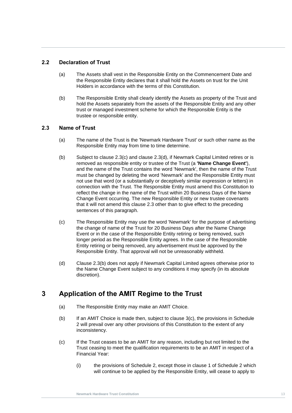#### <span id="page-19-0"></span>**2.2 Declaration of Trust**

- (a) The Assets shall vest in the Responsible Entity on the Commencement Date and the Responsible Entity declares that it shall hold the Assets on trust for the Unit Holders in accordance with the terms of this Constitution.
- **Newsler Constitution Constitution**<br> **Newsler Trust** Constitution<br> **Newsler** Constitution (b) The Responsible Entity shall clearly identify the Assets as property of the Trust and hold the Assets separately from the assets of the Responsible Entity and any other trust or managed investment scheme for which the Responsible Entity is the trustee or responsible entity.

#### <span id="page-19-1"></span>**2.3 Name of Trust**

- (a) The name of the Trust is the 'Newmark Hardware Trust' or such other name as the Responsible Entity may from time to time determine.
- <span id="page-19-5"></span>(b) Subject to clause  $2.3(c)$  and clause  $2.3(d)$ , if Newmark Capital Limited retires or is removed as responsible entity or trustee of the Trust (a **'Name Change Event'**), and the name of the Trust contains the word 'Newmark', then the name of the Trust must be changed by deleting the word 'Newmark' and the Responsible Entity must not use that word (or a substantially or deceptively similar expression or letters) in connection with the Trust. The Responsible Entity must amend this Constitution to reflect the change in the name of the Trust within 20 Business Days of the Name Change Event occurring. The new Responsible Entity or new trustee covenants that it will not amend this clause [2.3](#page-19-1) other than to give effect to the preceding sentences of this paragraph.
- <span id="page-19-3"></span>(c) The Responsible Entity may use the word 'Newmark' for the purpose of advertising the change of name of the Trust for 20 Business Days after the Name Change Event or in the case of the Responsible Entity retiring or being removed, such longer period as the Responsible Entity agrees. In the case of the Responsible Entity retiring or being removed, any advertisement must be approved by the Responsible Entity. That approval will not be unreasonably withheld.
- <span id="page-19-4"></span>(d) Clause [2.3\(b\)](#page-19-5) does not apply if Newmark Capital Limited agrees otherwise prior to the Name Change Event subject to any conditions it may specify (in its absolute discretion).

## <span id="page-19-2"></span>**3 Application of the AMIT Regime to the Trust**

- (a) The Responsible Entity may make an AMIT Choice.
- (b) If an AMIT Choice is made then, subject to clause [3\(c\),](#page-19-6) the provisions in [Schedule](#page-88-0)  [2](#page-88-0) will prevail over any other provisions of this Constitution to the extent of any inconsistency.
- <span id="page-19-6"></span>(c) If the Trust ceases to be an AMIT for any reason, including but not limited to the Trust ceasing to meet the qualification requirements to be an AMIT in respect of a Financial Year:
	- (i) the provisions of [Schedule 2,](#page-88-0) except those in clause [1](#page-88-1) of [Schedule 2](#page-88-0) which will continue to be applied by the Responsible Entity, will cease to apply to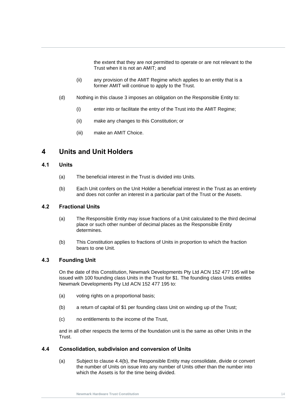the extent that they are not permitted to operate or are not relevant to the Trust when it is not an AMIT; and

- (ii) any provision of the AMIT Regime which applies to an entity that is a former AMIT will continue to apply to the Trust.
- (d) Nothing in this clause 3 imposes an obligation on the Responsible Entity to:
	- (i) enter into or facilitate the entry of the Trust into the AMIT Regime;
- (ii) make any changes to this Constitution; or
	- (iii) make an AMIT Choice.

### <span id="page-20-0"></span>**4 Units and Unit Holders**

#### <span id="page-20-1"></span>**4.1 Units**

- (a) The beneficial interest in the Trust is divided into Units.
- (b) Each Unit confers on the Unit Holder a beneficial interest in the Trust as an entirety and does not confer an interest in a particular part of the Trust or the Assets.

#### <span id="page-20-2"></span>**4.2 Fractional Units**

- (a) The Responsible Entity may issue fractions of a Unit calculated to the third decimal place or such other number of decimal places as the Responsible Entity determines.
- (b) This Constitution applies to fractions of Units in proportion to which the fraction bears to one Unit.

#### <span id="page-20-3"></span>**4.3 Founding Unit**

On the date of this Constitution, Newmark Developments Pty Ltd ACN 152 477 195 will be issued with 100 founding class Units in the Trust for \$1. The founding class Units entitles Newmark Developments Pty Ltd ACN 152 477 195 to:

- (a) voting rights on a proportional basis;
- (b) a return of capital of \$1 per founding class Unit on winding up of the Trust;
- (c) no entitlements to the income of the Trust,

and in all other respects the terms of the foundation unit is the same as other Units in the Trust.

#### <span id="page-20-5"></span><span id="page-20-4"></span>**4.4 Consolidation, subdivision and conversion of Units**

(a) Subject to clause [4.4\(b\),](#page-21-4) the Responsible Entity may consolidate, divide or convert the number of Units on issue into any number of Units other than the number into which the Assets is for the time being divided.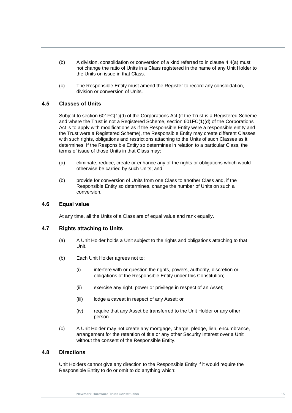- <span id="page-21-4"></span>(b) A division, consolidation or conversion of a kind referred to in clause [4.4\(a\)](#page-20-5) must not change the ratio of Units in a Class registered in the name of any Unit Holder to the Units on issue in that Class.
- (c) The Responsible Entity must amend the Register to record any consolidation, division or conversion of Units.

#### <span id="page-21-0"></span>**4.5 Classes of Units**

Subject to section 601FC(1)(d) of the Corporations Act (if the Trust is a Registered Scheme<br>and where the Trust is not a Registered Scheme, section 601FC(1)(d) of the Corporations<br>Act is to apply with modifications as if t Subject to section 601FC(1)(d) of the Corporations Act (if the Trust is a Registered Scheme Act is to apply with modifications as if the Responsible Entity were a responsible entity and the Trust were a Registered Scheme), the Responsible Entity may create different Classes with such rights, obligations and restrictions attaching to the Units of such Classes as it determines. If the Responsible Entity so determines in relation to a particular Class, the terms of issue of those Units in that Class may:

- (a) eliminate, reduce, create or enhance any of the rights or obligations which would otherwise be carried by such Units; and
- (b) provide for conversion of Units from one Class to another Class and, if the Responsible Entity so determines, change the number of Units on such a conversion.

#### <span id="page-21-1"></span>**4.6 Equal value**

At any time, all the Units of a Class are of equal value and rank equally.

#### <span id="page-21-2"></span>**4.7 Rights attaching to Units**

- (a) A Unit Holder holds a Unit subject to the rights and obligations attaching to that Unit.
- (b) Each Unit Holder agrees not to:
	- (i) interfere with or question the rights, powers, authority, discretion or obligations of the Responsible Entity under this Constitution;
	- (ii) exercise any right, power or privilege in respect of an Asset;
	- (iii) lodge a caveat in respect of any Asset; or
	- (iv) require that any Asset be transferred to the Unit Holder or any other person.
- (c) A Unit Holder may not create any mortgage, charge, pledge, lien, encumbrance, arrangement for the retention of title or any other Security Interest over a Unit without the consent of the Responsible Entity.

#### <span id="page-21-3"></span>**4.8 Directions**

Unit Holders cannot give any direction to the Responsible Entity if it would require the Responsible Entity to do or omit to do anything which: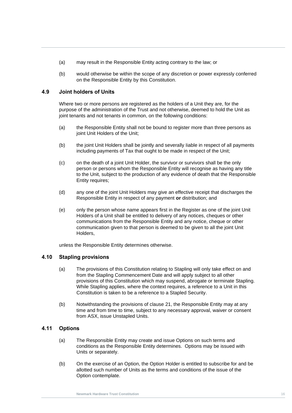- (a) may result in the Responsible Entity acting contrary to the law; or
- (b) would otherwise be within the scope of any discretion or power expressly conferred on the Responsible Entity by this Constitution.

#### <span id="page-22-0"></span>**4.9 Joint holders of Units**

**New York Hardware Trust Constitution** in Common, on the following conditions:<br>(a) the Beannaible Entitudeall not be beind to register mare than three persons as Where two or more persons are registered as the holders of a Unit they are, for the purpose of the administration of the Trust and not otherwise, deemed to hold the Unit as

- (a) the Responsible Entity shall not be bound to register more than three persons as joint Unit Holders of the Unit;
- (b) the joint Unit Holders shall be jointly and severally Iiable in respect of all payments including payments of Tax that ought to be made in respect of the Unit;
- (c) on the death of a joint Unit Holder, the survivor or survivors shall be the only person or persons whom the Responsible Entity will recognise as having any title to the Unit, subject to the production of any evidence of death that the Responsible Entity requires;
- (d) any one of the joint Unit Holders may give an effective receipt that discharges the Responsible Entity in respect of any payment **or** distribution; and
- (e) only the person whose name appears first in the Register as one of the joint Unit Holders of a Unit shall be entitled to delivery of any notices, cheques or other communications from the Responsible Entity and any notice, cheque or other communication given to that person is deemed to be given to all the joint Unit Holders,

unless the Responsible Entity determines otherwise.

#### <span id="page-22-1"></span>**4.10 Stapling provisions**

- (a) The provisions of this Constitution relating to Stapling will only take effect on and from the Stapling Commencement Date and will apply subject to all other provisions of this Constitution which may suspend, abrogate or terminate Stapling. While Stapling applies, where the context requires, a reference to a Unit in this Constitution is taken to be a reference to a Stapled Security.
- (b) Notwithstanding the provisions of clause [21,](#page-64-3) the Responsible Entity may at any time and from time to time, subject to any necessary approval, waiver or consent from ASX, issue Unstapled Units.

#### <span id="page-22-2"></span>**4.11 Options**

- (a) The Responsible Entity may create and issue Options on such terms and conditions as the Responsible Entity determines. Options may be issued with Units or separately.
- (b) On the exercise of an Option, the Option Holder is entitled to subscribe for and be allotted such number of Units as the terms and conditions of the issue of the Option contemplate.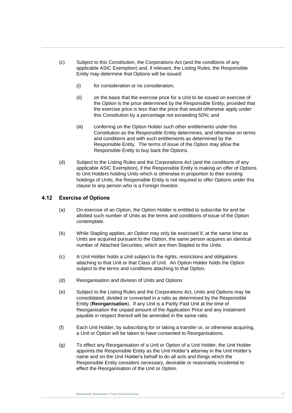- (c) Subject to this Constitution, the Corporations Act (and the conditions of any applicable ASIC Exemption) and, if relevant, the Listing Rules, the Responsible Entity may determine that Options will be issued:
	- (i) for consideration or no consideration;
- this Constitution by a percentage not exceeding 50%; and<br>(iii) conferring on the Option Holder such other entitlements under this (ii) on the basis that the exercise price for a Unit to be issued on exercise of the Option is the price determined by the Responsible Entity, provided that the exercise price is less than the price that would otherwise apply under
	- (iii) conferring on the Option Holder such other entitlements under this Constitution as the Responsible Entity determines, and otherwise on terms and conditions and with such entitlements as determined by the Responsible Entity. The terms of issue of the Option may allow the Responsible Entity to buy back the Options.
	- (d) Subject to the Listing Rules and the Corporations Act (and the conditions of any applicable ASIC Exemption), if the Responsible Entity is making an offer of Options to Unit Holders holding Units which is otherwise in proportion to their existing holdings of Units, the Responsible Entity is not required to offer Options under this clause to any person who is a Foreign Investor.

#### <span id="page-23-0"></span>**4.12 Exercise of Options**

- (a) On exercise of an Option, the Option Holder is entitled to subscribe for and be allotted such number of Units as the terms and conditions of issue of the Option contemplate.
- (b) While Stapling applies, an Option may only be exercised if, at the same time as Units are acquired pursuant to the Option, the same person acquires an identical number of Attached Securities, which are then Stapled to the Units.
- (c) A Unit Holder holds a Unit subject to the rights, restrictions and obligations attaching to that Unit or that Class of Unit. An Option Holder holds the Option subject to the terms and conditions attaching to that Option.
- (d) Reorganisation and division of Units and Options
- (e) Subject to the Listing Rules and the Corporations Act, Units and Options may be consolidated, divided or converted in a ratio as determined by the Responsible Entity (**Reorganisation**). If any Unit is a Partly Paid Unit at the time of Reorganisation the unpaid amount of the Application Price and any instalment payable in respect thereof will be amended in the same ratio.
- (f) Each Unit Holder, by subscribing for or taking a transfer or, or otherwise acquiring, a Unit or Option will be taken to have consented to Reorganisations.
- (g) To effect any Reorganisation of a Unit or Option of a Unit Holder, the Unit Holder appoints the Responsible Entity as the Unit Holder's attorney in the Unit Holder's name and on the Unit Holder's behalf to do all acts and things which the Responsible Entity considers necessary, desirable or reasonably incidental to effect the Reorganisation of the Unit or Option.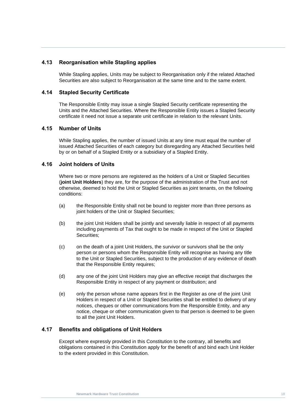#### <span id="page-24-0"></span>**4.13 Reorganisation while Stapling applies**

While Stapling applies, Units may be subject to Reorganisation only if the related Attached Securities are also subject to Reorganisation at the same time and to the same extent.

#### <span id="page-24-1"></span>**4.14 Stapled Security Certificate**

certificate it need not issue a separate unit certificate in relation to the relevant Units.<br> **A PELICIST** The Responsible Entity may issue a single Stapled Security certificate representing the Units and the Attached Securities. Where the Responsible Entity issues a Stapled Security

#### <span id="page-24-2"></span>**4.15 Number of Units**

While Stapling applies, the number of issued Units at any time must equal the number of issued Attached Securities of each category but disregarding any Attached Securities held by or on behalf of a Stapled Entity or a subsidiary of a Stapled Entity.

#### <span id="page-24-3"></span>**4.16 Joint holders of Units**

Where two or more persons are registered as the holders of a Unit or Stapled Securities (**joint Unit Holders**) they are, for the purpose of the administration of the Trust and not otherwise, deemed to hold the Unit or Stapled Securities as joint tenants, on the following conditions:

- (a) the Responsible Entity shall not be bound to register more than three persons as joint holders of the Unit or Stapled Securities;
- (b) the joint Unit Holders shall be jointly and severally liable in respect of all payments including payments of Tax that ought to be made in respect of the Unit or Stapled Securities:
- (c) on the death of a joint Unit Holders, the survivor or survivors shall be the only person or persons whom the Responsible Entity will recognise as having any title to the Unit or Stapled Securities, subject to the production of any evidence of death that the Responsible Entity requires;
- (d) any one of the joint Unit Holders may give an effective receipt that discharges the Responsible Entity in respect of any payment or distribution; and
- (e) only the person whose name appears first in the Register as one of the joint Unit Holders in respect of a Unit or Stapled Securities shall be entitled to delivery of any notices, cheques or other communications from the Responsible Entity, and any notice, cheque or other communication given to that person is deemed to be given to all the joint Unit Holders.

#### <span id="page-24-4"></span>**4.17 Benefits and obligations of Unit Holders**

Except where expressly provided in this Constitution to the contrary, all benefits and obligations contained in this Constitution apply for the benefit of and bind each Unit Holder to the extent provided in this Constitution.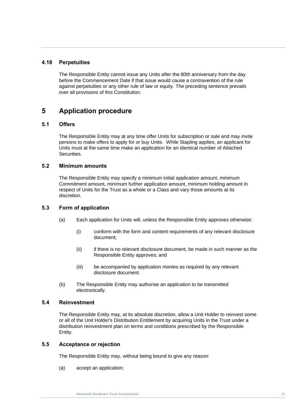#### <span id="page-25-0"></span>**4.18 Perpetuities**

The Responsible Entity cannot issue any Units after the 80th anniversary from the day before the Commencement Date if that issue would cause a contravention of the rule against perpetuities or any other rule of law or equity. The preceding sentence prevails over all provisions of this Constitution.

## <span id="page-25-1"></span>**5 Application procedure**

#### <span id="page-25-2"></span>**New Mark Hardware Trust Constitution**<br> **New York Constitution**<br> **New York Constitution 5.1 Offers**

The Responsible Entity may at any time offer Units for subscription or sale and may invite persons to make offers to apply for or buy Units. While Stapling applies, an applicant for Units must at the same time make an application for an identical number of Attached Securities.

#### <span id="page-25-3"></span>**5.2 Minimum amounts**

The Responsible Entity may specify a minimum initial application amount, minimum Commitment amount, minimum further application amount, minimum holding amount in respect of Units for the Trust as a whole or a Class and vary those amounts at its discretion.

#### <span id="page-25-4"></span>**5.3 Form of application**

- (a) Each application for Units will, unless the Responsible Entity approves otherwise:
	- (i) conform with the form and content requirements of any relevant disclosure document;
	- (ii) if there is no relevant disclosure document, be made in such manner as the Responsible Entity approves; and
	- (iii) be accompanied by application monies as required by any relevant disclosure document.
- (b) The Responsible Entity may authorise an application to be transmitted electronically.

#### <span id="page-25-5"></span>**5.4 Reinvestment**

The Responsible Entity may, at its absolute discretion, allow a Unit Holder to reinvest some or all of the Unit Holder's Distribution Entitlement by acquiring Units in the Trust under a distribution reinvestment plan on terms and conditions prescribed by the Responsible Entity.

#### <span id="page-25-6"></span>**5.5 Acceptance or rejection**

The Responsible Entity may, without being bound to give any reason:

(a) accept an application;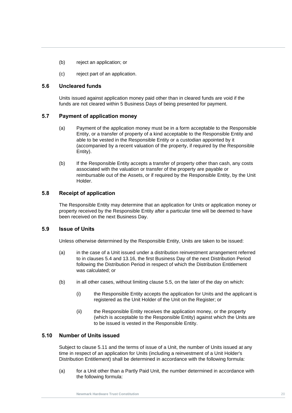- (b) reject an application; or
- (c) reject part of an application.

#### <span id="page-26-0"></span>**5.6 Uncleared funds**

Units issued against application money paid other than in cleared funds are void if the funds are not cleared within 5 Business Days of being presented for payment.

#### <span id="page-26-1"></span>**5.7 Payment of application money**

- **5.7 Payment of application money**<br>(a) Payment of the application money must be in a form acceptable to the Responsible Entity, or a transfer of property of a kind acceptable to the Responsible Entity and able to be vested in the Responsible Entity or a custodian appointed by it (accompanied by a recent valuation of the property, if required by the Responsible Entity).
	- (b) If the Responsible Entity accepts a transfer of property other than cash, any costs associated with the valuation or transfer of the property are payable or reimbursable out of the Assets, or if required by the Responsible Entity, by the Unit Holder.

#### <span id="page-26-2"></span>**5.8 Receipt of application**

The Responsible Entity may determine that an application for Units or application money or property received by the Responsible Entity after a particular time will be deemed to have been received on the next Business Day.

#### <span id="page-26-3"></span>**5.9 Issue of Units**

Unless otherwise determined by the Responsible Entity, Units are taken to be issued:

- (a) in the case of a Unit issued under a distribution reinvestment arrangement referred to in clauses [5.4](#page-25-5) and [13.16,](#page-51-5) the first Business Day of the next Distribution Period following the Distribution Period in respect of which the Distribution Entitlement was calculated; or
- (b) in all other cases, without limiting clause [5.5,](#page-25-6) on the later of the day on which:
	- (i) the Responsible Entity accepts the application for Units and the applicant is registered as the Unit Holder of the Unit on the Register; or
	- (ii) the Responsible Entity receives the application money, or the property (which is acceptable to the Responsible Entity) against which the Units are to be issued is vested in the Responsible Entity.

#### <span id="page-26-4"></span>**5.10 Number of Units issued**

Subject to clause [5.11](#page-27-0) and the terms of issue of a Unit, the number of Units issued at any time in respect of an application for Units (including a reinvestment of a Unit Holder's Distribution Entitlement) shall be determined in accordance with the following formula:

<span id="page-26-5"></span>(a) for a Unit other than a Partly Paid Unit, the number determined in accordance with the following formula: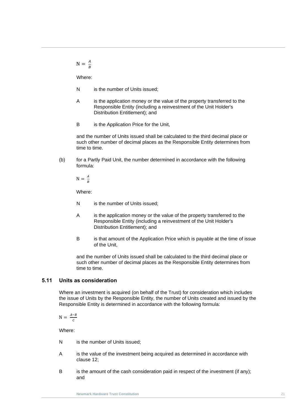$N = \frac{A}{R}$ B

Where:

- N is the number of Units issued:
- A is the application money or the value of the property transferred to the Responsible Entity (including a reinvestment of the Unit Holder's Distribution Entitlement); and
- **New Mark Hardware Trust Constitution**<br>
B is the Application Price for the Unit,

and the number of Units issued shall be calculated to the third decimal place or such other number of decimal places as the Responsible Entity determines from time to time.

(b) for a Partly Paid Unit, the number determined in accordance with the following formula:

 $N = \frac{A}{R}$ B

Where:

- N is the number of Units issued:
- A is the application money or the value of the property transferred to the Responsible Entity (including a reinvestment of the Unit Holder's Distribution Entitlement); and
- B is that amount of the Application Price which is payable at the time of issue of the Unit,

and the number of Units issued shall be calculated to the third decimal place or such other number of decimal places as the Responsible Entity determines from time to time.

#### <span id="page-27-0"></span>**5.11 Units as consideration**

Where an investment is acquired (on behalf of the Trust) for consideration which includes the issue of Units by the Responsible Entity, the number of Units created and issued by the Responsible Entity is determined in accordance with the following formula:

$$
N = \frac{A-B}{c}
$$

Where:

- N is the number of Units issued;
- A is the value of the investment being acquired as determined in accordance with clause 12;
- B is the amount of the cash consideration paid in respect of the investment (if any); and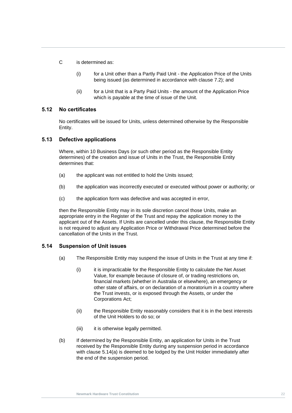C is determined as:

- (i) for a Unit other than a Partly Paid Unit the Application Price of the Units being issued (as determined in accordance with clause [7.2\)](#page-34-0); and
- (ii) for a Unit that is a Party Paid Units the amount of the Application Price which is payable at the time of issue of the Unit.

#### <span id="page-28-0"></span>**5.12 No certificates**

No certificates will be issued for Units, unless determined otherwise by the Responsible<br>Fatitu Entity.

#### <span id="page-28-1"></span>**5.13 Defective applications**

Where, within 10 Business Days (or such other period as the Responsible Entity determines) of the creation and issue of Units in the Trust, the Responsible Entity determines that:

- (a) the applicant was not entitled to hold the Units issued;
- (b) the application was incorrectly executed or executed without power or authority; or
- (c) the application form was defective and was accepted in error,

then the Responsible Entity may in its sole discretion cancel those Units, make an appropriate entry in the Register of the Trust and repay the application money to the applicant out of the Assets. If Units are cancelled under this clause, the Responsible Entity is not required to adjust any Application Price or Withdrawal Price determined before the cancellation of the Units in the Trust.

#### <span id="page-28-3"></span><span id="page-28-2"></span>**5.14 Suspension of Unit issues**

- (a) The Responsible Entity may suspend the issue of Units in the Trust at any time if:
	- (i) it is impracticable for the Responsible Entity to calculate the Net Asset Value, for example because of closure of, or trading restrictions on, financial markets (whether in Australia or elsewhere), an emergency or other state of affairs, or on declaration of a moratorium in a country where the Trust invests, or is exposed through the Assets, or under the Corporations Act;
	- (ii) the Responsible Entity reasonably considers that it is in the best interests of the Unit Holders to do so; or
	- (iii) it is otherwise legally permitted.
- (b) If determined by the Responsible Entity, an application for Units in the Trust received by the Responsible Entity during any suspension period in accordance with clause [5.14\(a\)](#page-28-3) is deemed to be lodged by the Unit Holder immediately after the end of the suspension period.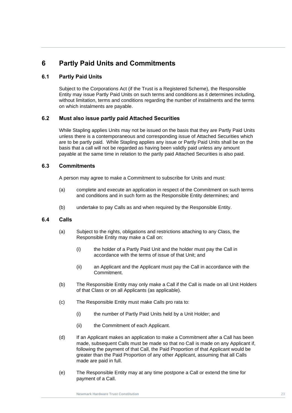## <span id="page-29-0"></span>**6 Partly Paid Units and Commitments**

#### <span id="page-29-1"></span>**6.1 Partly Paid Units**

Subject to the Corporations Act (if the Trust is a Registered Scheme), the Responsible Entity may issue Partly Paid Units on such terms and conditions as it determines including, without limitation, terms and conditions regarding the number of instalments and the terms on which instalments are payable.

## <span id="page-29-2"></span>**Newmark Hardware Trust Constitution 6.2 Must also issue partly paid Attached Securities**

While Stapling applies Units may not be issued on the basis that they are Partly Paid Units unless there is a contemporaneous and corresponding issue of Attached Securities which are to be partly paid. While Stapling applies any issue or Partly Paid Units shall be on the basis that a call will not be regarded as having been validly paid unless any amount payable at the same time in relation to the partly paid Attached Securities is also paid.

#### <span id="page-29-3"></span>**6.3 Commitments**

A person may agree to make a Commitment to subscribe for Units and must:

- (a) complete and execute an application in respect of the Commitment on such terms and conditions and in such form as the Responsible Entity determines; and
- (b) undertake to pay Calls as and when required by the Responsible Entity.

#### <span id="page-29-4"></span>**6.4 Calls**

- (a) Subject to the rights, obligations and restrictions attaching to any Class, the Responsible Entity may make a Call on:
	- (i) the holder of a Partly Paid Unit and the holder must pay the Call in accordance with the terms of issue of that Unit; and
	- (ii) an Applicant and the Applicant must pay the Call in accordance with the **Commitment**
- (b) The Responsible Entity may only make a Call if the Call is made on all Unit Holders of that Class or on all Applicants (as applicable).
- (c) The Responsible Entity must make Calls pro rata to:
	- (i) the number of Partly Paid Units held by a Unit Holder; and
	- (ii) the Commitment of each Applicant.
- (d) If an Applicant makes an application to make a Commitment after a Call has been made, subsequent Calls must be made so that no Call is made on any Applicant if, following the payment of that Call, the Paid Proportion of that Applicant would be greater than the Paid Proportion of any other Applicant, assuming that all Calls made are paid in full.
- (e) The Responsible Entity may at any time postpone a Call or extend the time for payment of a Call.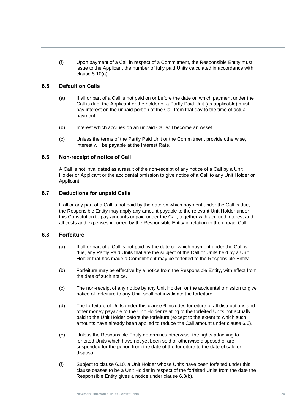(f) Upon payment of a Call in respect of a Commitment, the Responsible Entity must issue to the Applicant the number of fully paid Units calculated in accordance with clause [5.10\(a\).](#page-26-5)

#### <span id="page-30-0"></span>**6.5 Default on Calls**

- (a) If all or part of a Call is not paid on or before the date on which payment under the Call is due, the Applicant or the holder of a Partly Paid Unit (as applicable) must pay interest on the unpaid portion of the Call from that day to the time of actual payment.
- payment.<br>(b) Interest which accrues on an unpaid Call will become an Asset.
	- (c) Unless the terms of the Partly Paid Unit or the Commitment provide otherwise, interest will be payable at the Interest Rate.

#### <span id="page-30-1"></span>**6.6 Non-receipt of notice of Call**

A Call is not invalidated as a result of the non-receipt of any notice of a Call by a Unit Holder or Applicant or the accidental omission to give notice of a Call to any Unit Holder or Applicant.

#### <span id="page-30-2"></span>**6.7 Deductions for unpaid Calls**

If all or any part of a Call is not paid by the date on which payment under the Call is due, the Responsible Entity may apply any amount payable to the relevant Unit Holder under this Constitution to pay amounts unpaid under the Call, together with accrued interest and all costs and expenses incurred by the Responsible Entity in relation to the unpaid Call.

#### <span id="page-30-3"></span>**6.8 Forfeiture**

- (a) If all or part of a Call is not paid by the date on which payment under the Call is due, any Partly Paid Units that are the subject of the Call or Units held by a Unit Holder that has made a Commitment may be forfeited to the Responsible Entity.
- <span id="page-30-4"></span>(b) Forfeiture may be effective by a notice from the Responsible Entity, with effect from the date of such notice.
- (c) The non-receipt of any notice by any Unit Holder, or the accidental omission to give notice of forfeiture to any Unit, shall not invalidate the forfeiture.
- (d) The forfeiture of Units under this clause [6](#page-29-0) includes forfeiture of all distributions and other money payable to the Unit Holder relating to the forfeited Units not actually paid to the Unit Holder before the forfeiture (except to the extent to which such amounts have already been applied to reduce the Call amount under clause [6.6\)](#page-30-1).
- (e) Unless the Responsible Entity determines otherwise, the rights attaching to forfeited Units which have not yet been sold or otherwise disposed of are suspended for the period from the date of the forfeiture to the date of sale or disposal.
- (f) Subject to clause [6.10,](#page-31-1) a Unit Holder whose Units have been forfeited under this clause ceases to be a Unit Holder in respect of the forfeited Units from the date the Responsible Entity gives a notice under clause [6.8\(b\).](#page-30-4)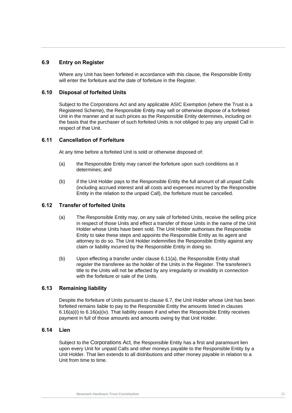#### <span id="page-31-0"></span>**6.9 Entry on Register**

Where any Unit has been forfeited in accordance with this clause, the Responsible Entity will enter the forfeiture and the date of forfeiture in the Register.

#### <span id="page-31-1"></span>**6.10 Disposal of forfeited Units**

Unit in the manner and at such prices as the Responsible Entity determines, including on<br>the basis that the purchaser of such forfeited Units is not obliged to pay any unpaid Call in Subject to the Corporations Act and any applicable ASIC Exemption (where the Trust is a Registered Scheme), the Responsible Entity may sell or otherwise dispose of a forfeited Unit in the manner and at such prices as the Responsible Entity determines, including on respect of that Unit.

#### <span id="page-31-2"></span>**6.11 Cancellation of Forfeiture**

At any time before a forfeited Unit is sold or otherwise disposed of:

- <span id="page-31-6"></span>(a) the Responsible Entity may cancel the forfeiture upon such conditions as it determines; and
- (b) if the Unit Holder pays to the Responsible Entity the full amount of all unpaid Calls (including accrued interest and all costs and expenses incurred by the Responsible Entity in the relation to the unpaid Call), the forfeiture must be cancelled.

#### <span id="page-31-3"></span>**6.12 Transfer of forfeited Units**

- (a) The Responsible Entity may, on any sale of forfeited Units, receive the selling price in respect of those Units and effect a transfer of those Units in the name of the Unit Holder whose Units have been sold. The Unit Holder authorises the Responsible Entity to take these steps and appoints the Responsible Entity as its agent and attorney to do so. The Unit Holder indemnifies the Responsible Entity against any claim or liability incurred by the Responsible Entity in doing so.
- (b) Upon effecting a transfer under clause [6.11\(a\),](#page-31-6) the Responsible Entity shall register the transferee as the holder of the Units in the Register. The transferee's title to the Units will not be affected by any irregularity or invalidity in connection with the forfeiture or sale of the Units.

#### <span id="page-31-4"></span>**6.13 Remaining liability**

Despite the forfeiture of Units pursuant to clause [6.7,](#page-30-2) the Unit Holder whose Unit has been forfeited remains liable to pay to the Responsible Entity the amounts listed in clauses 6.16(a)(i) to 6.16(a)(iv). That liability ceases if and when the Responsible Entity receives payment in full of those amounts and amounts owing by that Unit Holder.

#### <span id="page-31-5"></span>**6.14 Lien**

Subject to the Corporations Act*,* the Responsible Entity has a first and paramount lien upon every Unit for unpaid Calls and other moneys payable to the Responsible Entity by a Unit Holder. That lien extends to all distributions and other money payable in relation to a Unit from time to time.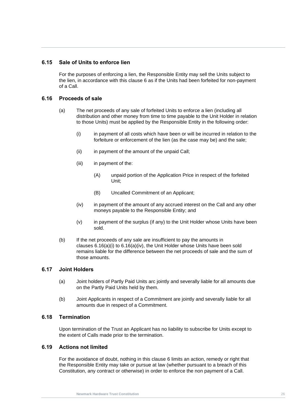#### <span id="page-32-0"></span>**6.15 Sale of Units to enforce lien**

For the purposes of enforcing a lien, the Responsible Entity may sell the Units subject to the lien, in accordance with this clause [6](#page-29-0) as if the Units had been forfeited for non-payment of a Call.

#### <span id="page-32-1"></span>**6.16 Proceeds of sale**

- distribution and other money from time to time payable to the Unit Holder in relation<br>to those Units) must be applied by the Responsible Entity in the following order: (a) The net proceeds of any sale of forfeited Units to enforce a lien (including all distribution and other money from time to time payable to the Unit Holder in relation
	- (i) in payment of all costs which have been or will be incurred in relation to the forfeiture or enforcement of the lien (as the case may be) and the sale;
	- (ii) in payment of the amount of the unpaid Call;
	- (iii) in payment of the:
		- (A) unpaid portion of the Application Price in respect of the forfeited Unit;
		- (B) Uncalled Commitment of an Applicant;
	- (iv) in payment of the amount of any accrued interest on the Call and any other moneys payable to the Responsible Entity; and
	- (v) in payment of the surplus (if any) to the Unit Holder whose Units have been sold.
	- (b) If the net proceeds of any sale are insufficient to pay the amounts in clauses 6.16(a)(i) to 6.16(a)(iv), the Unit Holder whose Units have been sold remains liable for the difference between the net proceeds of sale and the sum of those amounts.

#### <span id="page-32-2"></span>**6.17 Joint Holders**

- (a) Joint holders of Partly Paid Units arc jointly and severally liable for all amounts due on the Partly Paid Units held by them.
- (b) Joint Applicants in respect of a Commitment are jointly and severally liable for all amounts due in respect of a Commitment.

#### <span id="page-32-3"></span>**6.18 Termination**

Upon termination of the Trust an Applicant has no liability to subscribe for Units except to the extent of Calls made prior to the termination.

#### <span id="page-32-4"></span>**6.19 Actions not limited**

For the avoidance of doubt, nothing in this clause [6](#page-29-0) limits an action, remedy or right that the Responsible Entity may take or pursue at law (whether pursuant to a breach of this Constitution, any contract or otherwise) in order to enforce the non payment of a Call.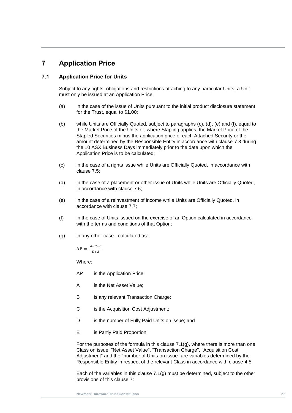## <span id="page-33-0"></span>**7 Application Price**

#### <span id="page-33-1"></span>**7.1 Application Price for Units**

Subject to any rights, obligations and restrictions attaching to any particular Units, a Unit must only be issued at an Application Price:

- (a) in the case of the issue of Units pursuant to the initial product disclosure statement for the Trust, equal to \$1.00;
- <span id="page-33-3"></span>(b) while Units are Officially Quoted, subject to paragraphs (c), (d), (e) and (f), equal to the Market Price of the Units or, where Stapling applies, the Market Price of the Stapled Securities minus the application price of each Attached Security or the amount determined by the Responsible Entity in accordance with clause [7.8](#page-36-2) during the 10 ASX Business Days immediately prior to the date upon which the Application Price is to be calculated;
	- (c) in the case of a rights issue while Units are Officially Quoted, in accordance with clause [7.5;](#page-35-0)
	- (d) in the case of a placement or other issue of Units while Units are Officially Quoted, in accordance with clause [7.6;](#page-36-0)
	- (e) in the case of a reinvestment of income while Units are Officially Quoted, in accordance with clause [7.7;](#page-36-1)
	- (f) in the case of Units issued on the exercise of an Option calculated in accordance with the terms and conditions of that Option:
	- (g) in any other case calculated as:

<span id="page-33-2"></span> $AP = \frac{A+B+C}{B+F}$  $D+E$ 

Where:

AP is the Application Price;

- A is the Net Asset Value;
- B is any relevant Transaction Charge;
- C is the Acquisition Cost Adjustment;
- D is the number of Fully Paid Units on issue; and
- E is Partly Paid Proportion.

For the purposes of the formula in this clause [7.1\(g\),](#page-33-2) where there is more than one Class on issue, "Net Asset Value", "Transaction Charge", "Acquisition Cost Adjustment" and the "number of Units on issue" are variables determined by the Responsible Entity in respect of the relevant Class in accordance with clause [4.5.](#page-21-0)

Each of the variables in this clause [7.1\(g\)](#page-33-2) must be determined, subject to the other provisions of this clause [7:](#page-33-0)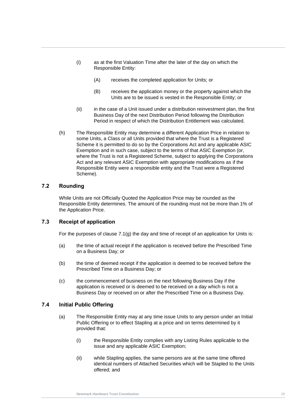- (i) as at the first Valuation Time after the later of the day on which the Responsible Entity:
	- (A) receives the completed application for Units; or
	- (B) receives the application money or the property against which the Units are to be issued is vested in the Responsible Entity; or
- Business Day of the next Distribution Period following the Distribution<br>Period in respect of which the Distribution Entitlement was calculated. (ii) in the case of a Unit issued under a distribution reinvestment plan, the first Business Day of the next Distribution Period following the Distribution
	- (h) The Responsible Entity may determine a different Application Price in relation to some Units, a Class or all Units provided that where the Trust is a Registered Scheme it is permitted to do so by the Corporations Act and any applicable ASIC Exemption and in such case, subject to the terms of that ASIC Exemption (or, where the Trust is not a Registered Scheme, subject to applying the Corporations Act and any relevant ASIC Exemption with appropriate modifications as if the Responsible Entity were a responsible entity and the Trust were a Registered Scheme).

#### <span id="page-34-0"></span>**7.2 Rounding**

While Units are not Officially Quoted the Application Price may be rounded as the Responsible Entity determines. The amount of the rounding must not be more than 1% of the Application Price.

#### <span id="page-34-1"></span>**7.3 Receipt of application**

For the purposes of clause  $7.1(q)$  the day and time of receipt of an application for Units is:

- (a) the time of actual receipt if the application is received before the Prescribed Time on a Business Day; or
- (b) the time of deemed receipt if the application is deemed to be received before the Prescribed Time on a Business Day; or
- (c) the commencement of business on the next following Business Day if the application is received or is deemed to be received on a day which is not a Business Day or received on or after the Prescribed Time on a Business Day.

#### <span id="page-34-2"></span>**7.4 Initial Public Offering**

- (a) The Responsible Entity may at any time issue Units to any person under an Initial Public Offering or to effect Stapling at a price and on terms determined by it provided that:
	- (i) the Responsible Entity complies with any Listing Rules applicable to the issue and any applicable ASIC Exemption;
	- (ii) while Stapling applies, the same persons are at the same time offered identical numbers of Attached Securities which will be Stapled to the Units offered; and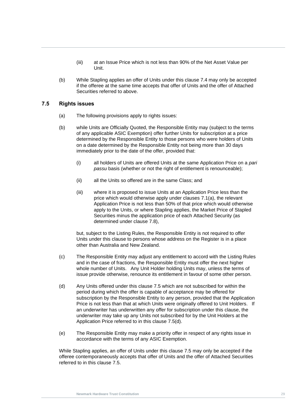- (iii) at an Issue Price which is not less than 90% of the Net Asset Value per Unit.
- (b) While Stapling applies an offer of Units under this clause [7.4](#page-34-2) may only be accepted if the offeree at the same time accepts that offer of Units and the offer of Attached Securities referred to above.

#### <span id="page-35-0"></span>**7.5 Rights issues**

- (a) The following provisions apply to rights issues:
- (a) the following provisions apply to rights issues:<br>(b) while Units are Officially Quoted, the Responsible Entity may (subject to the terms of any applicable ASIC Exemption) offer further Units for subscription at a price determined by the Responsible Entity to those persons who were holders of Units on a date determined by the Responsible Entity not being more than 30 days immediately prior to the date of the offer, provided that:
	- (i) all holders of Units are offered Units at the same Application Price on a *pari passu* basis (whether or not the right of entitlement is renounceable);
	- (ii) all the Units so offered are in the same Class; and
	- (iii) where it is proposed to issue Units at an Application Price less than the price which would otherwise apply under clauses [7.1\(a\),](#page-33-3) the relevant Application Price is not less than 50% of that price which would otherwise apply to the Units, or where Stapling applies, the Market Price of Stapled Securities minus the application price of each Attached Security (as determined under clause [7.8\)](#page-36-2),

but, subject to the Listing Rules, the Responsible Entity is not required to offer Units under this clause to persons whose address on the Register is in a place other than Australia and New Zealand.

- (c) The Responsible Entity may adjust any entitlement to accord with the Listing Rules and in the case of fractions, the Responsible Entity must offer the next higher whole number of Units. Any Unit Holder holding Units may, unless the terms of issue provide otherwise, renounce its entitlement in favour of some other person.
- <span id="page-35-1"></span>(d) Any Units offered under this clause [7.5](#page-35-0) which are not subscribed for within the period during which the offer is capable of acceptance may be offered for subscription by the Responsible Entity to any person, provided that the Application Price is not less than that at which Units were originally offered to Unit Holders. If an underwriter has underwritten any offer for subscription under this clause, the underwriter may take up any Units not subscribed for by the Unit Holders at the Application Price referred to in this clause [7.5\(d\).](#page-35-1)
- (e) The Responsible Entity may make a priority offer in respect of any rights issue in accordance with the terms of any ASIC Exemption.

While Stapling applies, an offer of Units under this clause [7.5](#page-35-0) may only be accepted if the offeree contemporaneously accepts that offer of Units and the offer of Attached Securities referred to in this clause [7.5.](#page-35-0)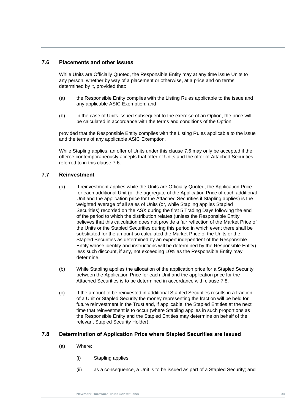### <span id="page-36-0"></span>**7.6 Placements and other issues**

While Units are Officially Quoted, the Responsible Entity may at any time issue Units to any person, whether by way of a placement or otherwise, at a price and on terms determined by it, provided that:

- (a) the Responsible Entity complies with the Listing Rules applicable to the issue and any applicable ASIC Exemption; and
- (b) in the case of Units issued subsequent to the exercise of an Option, the price will<br>be calculated in accordance with the terms and conditions of the Option, (b) in the case of Units issued subsequent to the exercise of an Option, the price will

provided that the Responsible Entity complies with the Listing Rules applicable to the issue and the terms of any applicable ASIC Exemption.

While Stapling applies, an offer of Units under this clause [7.6](#page-36-0) may only be accepted if the offeree contemporaneously accepts that offer of Units and the offer of Attached Securities referred to in this clause [7.6.](#page-36-0)

## **7.7 Reinvestment**

- (a) If reinvestment applies while the Units are Officially Quoted, the Application Price for each additional Unit (or the aggregate of the Application Price of each additional Unit and the application price for the Attached Securities if Stapling applies) is the weighted average of all sales of Units (or, while Stapling applies Stapled Securities) recorded on the ASX during the first 5 Trading Days following the end of the period to which the distribution relates (unless the Responsible Entity believes that this calculation does not provide a fair reflection of the Market Price of the Units or the Stapled Securities during this period in which event there shall be substituted for the amount so calculated the Market Price of the Units or the Stapled Securities as determined by an expert independent of the Responsible Entity whose identity and instructions will be determined by the Responsible Entity) less such discount, if any, not exceeding 10% as the Responsible Entity may determine.
- (b) While Stapling applies the allocation of the application price for a Stapled Security between the Application Price for each Unit and the application price for the Attached Securities is to be determined in accordance with clause [7.8.](#page-36-1)
- (c) If the amount to be reinvested in additional Stapled Securities results in a fraction of a Unit or Stapled Security the money representing the fraction will be held for future reinvestment in the Trust and, if applicable, the Stapled Entities at the next time that reinvestment is to occur (where Stapling applies in such proportions as the Responsible Entity and the Stapled Entities may determine on behalf of the relevant Stapled Security Holder).

#### <span id="page-36-1"></span>**7.8 Determination of Application Price where Stapled Securities are issued**

- (a) Where:
	- (i) Stapling applies;
	- (ii) as a consequence, a Unit is to be issued as part of a Stapled Security; and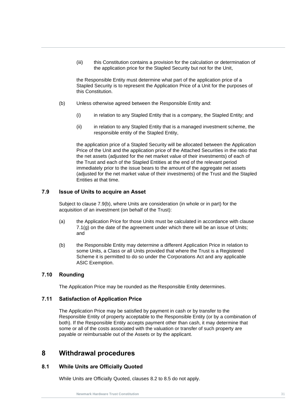(iii) this Constitution contains a provision for the calculation or determination of the application price for the Stapled Security but not for the Unit,

the Responsible Entity must determine what part of the application price of a Stapled Security is to represent the Application Price of a Unit for the purposes of this Constitution.

- (b) Unless otherwise agreed between the Responsible Entity and:
- (i) in relation to any Stapled Entity that is a company, the Stapled Entity; and<br>(ii) in relation to any Stapled Entity that is a managed investment scheme, the
	- (ii) in relation to any Stapled Entity that is a managed investment scheme, the responsible entity of the Stapled Entity,

the application price of a Stapled Security will be allocated between the Application Price of the Unit and the application price of the Attached Securities in the ratio that the net assets (adjusted for the net market value of their investments) of each of the Trust and each of the Stapled Entities at the end of the relevant period immediately prior to the issue bears to the amount of the aggregate net assets (adjusted for the net market value of their investments) of the Trust and the Stapled Entities at that time.

## **7.9 Issue of Units to acquire an Asset**

Subject to clause [7.9\(b\),](#page-37-0) where Units are consideration (in whole or in part) for the acquisition of an investment (on behalf of the Trust):

- (a) the Application Price for those Units must be calculated in accordance with clause [7.1\(g\)](#page-33-0) on the date of the agreement under which there will be an issue of Units; and
- <span id="page-37-0"></span>(b) the Responsible Entity may determine a different Application Price in relation to some Units, a Class or all Units provided that where the Trust is a Registered Scheme it is permitted to do so under the Corporations Act and any applicable ASIC Exemption.

#### **7.10 Rounding**

The Application Price may be rounded as the Responsible Entity determines.

#### **7.11 Satisfaction of Application Price**

The Application Price may be satisfied by payment in cash or by transfer to the Responsible Entity of property acceptable to the Responsible Entity (or by a combination of both). If the Responsible Entity accepts payment other than cash, it may determine that some or all of the costs associated with the valuation or transfer of such property are payable or reimbursable out of the Assets or by the applicant.

# <span id="page-37-1"></span>**8 Withdrawal procedures**

#### **8.1 While Units are Officially Quoted**

While Units are Officially Quoted, clauses [8.2](#page-38-0) to [8.5](#page-41-0) do not apply.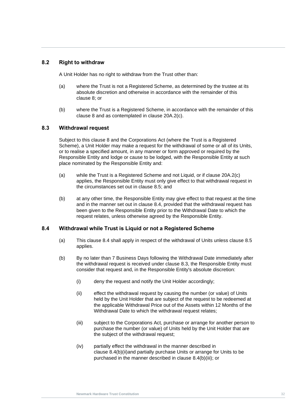# <span id="page-38-0"></span>**8.2 Right to withdraw**

A Unit Holder has no right to withdraw from the Trust other than:

- (a) where the Trust is not a Registered Scheme, as determined by the trustee at its absolute discretion and otherwise in accordance with the remainder of this clause [8;](#page-37-1) or
- clause 8 and as contemplated in clause 20A.2(c).<br> **C.2. Mithelances I request** (b) where the Trust is a Registered Scheme, in accordance with the remainder of this

#### <span id="page-38-2"></span>**8.3 Withdrawal request**

Subject to this clause [8](#page-37-1) and the Corporations Act (where the Trust is a Registered Scheme), a Unit Holder may make a request for the withdrawal of some or all of its Units, or to realise a specified amount, in any manner or form approved or required by the Responsible Entity and lodge or cause to be lodged, with the Responsible Entity at such place nominated by the Responsible Entity and:

- (a) while the Trust is a Registered Scheme and not Liquid, or if clause 20A.2(c) applies, the Responsible Entity must only give effect to that withdrawal request in the circumstances set out in clause [8.5;](#page-41-0) and
- (b) at any other time, the Responsible Entity may give effect to that request at the time and in the manner set out in clause [8.4,](#page-38-1) provided that the withdrawal request has been given to the Responsible Entity prior to the Withdrawal Date to which the request relates, unless otherwise agreed by the Responsible Entity.

#### <span id="page-38-1"></span>**8.4 Withdrawal while Trust is Liquid or not a Registered Scheme**

- (a) This clause [8.4](#page-38-1) shall apply in respect of the withdrawal of Units unless clause [8.5](#page-41-0) applies.
- <span id="page-38-4"></span><span id="page-38-3"></span>(b) By no later than 7 Business Days following the Withdrawal Date immediately after the withdrawal request is received under clause [8.3,](#page-38-2) the Responsible Entity must consider that request and, in the Responsible Entity's absolute discretion:
	- (i) deny the request and notify the Unit Holder accordingly;
	- (ii) effect the withdrawal request by causing the number (or value) of Units held by the Unit Holder that are subject of the request to be redeemed at the applicable Withdrawal Price out of the Assets within 12 Months of the Withdrawal Date to which the withdrawal request relates;
	- (iii) subject to the Corporations Act*,* purchase or arrange for another person to purchase the number (or value) of Units held by the Unit Holder that are the subject of the withdrawal request;
	- (iv) partially effect the withdrawal in the manner described in clause [8.4\(b\)\(ii\)a](#page-38-3)nd partially purchase Units or arrange for Units to be purchased in the manner described in clause [8.4\(b\)\(iii\);](#page-38-4) or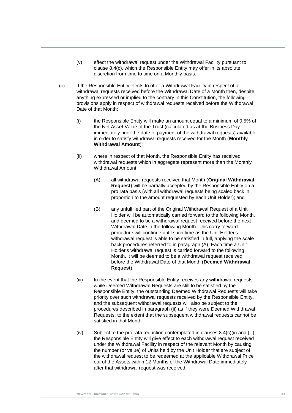- (v) effect the withdrawal request under the Withdrawal Facility pursuant to clause [8.4\(c\),](#page-39-0) which the Responsible Entity may offer in its absolute discretion from time to time on a Monthly basis.
- <span id="page-39-0"></span>(c) If the Responsible Entity elects to offer a Withdrawal Facility in respect of all withdrawal requests received before the Withdrawal Date of a Month then, despite anything expressed or implied to the contrary in this Constitution, the following provisions apply in respect of withdrawal requests received before the Withdrawal Date of that Month:
- <span id="page-39-2"></span><span id="page-39-1"></span>(i) the Responsible Entity will make an amount equal to a minimum of 0.5% of<br>the Net Asset Value of the Trust (calculated as at the Business Day the Net Asset Value of the Trust (calculated as at the Business Day immediately prior the date of payment of the withdrawal requests) available in order to satisfy withdrawal requests received for the Month (**Monthly Withdrawal Amount**);
	- (ii) where in respect of that Month, the Responsible Entity has received withdrawal requests which in aggregate represent more than the Monthly Withdrawal Amount:
		- (A) all withdrawal requests received that Month (**Original Withdrawal Request**) will be partially accepted by the Responsible Entity on a pro rata basis (with all withdrawal requests being scaled back in proportion to the amount requested by each Unit Holder); and
		- (B) any unfulfilled part of the Original Withdrawal Request of a Unit Holder will be automatically carried forward to the following Month, and deemed to be a withdrawal request received before the next Withdrawal Date in the following Month. This carry forward procedure will continue until such time as the Unit Holder's withdrawal request is able to be satisfied in full, applying the scale back procedures referred to in paragraph (A). Each time a Unit Holder's withdrawal request is carried forward to the following Month, it will be deemed to be a withdrawal request received before the Withdrawal Date of that Month (**Deemed Withdrawal Request**).
	- (iii) In the event that the Responsible Entity receives any withdrawal requests while Deemed Withdrawal Requests are still to be satisfied by the Responsible Entity, the outstanding Deemed Withdrawal Requests will take priority over such withdrawal requests received by the Responsible Entity, and the subsequent withdrawal requests will also be subject to the procedures described in paragraph (ii) as if they were Deemed Withdrawal Requests, to the extent that the subsequent withdrawal requests cannot be satisfied in that Month.
	- (iv) Subject to the pro rata reduction contemplated in clauses [8.4\(c\)\(ii\)](#page-39-1) and [\(iii\),](#page-39-2) the Responsible Entity will give effect to each withdrawal request received under the Withdrawal Facility in respect of the relevant Month by causing the number (or value) of Units held by the Unit Holder that are subject of the withdrawal request to be redeemed at the applicable Withdrawal Price out of the Assets within 12 Months of the Withdrawal Date immediately after that withdrawal request was received.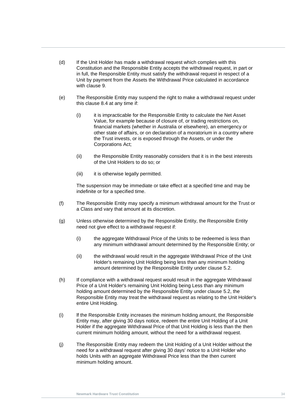- (d) If the Unit Holder has made a withdrawal request which complies with this Constitution and the Responsible Entity accepts the withdrawal request, in part or in full, the Responsible Entity must satisfy the withdrawal request in respect of a Unit by payment from the Assets the Withdrawal Price calculated in accordance with clause [9.](#page-43-0)
- (e) The Responsible Entity may suspend the right to make a withdrawal request under this clause [8.4](#page-38-1) at any time if:
- (I) It is impracticable for the Responsible Entity to calculate the Net Asset<br>Value, for example because of closure of, or trading restrictions on,<br>financial markets (whether in Australia or elsewhere), an emergency or (i) it is impracticable for the Responsible Entity to calculate the Net Asset financial markets (whether in Australia or elsewhere), an emergency or other state of affairs, or on declaration of a moratorium in a country where the Trust invests, or is exposed through the Assets, or under the Corporations Act;
	- (ii) the Responsible Entity reasonably considers that it is in the best interests of the Unit Holders to do so; or
	- (iii) it is otherwise legally permitted.

The suspension may be immediate or take effect at a specified time and may be indefinite or for a specified time.

- (f) The Responsible Entity may specify a minimum withdrawal amount for the Trust or a Class and vary that amount at its discretion.
- (g) Unless otherwise determined by the Responsible Entity, the Responsible Entity need not give effect to a withdrawal request if:
	- (i) the aggregate Withdrawal Price of the Units to be redeemed is less than any minimum withdrawal amount determined by the Responsible Entity; or
	- (ii) the withdrawal would result in the aggregate Withdrawal Price of the Unit Holder's remaining Unit Holding being less than any minimum holding amount determined by the Responsible Entity under clause [5.2.](#page-25-0)
- (h) If compliance with a withdrawal request would result in the aggregate Withdrawal Price of a Unit Holder's remaining Unit Holding being Less than any minimum holding amount determined by the Responsible Entity under clause [5.2,](#page-25-0) the Responsible Entity may treat the withdrawal request as relating to the Unit Holder's entire Unit Holding.
- (i) lf the Responsible Entity increases the minimum holding amount, the Responsible Entity may, after giving 30 days notice, redeem the entire Unit Holding of a Unit Holder if the aggregate Withdrawal Price of that Unit Holding is less than the then current minimum holding amount, without the need for a withdrawal request.
- (j) The Responsible Entity may redeem the Unit Holding of a Unit Holder without the need for a withdrawal request after giving 30 days' notice to a Unit Holder who holds Units with an aggregate Withdrawal Price less than the then current minimum holding amount.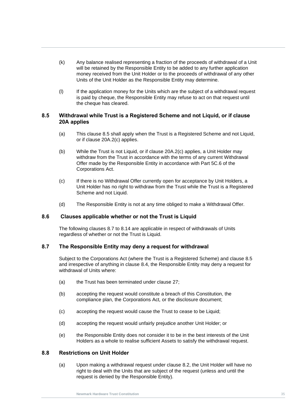- (k) Any balance realised representing a fraction of the proceeds of withdrawal of a Unit will be retained by the Responsible Entity to be added to any further application money received from the Unit Holder or to the proceeds of withdrawal of any other Units of the Unit Holder as the Responsible Entity may determine.
- (l) If the application money for the Units which are the subject of a withdrawal request is paid by cheque, the Responsible Entity may refuse to act on that request until the cheque has cleared.

# <span id="page-41-0"></span>8.5 Withdrawal while Trust is a Registered Scheme and not Liquid, or if clause<br>20A applies **20A applies**

- (a) This clause [8.5](#page-41-0) shall apply when the Trust is a Registered Scheme and not Liquid, or if clause 20A.2(c) applies.
- (b) While the Trust is not Liquid, or if clause 20A.2(c) applies, a Unit Holder may withdraw from the Trust in accordance with the terms of any current Withdrawal Offer made by the Responsible Entity in accordance with Part 5C.6 of the Corporations Act.
- (c) If there is no Withdrawal Offer currently open for acceptance by Unit Holders, a Unit Holder has no right to withdraw from the Trust while the Trust is a Registered Scheme and not Liquid.
- (d) The Responsible Entity is not at any time obliged to make a Withdrawal Offer.

#### **8.6 Clauses applicable whether or not the Trust is Liquid**

The following clauses [8.7](#page-41-1) to [8.14](#page-42-0) are applicable in respect of withdrawals of Units regardless of whether or not the Trust is Liquid.

#### <span id="page-41-1"></span>**8.7 The Responsible Entity may deny a request for withdrawal**

Subject to the Corporations Act (where the Trust is a Registered Scheme) and clause [8.5](#page-41-0) and irrespective of anything in clause [8.4,](#page-38-1) the Responsible Entity may deny a request for withdrawal of Units where:

- (a) the Trust has been terminated under clause [27;](#page-75-0)
- (b) accepting the request would constitute a breach of this Constitution, the compliance plan, the Corporations Act*,* or the disclosure document;
- (c) accepting the request would cause the Trust to cease to be Liquid;
- (d) accepting the request would unfairly prejudice another Unit Holder; or
- (e) the Responsible Entity does not consider it to be in the best interests of the Unit Holders as a whole to realise sufficient Assets to satisfy the withdrawal request.

# **8.8 Restrictions on Unit Holder**

(a) Upon making a withdrawal request under clause [8.2,](#page-38-0) the Unit Holder will have no right to deal with the Units that are subject of the request (unless and until the request is denied by the Responsible Entity).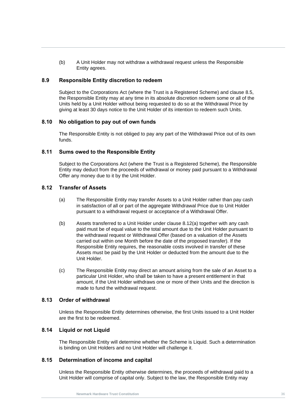(b) A Unit Holder may not withdraw a withdrawal request unless the Responsible Entity agrees.

## **8.9 Responsible Entity discretion to redeem**

Subject to the Corporations Act (where the Trust is a Registered Scheme) and clause [8.5,](#page-41-0) the Responsible Entity may at any time in its absolute discretion redeem some or all of the Units held by a Unit Holder without being requested to do so at the Withdrawal Price by giving at least 30 days notice to the Unit Holder of its intention to redeem such Units.

# **Newmark Hardware Trust Constitution 8.10 No obligation to pay out of own funds**

The Responsible Entity is not obliged to pay any part of the Withdrawal Price out of its own funds.

## **8.11 Sums owed to the Responsible Entity**

Subject to the Corporations Act (where the Trust is a Registered Scheme), the Responsible Entity may deduct from the proceeds of withdrawal or money paid pursuant to a Withdrawal Offer any money due to it by the Unit Holder.

## <span id="page-42-1"></span>**8.12 Transfer of Assets**

- (a) The Responsible Entity may transfer Assets to a Unit Holder rather than pay cash in satisfaction of all or part of the aggregate Withdrawal Price due to Unit Holder pursuant to a withdrawal request or acceptance of a Withdrawal Offer.
- (b) Assets transferred to a Unit Holder under clause [8.12\(a\)](#page-42-1) together with any cash paid must be of equal value to the total amount due to the Unit Holder pursuant to the withdrawal request or Withdrawal Offer (based on a valuation of the Assets carried out within one Month before the date of the proposed transfer). If the Responsible Entity requires, the reasonable costs involved in transfer of these Assets must be paid by the Unit Holder or deducted from the amount due to the Unit Holder.
- <span id="page-42-2"></span>(c) The Responsible Entity may direct an amount arising from the sale of an Asset to a particular Unit Holder, who shall be taken to have a present entitlement in that amount, if the Unit Holder withdraws one or more of their Units and the direction is made to fund the withdrawal request.

#### **8.13 Order of withdrawal**

Unless the Responsible Entity determines otherwise, the first Units issued to a Unit Holder are the first to be redeemed.

# <span id="page-42-0"></span>**8.14 Liquid or not Liquid**

The Responsible Entity will determine whether the Scheme is Liquid. Such a determination is binding on Unit Holders and no Unit Holder will challenge it.

#### **8.15 Determination of income and capital**

Unless the Responsible Entity otherwise determines, the proceeds of withdrawal paid to a Unit Holder will comprise of capital only. Subject to the law, the Responsible Entity may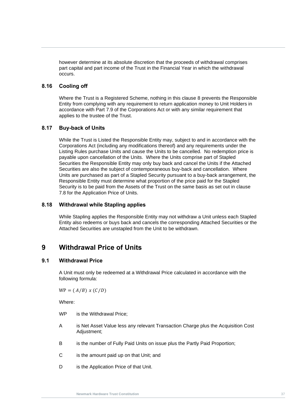however determine at its absolute discretion that the proceeds of withdrawal comprises part capital and part income of the Trust in the Financial Year in which the withdrawal occurs.

### **8.16 Cooling off**

applies to the trustee of the Trust.<br>**C.17** Principals of United Where the Trust is a Registered Scheme, nothing in this clause [8](#page-37-1) prevents the Responsible Entity from complying with any requirement to return application money to Unit Holders in accordance with Part 7.9 of the Corporations Act or with any similar requirement that applies to the trustee of the Trust.

## **8.17 Buy-back of Units**

While the Trust is Listed the Responsible Entity may, subject to and in accordance with the Corporations Act (including any modifications thereof) and any requirements under the Listing Rules purchase Units and cause the Units to be cancelled. No redemption price is payable upon cancellation of the Units. Where the Units comprise part of Stapled Securities the Responsible Entity may only buy back and cancel the Units if the Attached Securities are also the subject of contemporaneous buy-back and cancellation. Where Units are purchased as part of a Stapled Security pursuant to a buy-back arrangement, the Responsible Entity must determine what proportion of the price paid for the Stapled Security is to be paid from the Assets of the Trust on the same basis as set out in clause [7.8](#page-36-1) for the Application Price of Units.

### **8.18 Withdrawal while Stapling applies**

While Stapling applies the Responsible Entity may not withdraw a Unit unless each Stapled Entity also redeems or buys back and cancels the corresponding Attached Securities or the Attached Securities are unstapled from the Unit to be withdrawn.

# <span id="page-43-0"></span>**9 Withdrawal Price of Units**

# <span id="page-43-1"></span>**9.1 Withdrawal Price**

A Unit must only be redeemed at a Withdrawal Price calculated in accordance with the following formula:

 $WP = (A/B) x (C/D)$ 

Where:

- WP is the Withdrawal Price;
- A is Net Asset Value less any relevant Transaction Charge plus the Acquisition Cost Adiustment:
- B is the number of Fully Paid Units on issue plus the Partly Paid Proportion;
- C is the amount paid up on that Unit; and
- D is the Application Price of that Unit.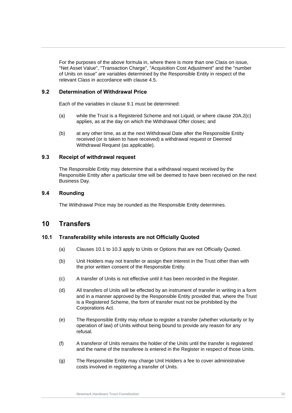For the purposes of the above formula in, where there is more than one Class on issue, "Net Asset Value", "Transaction Charge", "Acquisition Cost Adjustment" and the "number of Units on issue" are variables determined by the Responsible Entity in respect of the relevant Class in accordance with clause [4.5.](#page-21-0)

## **9.2 Determination of Withdrawal Price**

Each of the variables in clause [9.1](#page-43-1) must be determined:

- (a) while the Trust is a Registered Scheme and not Liquid, or where clause 20A.2(c)<br>applies, as at the day on which the Withdrawal Offer closes; and (a) while the Trust is a Registered Scheme and not Liquid, or where clause 20A.2(c)
	- (b) at any other time, as at the next Withdrawal Date after the Responsible Entity received (or is taken to have received) a withdrawal request or Deemed Withdrawal Request (as applicable).

#### **9.3 Receipt of withdrawal request**

The Responsible Entity may determine that a withdrawal request received by the Responsible Entity after a particular time will be deemed to have been received on the next Business Day.

## **9.4 Rounding**

The Withdrawal Price may be rounded as the Responsible Entity determines.

# <span id="page-44-1"></span>**10 Transfers**

#### <span id="page-44-0"></span>**10.1 Transferability while interests are not Officially Quoted**

- (a) Clauses [10.1](#page-44-0) to [10.3](#page-45-0) apply to Units or Options that are not Officially Quoted.
- (b) Unit Holders may not transfer or assign their interest in the Trust other than with the prior written consent of the Responsible Entity.
- (c) A transfer of Units is not effective until it has been recorded in the Register.
- (d) All transfers of Units will be effected by an instrument of transfer in writing in a form and in a manner approved by the Responsible Entity provided that, where the Trust is a Registered Scheme, the form of transfer must not be prohibited by the Corporations Act*.*
- (e) The Responsible Entity may refuse to register a transfer (whether voluntarily or by operation of law) of Units without being bound to provide any reason for any refusal.
- (f) A transferor of Units remains the holder of the Units until the transfer is registered and the name of the transferee is entered in the Register in respect of those Units.
- (g) The Responsible Entity may charge Unit Holders a fee to cover administrative costs involved in registering a transfer of Units.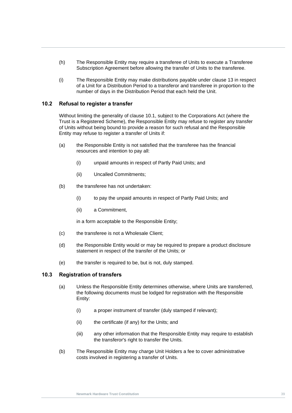- (h) The Responsible Entity may require a transferee of Units to execute a Transferee Subscription Agreement before allowing the transfer of Units to the transferee.
- (i) The Responsible Entity may make distributions payable under clause [13](#page-48-0) in respect of a Unit for a Distribution Period to a transferor and transferee in proportion to the number of days in the Distribution Period that each held the Unit.

#### **10.2 Refusal to register a transfer**

Without limiting the generality of clause 10.1, subject to the Corporations Act (where the<br>Trust is a Registered Scheme), the Responsible Entity may refuse to register any transfer<br>of Unite without heing hound to provide a Without limiting the generality of clause [10.1,](#page-44-0) subject to the Corporations Act (where the of Units without being bound to provide a reason for such refusal and the Responsible Entity may refuse to register a transfer of Units if:

- (a) the Responsible Entity is not satisfied that the transferee has the financial resources and intention to pay all:
	- (i) unpaid amounts in respect of Partly Paid Units; and
	- (ii) Uncalled Commitments;
- (b) the transferee has not undertaken:
	- (i) to pay the unpaid amounts in respect of Partly Paid Units; and
	- (ii) a Commitment,

in a form acceptable to the Responsible Entity;

- (c) the transferee is not a Wholesale Client;
- (d) the Responsible Entity would or may be required to prepare a product disclosure statement in respect of the transfer of the Units; or
- (e) the transfer is required to be, but is not, duly stamped.

#### <span id="page-45-0"></span>**10.3 Registration of transfers**

- (a) Unless the Responsible Entity determines otherwise, where Units are transferred, the following documents must be lodged for registration with the Responsible Entity:
	- (i) a proper instrument of transfer (duly stamped if relevant);
	- (ii) the certificate (if any) for the Units; and
	- (iii) any other information that the Responsible Entity may require to establish the transferor's right to transfer the Units.
- (b) The Responsible Entity may charge Unit Holders a fee to cover administrative costs involved in registering a transfer of Units.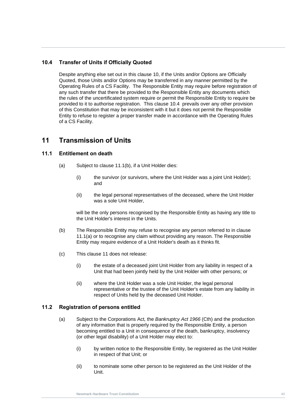# <span id="page-46-0"></span>**10.4 Transfer of Units if Officially Quoted**

Entity to refuse to register a proper transfer made in accordance with the Operating Rules<br>of a CS Facility. Despite anything else set out in this clause [10,](#page-44-1) if the Units and/or Options are Officially Quoted, those Units and/or Options may be transferred in any manner permitted by the Operating Rules of a CS Facility. The Responsible Entity may require before registration of any such transfer that there be provided to the Responsible Entity any documents which the rules of the uncertificated system require or permit the Responsible Entity to require be provided to it to authorise registration. This clause [10.4](#page-46-0) prevails over any other provision of this Constitution that may be inconsistent with it but it does not permit the Responsible of a CS Facility.

# <span id="page-46-3"></span>**11 Transmission of Units**

# <span id="page-46-2"></span>**11.1 Entitlement on death**

- (a) Subject to clause [11.1\(b\),](#page-46-1) if a Unit Holder dies:
	- (i) the survivor (or survivors, where the Unit Holder was a joint Unit Holder); and
	- (ii) the legal personal representatives of the deceased, where the Unit Holder was a sole Unit Holder,

will be the only persons recognised by the Responsible Entity as having any title to the Unit Holder's interest in the Units.

- <span id="page-46-1"></span>(b) The Responsible Entity may refuse to recognise any person referred to in clause [11.1\(a\)](#page-46-2) or to recognise any claim without providing any reason. The Responsible Entity may require evidence of a Unit Holder's death as it thinks fit.
- (c) This clause [11](#page-46-3) does not release:
	- (i) the estate of a deceased joint Unit Holder from any liability in respect of a Unit that had been jointly held by the Unit Holder with other persons; or
	- (ii) where the Unit Holder was a sole Unit Holder, the legal personal representative or the trustee of the Unit Holder's estate from any liability in respect of Units held by the deceased Unit Holder.

# **11.2 Registration of persons entitled**

- (a) Subject to the Corporations Act*,* the *Bankruptcy Act 1966* (Cth) and the production of any information that is properly required by the Responsible Entity, a person becoming entitled to a Unit in consequence of the death, bankruptcy, insolvency (or other legal disability) of a Unit Holder may elect to:
	- (i) by written notice to the Responsible Entity, be registered as the Unit Holder in respect of that Unit; or
	- (ii) to nominate some other person to be registered as the Unit Holder of the Unit.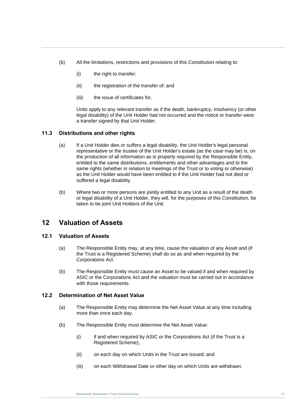- (b) All the limitations, restrictions and provisions of this Constitution relating to:
	- (i) the right to transfer;
	- (ii) the registration of the transfer of; and
	- (iii) the issue of certificates for,

legal disability) of the Unit Holder had not occurred and the notice or transfer were<br>a transfer signed by that Unit Holder. Units apply to any relevant transfer as if the death, bankruptcy, insolvency (or other a transfer signed by that Unit Holder.

# **11.3 Distributions and other rights**

- (a) If a Unit Holder dies or suffers a legal disability, the Unit Holder's legal personal representative or the trustee of the Unit Holder's estate (as the case may be) is, on the production of all information as is properly required by the Responsible Entity, entitled to the same distributions, entitlements and other advantages and to the same rights (whether in relation to meetings of the Trust or to voting or otherwise) as the Unit Holder would have been entitled to if the Unit Holder had not died or suffered a legal disability.
- (b) Where two or more persons are jointly entitled to any Unit as a result of the death or legal disability of a Unit Holder, they will, for the purposes of this Constitution, be taken to be joint Unit Holders of the Unit.

# **12 Valuation of Assets**

#### **12.1 Valuation of Assets**

- (a) The Responsible Entity may, at any time, cause the valuation of any Asset and (if the Trust is a Registered Scheme) shall do so as and when required by the Corporations Act.
- (b) The Responsible Entity must cause an Asset to be valued if and when required by ASIC or the Corporations Act and the valuation must be carried out in accordance with those requirements.

## **12.2 Determination of Net Asset Value**

- (a) The Responsible Entity may determine the Net Asset Value at any time including more than once each day.
- (b) The Responsible Entity must determine the Net Asset Value:
	- (i) if and when required by ASIC or the Corporations Act (if the Trust is a Registered Scheme);
	- (ii) on each day on which Units in the Trust are issued; and
	- (iii) on each Withdrawal Date or other day on which Units are withdrawn.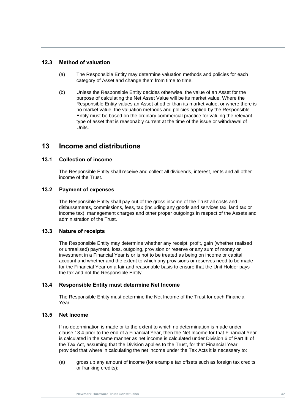# **12.3 Method of valuation**

- (a) The Responsible Entity may determine valuation methods and policies for each category of Asset and change them from time to time.
- Entity must be based on the ordinary commercial practice for valuing the relevant<br>type of asset that is reasonably current at the time of the issue or withdrawal of (b) Unless the Responsible Entity decides otherwise, the value of an Asset for the purpose of calculating the Net Asset Value will be its market value. Where the Responsible Entity values an Asset at other than its market value, or where there is no market value, the valuation methods and policies applied by the Responsible Entity must be based on the ordinary commercial practice for valuing the relevant Units.

# <span id="page-48-0"></span>**13 Income and distributions**

# **13.1 Collection of income**

The Responsible Entity shall receive and collect all dividends, interest, rents and all other income of the Trust.

# **13.2 Payment of expenses**

The Responsible Entity shall pay out of the gross income of the Trust all costs and disbursements, commissions, fees, tax (including any goods and services tax, land tax or income tax), management charges and other proper outgoings in respect of the Assets and administration of the Trust.

#### **13.3 Nature of receipts**

The Responsible Entity may determine whether any receipt, profit, gain (whether realised or unrealised) payment, loss, outgoing, provision or reserve or any sum of money or investment in a Financial Year is or is not to be treated as being on income or capital account and whether and the extent to which any provisions or reserves need to be made for the Financial Year on a fair and reasonable basis to ensure that the Unit Holder pays the tax and not the Responsible Entity.

# <span id="page-48-1"></span>**13.4 Responsible Entity must determine Net Income**

The Responsible Entity must determine the Net Income of the Trust for each Financial Year.

# <span id="page-48-2"></span>**13.5 Net Income**

If no determination is made or to the extent to which no determination is made under clause [13.4](#page-48-1) prior to the end of a Financial Year, then the Net Income for that Financial Year is calculated in the same manner as net income is calculated under Division 6 of Part III of the Tax Act, assuming that the Division applies to the Trust, for that Financial Year provided that where in calculating the net income under the Tax Acts it is necessary to:

(a) gross up any amount of income (for example tax offsets such as foreign tax credits or franking credits);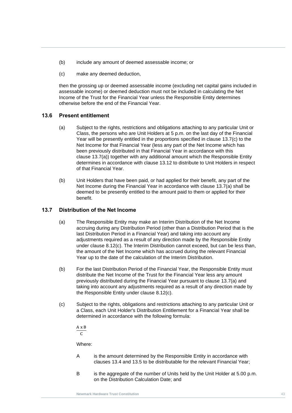- (b) include any amount of deemed assessable income; or
- (c) make any deemed deduction,

then the grossing up or deemed assessable income (excluding net capital gains included in assessable income) or deemed deduction must not be included in calculating the Net Income of the Trust for the Financial Year unless the Responsible Entity determines otherwise before the end of the Financial Year.

# **13.6 Present entitlement**

- **13.6 Present entitiement**<br>(a) Subject to the rights, restrictions and obligations attaching to any particular Unit or Class, the persons who are Unit Holders at 5 p.m. on the last day of the Financial Year will be presently entitled in the proportions specified in clause [13.7\(c\)](#page-49-0) to the Net Income for that Financial Year (less any part of the Net Income which has been previously distributed in that Financial Year in accordance with this clause [13.7\(a\)\)](#page-49-1) together with any additional amount which the Responsible Entity determines in accordance with clause [13.12](#page-51-0) to distribute to Unit Holders in respect of that Financial Year.
	- (b) Unit Holders that have been paid, or had applied for their benefit, any part of the Net Income during the Financial Year in accordance with clause [13.7\(a\)](#page-49-1) shall be deemed to be presently entitled to the amount paid to them or applied for their benefit.

# <span id="page-49-1"></span>**13.7 Distribution of the Net Income**

- (a) The Responsible Entity may make an Interim Distribution of the Net Income accruing during any Distribution Period (other than a Distribution Period that is the last Distribution Period in a Financial Year) and taking into account any adjustments required as a result of any direction made by the Responsible Entity under clause [8.12\(c\).](#page-42-2) The Interim Distribution cannot exceed, but can be less than, the amount of the Net Income which has accrued during the relevant Financial Year up to the date of the calculation of the Interim Distribution.
- (b) For the last Distribution Period of the Financial Year, the Responsible Entity must distribute the Net Income of the Trust for the Financial Year less any amount previously distributed during the Financial Year pursuant to clause [13.7\(a\)](#page-49-1) and taking into account any adjustments required as a result of any direction made by the Responsible Entity under clause [8.12\(c\).](#page-42-2)
- <span id="page-49-0"></span>(c) Subject to the rights, obligations and restrictions attaching to any particular Unit or a Class, each Unit Holder's Distribution Entitlement for a Financial Year shall be determined in accordance with the following formula:

A x B C

Where:

- A is the amount determined by the Responsible Entity in accordance with clauses [13.4](#page-48-1) and [13.5](#page-48-2) to be distributable for the relevant Financial Year;
- B is the aggregate of the number of Units held by the Unit Holder at 5.00 p.m. on the Distribution Calculation Date; and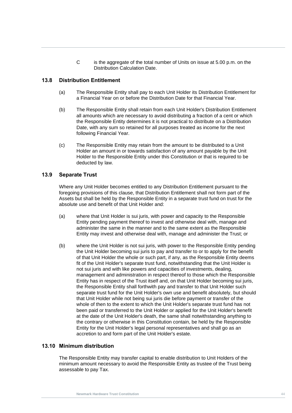C is the aggregate of the total number of Units on issue at 5.00 p.m. on the Distribution Calculation Date.

## <span id="page-50-0"></span>**13.8 Distribution Entitlement**

- (a) The Responsible Entity shall pay to each Unit Holder its Distribution Entitlement for a Financial Year on or before the Distribution Date for that Financial Year.
- all amounts which are necessary to avoid distributing a fraction of a cent or which<br>the Responsible Entity determines it is not practical to distribute on a Distribution<br>Deta with any sum as rateined for all purpases tract (b) The Responsible Entity shall retain from each Unit Holder's Distribution Entitlement all amounts which are necessary to avoid distributing a fraction of a cent or which Date, with any sum so retained for all purposes treated as income for the next following Financial Year.
	- (c) The Responsible Entity may retain from the amount to be distributed to a Unit Holder an amount in or towards satisfaction of any amount payable by the Unit Holder to the Responsible Entity under this Constitution or that is required to be deducted by law.

#### **13.9 Separate Trust**

Where any Unit Holder becomes entitled to any Distribution Entitlement pursuant to the foregoing provisions of this clause, that Distribution Entitlement shall not form part of the Assets but shall be held by the Responsible Entity in a separate trust fund on trust for the absolute use and benefit of that Unit Holder and:

- (a) where that Unit Holder is sui juris, with power and capacity to the Responsible Entity pending payment thereof to invest and otherwise deal with, manage and administer the same in the manner and to the same extent as the Responsible Entity may invest and otherwise deal with, manage and administer the Trust; or
- (b) where the Unit Holder is not sui juris, with power to the Responsible Entity pending the Unit Holder becoming sui juris to pay and transfer to or to apply for the benefit of that Unit Holder the whole or such part, if any, as the Responsible Entity deems fit of the Unit Holder's separate trust fund, notwithstanding that the Unit Holder is not sui juris and with like powers and capacities of investments, dealing, management and administration in respect thereof to those which the Responsible Entity has in respect of the Trust itself and, on that Unit Holder becoming sui juris, the Responsible Entity shall forthwith pay and transfer to that Unit Holder such separate trust fund for the Unit Holder's own use and benefit absolutely, but should that Unit Holder while not being sui juris die before payment or transfer of the whole of then to the extent to which the Unit Holder's separate trust fund has not been paid or transferred to the Unit Holder or applied for the Unit Holder's benefit at the date of the Unit Holder's death, the same shall notwithstanding anything to the contrary or otherwise in this Constitution contain, be held by the Responsible Entity for the Unit Holder's legal personal representatives and shall go as an accretion to and form part of the Unit Holder's estate.

### **13.10 Minimum distribution**

The Responsible Entity may transfer capital to enable distribution to Unit Holders of the minimum amount necessary to avoid the Responsible Entity as trustee of the Trust being assessable to pay Tax.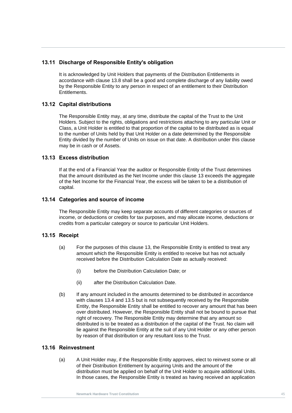# **13.11 Discharge of Responsible Entity's obligation**

It is acknowledged by Unit Holders that payments of the Distribution Entitlements in accordance with clause [13.8](#page-50-0) shall be a good and complete discharge of any liability owed by the Responsible Entity to any person in respect of an entitlement to their Distribution Entitlements.

# <span id="page-51-0"></span>**13.12 Capital distributions**

The Responsible Entity may, at any time, distribute the capital of the Trust to the Unit<br>Holders. Subject to the rights, obligations and restrictions attaching to any particular Unit or The Responsible Entity may, at any time, distribute the capital of the Trust to the Unit Class, a Unit Holder is entitled to that proportion of the capital to be distributed as is equal to the number of Units held by that Unit Holder on a date determined by the Responsible Entity divided by the number of Units on issue on that date. A distribution under this clause may be in cash or of Assets.

# **13.13 Excess distribution**

If at the end of a Financial Year the auditor or Responsible Entity of the Trust determines that the amount distributed as the Net Income under this clause [13](#page-48-0) exceeds the aggregate of the Net Income for the Financial Year, the excess will be taken to be a distribution of capital.

# **13.14 Categories and source of income**

The Responsible Entity may keep separate accounts of different categories or sources of income, or deductions or credits for tax purposes, and may allocate income, deductions or credits from a particular category or source to particular Unit Holders.

# **13.15 Receipt**

- (a) For the purposes of this clause [13,](#page-48-0) the Responsible Entity is entitled to treat any amount which the Responsible Entity is entitled to receive but has not actually received before the Distribution Calculation Date as actually received:
	- (i) before the Distribution Calculation Date; or
	- (ii) after the Distribution Calculation Date.
- (b) If any amount included in the amounts determined to be distributed in accordance with clauses [13.4](#page-48-1) and [13.5](#page-48-2) but is not subsequently received by the Responsible Entity, the Responsible Entity shall be entitled to recover any amount that has been over distributed. However, the Responsible Entity shall not be bound to pursue that right of recovery. The Responsible Entity may determine that any amount so distributed is to be treated as a distribution of the capital of the Trust. No claim will lie against the Responsible Entity at the suit of any Unit Holder or any other person by reason of that distribution or any resultant loss to the Trust.

# **13.16 Reinvestment**

(a) A Unit Holder may, if the Responsible Entity approves, elect to reinvest some or all of their Distribution Entitlement by acquiring Units and the amount of the distribution must be applied on behalf of the Unit Holder to acquire additional Units. In those cases, the Responsible Entity is treated as having received an application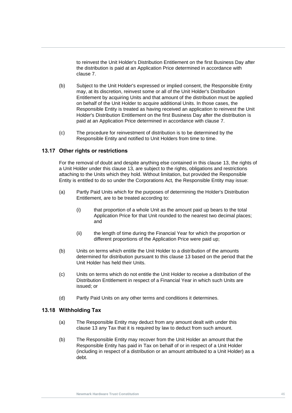to reinvest the Unit Holder's Distribution Entitlement on the first Business Day after the distribution is paid at an Application Price determined in accordance with clause [7.](#page-33-1)

- Holder's Distribution Entitlement on the first Business Day after the distribution is<br>paid at an Application Price determined in accordance with clause 7. (b) Subject to the Unit Holder's expressed or implied consent, the Responsible Entity may, at its discretion, reinvest some or all of the Unit Holder's Distribution Entitlement by acquiring Units and that amount of the distribution must be applied on behalf of the Unit Holder to acquire additional Units. In those cases, the Responsible Entity is treated as having received an application to reinvest the Unit Holder's Distribution Entitlement on the first Business Day after the distribution is
	- (c) The procedure for reinvestment of distribution is to be determined by the Responsible Entity and notified to Unit Holders from time to time.

# **13.17 Other rights or restrictions**

For the removal of doubt and despite anything else contained in this clause [13,](#page-48-0) the rights of a Unit Holder under this clause [13,](#page-48-0) are subject to the rights, obligations and restrictions attaching to the Units which they hold. Without limitation, but provided the Responsible Entity is entitled to do so under the Corporations Act*,* the Responsible Entity may issue:

- (a) Partly Paid Units which for the purposes of determining the Holder's Distribution Entitlement, are to be treated according to:
	- (i) that proportion of a whole Unit as the amount paid up bears to the total Application Price for that Unit rounded to the nearest two decimal places; and
	- (ii) the length of time during the Financial Year for which the proportion or different proportions of the Application Price were paid up;
- (b) Units on terms which entitle the Unit Holder to a distribution of the amounts determined for distribution pursuant to this clause [13](#page-48-0) based on the period that the Unit Holder has held their Units.
- (c) Units on terms which do not entitle the Unit Holder to receive a distribution of the Distribution Entitlement in respect of a Financial Year in which such Units are issued; or
- (d) Partly Paid Units on any other terms and conditions it determines.

#### **13.18 Withholding Tax**

- (a) The Responsible Entity may deduct from any amount dealt with under this clause [13](#page-48-0) any Tax that it is required by law to deduct from such amount.
- <span id="page-52-0"></span>(b) The Responsible Entity may recover from the Unit Holder an amount that the Responsible Entity has paid in Tax on behalf of or in respect of a Unit Holder (including in respect of a distribution or an amount attributed to a Unit Holder) as a debt.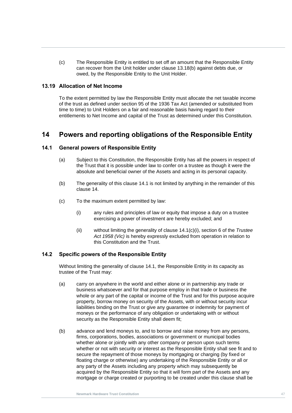(c) The Responsible Entity is entitled to set off an amount that the Responsible Entity can recover from the Unit holder under clause [13.18\(b\)](#page-52-0) against debts due, or owed, by the Responsible Entity to the Unit Holder.

#### **13.19 Allocation of Net Income**

entitlements to Net Income and capital of the Trust as determined under this Constitution.<br> **Algerige 20** To the extent permitted by law the Responsible Entity must allocate the net taxable income of the trust as defined under section 95 of the 1936 Tax Act (amended or substituted from time to time) to Unit Holders on a fair and reasonable basis having regard to their

# <span id="page-53-2"></span>**14 Powers and reporting obligations of the Responsible Entity**

## <span id="page-53-0"></span>**14.1 General powers of Responsible Entity**

- (a) Subject to this Constitution, the Responsible Entity has all the powers in respect of the Trust that it is possible under law to confer on a trustee as though it were the absolute and beneficial owner of the Assets and acting in its personal capacity.
- (b) The generality of this clause [14.1](#page-53-0) is not limited by anything in the remainder of this clause 14.
- <span id="page-53-1"></span>(c) To the maximum extent permitted by law:
	- (i) any rules and principles of law or equity that impose a duty on a trustee exercising a power of investment are hereby excluded; and
	- (ii) without limiting the generality of clause [14.1\(c\)\(i\),](#page-53-1) section 6 of the *Trustee Act 1958 (Vic)* is hereby expressly excluded from operation in relation to this Constitution and the Trust.

#### **14.2 Specific powers of the Responsible Entity**

Without limiting the generality of clause [14.1,](#page-53-0) the Responsible Entity in its capacity as trustee of the Trust may:

- (a) carry on anywhere in the world and either alone or in partnership any trade or business whatsoever and for that purpose employ in that trade or business the whole or any part of the capital or income of the Trust and for this purpose acquire property, borrow money on security of the Assets, with or without security incur liabilities binding on the Trust or give any guarantee or indemnity for payment of moneys or the performance of any obligation or undertaking with or without security as the Responsible Entity shall deem fit;
- (b) advance and lend moneys to, and to borrow and raise money from any persons, firms, corporations, bodies, associations or government or municipal bodies whether alone or jointly with any other company or person upon such terms whether or not with security or interest as the Responsible Entity shall see fit and to secure the repayment of those moneys by mortgaging or charging (by fixed or floating charge or otherwise) any undertaking of the Responsible Entity or all or any party of the Assets including any property which may subsequently be acquired by the Responsible Entity so that it will form part of the Assets and any mortgage or charge created or purporting to be created under this clause shall be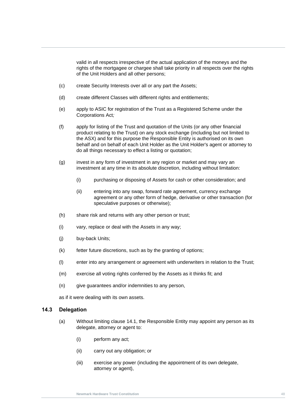valid in all respects irrespective of the actual application of the moneys and the rights of the mortgagee or chargee shall take priority in all respects over the rights of the Unit Holders and all other persons;

- (c) create Security Interests over all or any part the Assets;
- (d) create different Classes with different rights and entitlements;
- (e) apply to ASIC for registration of the Trust as a Registered Scheme under the Corporations Act*;*
- Uorporations Act;<br>(f) apply for listing of the Trust and quotation of the Units (or any other financial product relating to the Trust) on any stock exchange (including but not limited to the ASX) and for this purpose the Responsible Entity is authorised on its own behalf and on behalf of each Unit Holder as the Unit Holder's agent or attorney to do all things necessary to effect a listing or quotation;
	- (g) invest in any form of investment in any region or market and may vary an investment at any time in its absolute discretion, including without limitation:
		- (i) purchasing or disposing of Assets for cash or other consideration; and
		- (ii) entering into any swap, forward rate agreement, currency exchange agreement or any other form of hedge, derivative or other transaction (for speculative purposes or otherwise);
	- (h) share risk and returns with any other person or trust;
	- (i) vary, replace or deal with the Assets in any way;
	- (j) buy-back Units;
	- (k) fetter future discretions, such as by the granting of options;
	- (l) enter into any arrangement or agreement with underwriters in relation to the Trust;
	- (m) exercise all voting rights conferred by the Assets as it thinks fit; and
	- (n) give guarantees and/or indemnities to any person,

as if it were dealing with its own assets.

#### <span id="page-54-0"></span>**14.3 Delegation**

- (a) Without limiting clause [14.1,](#page-53-0) the Responsible Entity may appoint any person as its delegate, attorney or agent to:
	- (i) perform any act;
	- (ii) carry out any obligation; or
	- (iii) exercise any power (including the appointment of its own delegate, attorney or agent),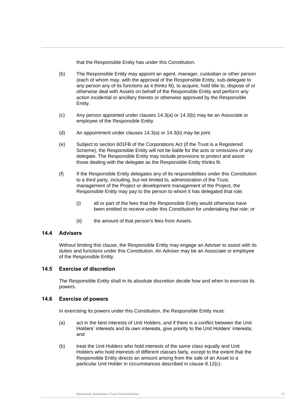that the Responsible Entity has under this Constitution.

- <span id="page-55-0"></span>(b) The Responsible Entity may appoint an agent, manager, custodian or other person (each of whom may, with the approval of the Responsible Entity, sub-delegate to any person any of its functions as it thinks fit), to acquire, hold title to, dispose of or otherwise deal with Assets on behalf of the Responsible Entity and perform any action incidental or ancillary thereto or otherwise approved by the Responsible Entity.
- (c) Any person appointed under clauses [14.3\(a\)](#page-54-0) or [14.3\(b\)](#page-55-0) may be an Associate or<br>employee of the Responsible Entity. employee of the Responsible Entity.
	- (d) An appointment under clauses [14.3\(a\)](#page-54-0) or [14.3\(b\)](#page-55-0) may be joint.
	- (e) Subject to section 601FB of the Corporations Act (if the Trust is a Registered Scheme), the Responsible Entity will not be liable for the acts or omissions of any delegate. The Responsible Entity may include provisions to protect and assist those dealing with the delegate as the Responsible Entity thinks fit.
	- (f) If the Responsible Entity delegates any of its responsibilities under this Constitution to a third party, including, but not limited to, administration of the Trust, management of the Project or development management of the Project, the Responsible Entity may pay to the person to whom it has delegated that role:
		- (i) all or part of the fees that the Responsible Entity would otherwise have been entitled to receive under this Constitution for undertaking that role; or
		- (ii) the amount of that person's fees from Assets.

#### **14.4 Advisers**

Without limiting this clause, the Responsible Entity may engage an Adviser to assist with its duties and functions under this Constitution. An Adviser may be an Associate or employee of the Responsible Entity.

#### **14.5 Exercise of discretion**

The Responsible Entity shall in its absolute discretion decide how and when to exercise its powers.

#### **14.6 Exercise of powers**

In exercising its powers under this Constitution, the Responsible Entity must:

- (a) act in the best interests of Unit Holders, and if there is a conflict between the Unit Holders' interests and its own interests, give priority to the Unit Holders' interests; and
- (b) treat the Unit Holders who hold interests of the same class equally and Unit Holders who hold interests of different classes fairly, except to the extent that the Responsible Entity directs an amount arising from the sale of an Asset to a particular Unit Holder in circumstances described in clause [8.12\(c\).](#page-42-2)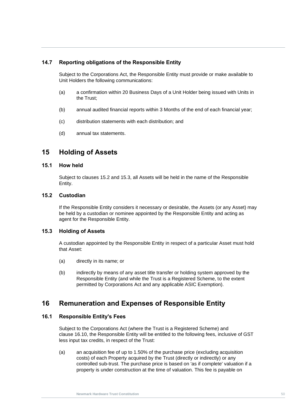# **14.7 Reporting obligations of the Responsible Entity**

Subject to the Corporations Act, the Responsible Entity must provide or make available to Unit Holders the following communications:

- (a) a confirmation within 20 Business Days of a Unit Holder being issued with Units in the Trust;
- (b) annual audited financial reports within 3 Months of the end of each financial year;
- **Newmark Hardware Trust Constitution** (c) distribution statements with each distribution; and
	- (d) annual tax statements.

# **15 Holding of Assets**

# **15.1 How held**

Subject to clauses [15.2](#page-56-0) and [15.3,](#page-56-1) all Assets will be held in the name of the Responsible Entity.

#### <span id="page-56-0"></span>**15.2 Custodian**

If the Responsible Entity considers it necessary or desirable, the Assets (or any Asset) may be held by a custodian or nominee appointed by the Responsible Entity and acting as agent for the Responsible Entity.

#### <span id="page-56-1"></span>**15.3 Holding of Assets**

A custodian appointed by the Responsible Entity in respect of a particular Asset must hold that Asset:

- (a) directly in its name; or
- (b) indirectly by means of any asset title transfer or holding system approved by the Responsible Entity (and while the Trust is a Registered Scheme, to the extent permitted by Corporations Act and any applicable ASIC Exemption).

# <span id="page-56-2"></span>**16 Remuneration and Expenses of Responsible Entity**

#### **16.1 Responsible Entity's Fees**

Subject to the Corporations Act (where the Trust is a Registered Scheme) and clause [16.10,](#page-58-0) the Responsible Entity will be entitled to the following fees, inclusive of GST less input tax credits, in respect of the Trust:

(a) an acquisition fee of up to 1.50% of the purchase price (excluding acquisition costs) of each Property acquired by the Trust (directly or indirectly) or any controlled sub-trust. The purchase price is based on 'as if complete' valuation if a property is under construction at the time of valuation. This fee is payable on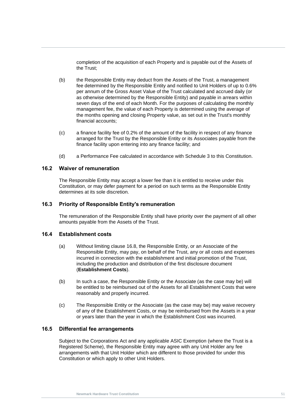completion of the acquisition of each Property and is payable out of the Assets of the Trust;

- the months opening and closing Property value, as set out in the Trust's monthly<br>financial accounts; (b) the Responsible Entity may deduct from the Assets of the Trust, a management fee determined by the Responsible Entity and notified to Unit Holders of up to 0.6% per annum of the Gross Asset Value of the Trust calculated and accrued daily (or as otherwise determined by the Responsible Entity) and payable in arrears within seven days of the end of each Month. For the purposes of calculating the monthly management fee, the value of each Property is determined using the average of financial accounts;
	- (c) a finance facility fee of 0.2% of the amount of the facility in respect of any finance arranged for the Trust by the Responsible Entity or its Associates payable from the finance facility upon entering into any finance facility; and
	- (d) a Performance Fee calculated in accordance with [Schedule 3](#page-93-0) to this Constitution.

#### <span id="page-57-0"></span>**16.2 Waiver of remuneration**

The Responsible Entity may accept a lower fee than it is entitled to receive under this Constitution, or may defer payment for a period on such terms as the Responsible Entity determines at its sole discretion.

#### **16.3 Priority of Responsible Entity's remuneration**

The remuneration of the Responsible Entity shall have priority over the payment of all other amounts payable from the Assets of the Trust.

#### **16.4 Establishment costs**

- (a) Without limiting clause [16.8,](#page-58-1) the Responsible Entity, or an Associate of the Responsible Entity, may pay, on behalf of the Trust, any or all costs and expenses incurred in connection with the establishment and initial promotion of the Trust, including the production and distribution of the first disclosure document (**Establishment Costs**).
- (b) In such a case, the Responsible Entity or the Associate (as the case may be) will be entitled to be reimbursed out of the Assets for all Establishment Costs that were reasonably and properly incurred.
- (c) The Responsible Entity or the Associate (as the case may be) may waive recovery of any of the Establishment Costs, or may be reimbursed from the Assets in a year or years later than the year in which the Establishment Cost was incurred.

#### **16.5 Differential fee arrangements**

Subject to the Corporations Act and any applicable ASIC Exemption (where the Trust is a Registered Scheme), the Responsible Entity may agree with any Unit Holder any fee arrangements with that Unit Holder which are different to those provided for under this Constitution or which apply to other Unit Holders.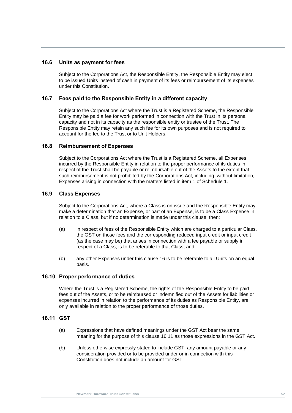## **16.6 Units as payment for fees**

Subject to the Corporations Act*,* the Responsible Entity, the Responsible Entity may elect to be issued Units instead of cash in payment of its fees or reimbursement of its expenses under this Constitution.

## **16.7 Fees paid to the Responsible Entity in a different capacity**

Entity may be paid a fee for work performed in connection with the Trust in its personal<br>capacity and not in its capacity as the responsible entity or trustee of the Trust. The Subject to the Corporations Act where the Trust is a Registered Scheme, the Responsible Entity may be paid a fee for work performed in connection with the Trust in its personal Responsible Entity may retain any such fee for its own purposes and is not required to account for the fee to the Trust or to Unit Holders.

#### <span id="page-58-1"></span>**16.8 Reimbursement of Expenses**

Subject to the Corporations Act where the Trust is a Registered Scheme, all Expenses incurred by the Responsible Entity in relation to the proper performance of its duties in respect of the Trust shall be payable or reimbursable out of the Assets to the extent that such reimbursement is not prohibited by the Corporations Act*,* including, without limitation, Expenses arising in connection with the matters listed in item 1 of [Schedule 1.](#page-85-0)

## **16.9 Class Expenses**

Subject to the Corporations Act*,* where a Class is on issue and the Responsible Entity may make a determination that an Expense, or part of an Expense, is to be a Class Expense in relation to a Class, but if no determination is made under this clause, then:

- (a) in respect of fees of the Responsible Entity which are charged to a particular Class, the GST on those fees and the corresponding reduced input credit or input credit (as the case may be) that arises in connection with a fee payable or supply in respect of a Class, is to be referable to that Class; and
- (b) any other Expenses under this clause [16](#page-56-2) is to be referable to all Units on an equal basis.

#### <span id="page-58-0"></span>**16.10 Proper performance of duties**

Where the Trust is a Registered Scheme, the rights of the Responsible Entity to be paid fees out of the Assets, or to be reimbursed or indemnified out of the Assets for liabilities or expenses incurred in relation to the performance of its duties as Responsible Entity, are only available in relation to the proper performance of those duties.

#### <span id="page-58-2"></span>**16.11 GST**

- (a) Expressions that have defined meanings under the GST Act bear the same meaning for the purpose of this clause [16.11](#page-58-2) as those expressions in the GST Act.
- (b) Unless otherwise expressly stated to include GST, any amount payable or any consideration provided or to be provided under or in connection with this Constitution does not include an amount for GST.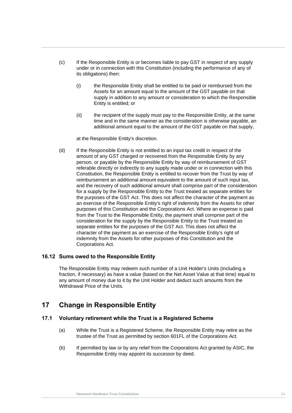- (c) If the Responsible Entity is or becomes liable to pay GST in respect of any supply under or in connection with this Constitution (including the performance of any of its obligations) then:
	- (i) the Responsible Entity shall be entitled to be paid or reimbursed from the Assets for an amount equal to the amount of the GST payable on that supply in addition to any amount or consideration to which the Responsible Entity is entitled; or
- (II) the recipient of the supply must pay to the Responsible Entity, at the same<br>time and in the same manner as the consideration is otherwise payable, an<br>additional amount equal to the amount of the GST payable on that su (ii) the recipient of the supply must pay to the Responsible Entity, at the same additional amount equal to the amount of the GST payable on that supply,

at the Responsible Entity's discretion.

(d) If the Responsible Entity is not entitled to an input tax credit in respect of the amount of any GST charged or recovered from the Responsible Entity by any person, or payable by the Responsible Entity by way of reimbursement of GST referable directly or indirectly to any supply made under or in connection with this Constitution, the Responsible Entity is entitled to recover from the Trust by way of reimbursement an additional amount equivalent to the amount of such input tax, and the recovery of such additional amount shall comprise part of the consideration for a supply by the Responsible Entity to the Trust treated as separate entities for the purposes of the GST Act. This does not affect the character of the payment as an exercise of the Responsible Entity's right of indemnity from the Assets for other purposes of this Constitution and the Corporations Act. Where an expense is paid from the Trust to the Responsible Entity, the payment shall comprise part of the consideration for the supply by the Responsible Entity to the Trust treated as separate entities for the purposes of the GST Act. This does not affect the character of the payment as an exercise of the Responsible Entity's right of indemnity from the Assets for other purposes of this Constitution and the Corporations Act.

### **16.12 Sums owed to the Responsible Entity**

The Responsible Entity may redeem such number of a Unit Holder's Units (including a fraction, if necessary) as have a value (based on the Net Asset Value at that time) equal to any amount of money due to it by the Unit Holder and deduct such amounts from the Withdrawal Price of the Units.

# **17 Change in Responsible Entity**

#### **17.1 Voluntary retirement while the Trust is a Registered Scheme**

- (a) While the Trust is a Registered Scheme, the Responsible Entity may retire as the trustee of the Trust as permitted by section 601FL of the Corporations Act*.*
- (b) If permitted by law or by any relief from the Corporations Act granted by ASIC, the Responsible Entity may appoint its successor by deed.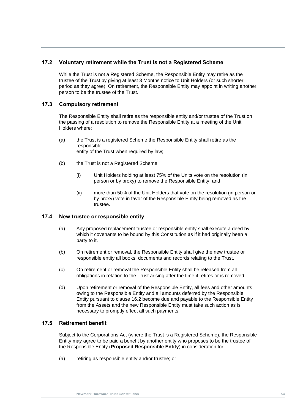# **17.2 Voluntary retirement while the Trust is not a Registered Scheme**

While the Trust is not a Registered Scheme, the Responsible Entity may retire as the trustee of the Trust by giving at least 3 Months notice to Unit Holders (or such shorter period as they agree). On retirement, the Responsible Entity may appoint in writing another person to be the trustee of the Trust.

## **17.3 Compulsory retirement**

The Responsible Entity shall retire as the responsible entity and/or trustee of the Trust on<br>the passing of a resolution to remove the Responsible Entity at a meeting of the Unit The Responsible Entity shall retire as the responsible entity and/or trustee of the Trust on Holders where:

- (a) the Trust is a registered Scheme the Responsible Entity shall retire as the responsible entity of the Trust when required by law;
- (b) the Trust is not a Registered Scheme:
	- (i) Unit Holders holding at least 75% of the Units vote on the resolution (in person or by proxy) to remove the Responsible Entity; and
	- (ii) more than 50% of the Unit Holders that vote on the resolution (in person or by proxy) vote in favor of the Responsible Entity being removed as the trustee.

#### **17.4 New trustee or responsible entity**

- (a) Any proposed replacement trustee or responsible entity shall execute a deed by which it covenants to be bound by this Constitution as if it had originally been a party to it.
- (b) On retirement or removal, the Responsible Entity shall give the new trustee or responsible entity all books, documents and records relating to the Trust.
- (c) On retirement or removal the Responsible Entity shall be released from all obligations in relation to the Trust arising after the time it retires or is removed.
- (d) Upon retirement or removal of the Responsible Entity, all fees and other amounts owing to the Responsible Entity and all amounts deferred by the Responsible Entity pursuant to clause [16.2](#page-57-0) become due and payable to the Responsible Entity from the Assets and the new Responsible Entity must take such action as is necessary to promptly effect all such payments.

#### **17.5 Retirement benefit**

Subject to the Corporations Act (where the Trust is a Registered Scheme), the Responsible Entity may agree to be paid a benefit by another entity who proposes to be the trustee of the Responsible Entity (**Proposed Responsible Entity**) in consideration for:

(a) retiring as responsible entity and/or trustee; or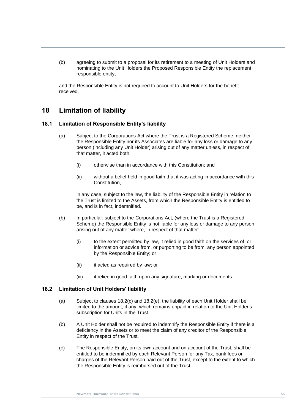(b) agreeing to submit to a proposal for its retirement to a meeting of Unit Holders and nominating to the Unit Holders the Proposed Responsible Entity the replacement responsible entity,

and the Responsible Entity is not required to account to Unit Holders for the benefit received.

# <span id="page-61-1"></span>**18 Limitation of liability**

# **Newmark Hardware Trust Constitution 18.1 Limitation of Responsible Entity's liability**

- (a) Subject to the Corporations Act where the Trust is a Registered Scheme, neither the Responsible Entity nor its Associates are liable for any loss or damage to any person (including any Unit Holder) arising out of any matter unless, in respect of that matter, it acted both:
	- (i) otherwise than in accordance with this Constitution; and
	- (ii) without a belief held in good faith that it was acting in accordance with this Constitution,

in any case, subject to the law, the liability of the Responsible Entity in relation to the Trust is limited to the Assets, from which the Responsible Entity is entitled to be, and is in fact, indemnified.

- (b) In particular, subject to the Corporations Act*,* (where the Trust is a Registered Scheme) the Responsible Entity is not liable for any loss or damage to any person arising out of any matter where, in respect of that matter:
	- (i) to the extent permitted by law, it relied in good faith on the services of, or information or advice from, or purporting to be from, any person appointed by the Responsible Entity; or
	- (ii) it acted as required by law; or
	- (iii) it relied in good faith upon any signature, marking or documents.

#### **18.2 Limitation of Unit Holders' liability**

- (a) Subject to clauses [18.2\(c\)](#page-61-0) and [18.2\(e\),](#page-62-0) the liability of each Unit Holder shall be limited to the amount, if any, which remains unpaid in relation to the Unit Holder's subscription for Units in the Trust.
- (b) A Unit Holder shall not be required to indemnify the Responsible Entity if there is a deficiency in the Assets or to meet the claim of any creditor of the Responsible Entity in respect of the Trust.
- <span id="page-61-0"></span>(c) The Responsible Entity, on its own account and on account of the Trust, shall be entitled to be indemnified by each Relevant Person for any Tax, bank fees or charges of the Relevant Person paid out of the Trust, except to the extent to which the Responsible Entity is reimbursed out of the Trust.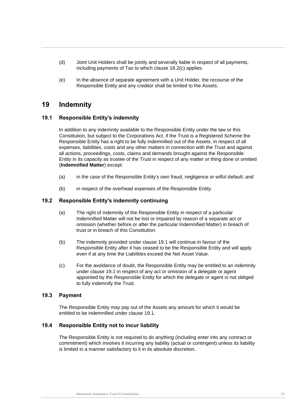- (d) Joint Unit Holders shall be jointly and severally liable in respect of all payments, including payments of Tax to which clause [18.2\(c\)](#page-61-0) applies.
- <span id="page-62-0"></span>(e) In the absence of separate agreement with a Unit Holder, the recourse of the Responsible Entity and any creditor shall be limited to the Assets.

# **19 Indemnity**

# <span id="page-62-1"></span>**19.1** Responsible Entity's indemnity **New Strust Constitution**

In addition to any indemnity available to the Responsible Entity under the law or this Constitution, but subject to the Corporations Act*,* if the Trust is a Registered Scheme the Responsible Entity has a right to be fully indemnified out of the Assets, in respect of all expenses, liabilities, costs and any other matters in connection with the Trust and against all actions, proceedings, costs, claims and demands brought against the Responsible Entity in its capacity as trustee of the Trust in respect of any matter or thing done or omitted (**Indemnified Matter**) except:

- (a) in the case of the Responsible Entity's own fraud, negligence or wilful default; and
- (b) in respect of the overhead expenses of the Responsible Entity.

#### **19.2 Responsible Entity's indemnity continuing**

- (a) The right of indemnity of the Responsible Entity in respect of a particular Indemnified Matter will not be lost or impaired by reason of a separate act or omission (whether before or after the particular Indemnified Matter) in breach of trust or in breach of this Constitution.
- (b) The indemnity provided under clause [19.1](#page-62-1) will continue in favour of the Responsible Entity after it has ceased to be the Responsible Entity and will apply even if at any time the Liabilities exceed the Net Asset Value.
- (c) For the avoidance of doubt, the Responsible Entity may be entitled to an indemnity under clause [19.1](#page-62-1) in respect of any act or omission of a delegate or agent appointed by the Responsible Entity for which the delegate or agent is not obliged to fully indemnify the Trust.

#### **19.3 Payment**

The Responsible Entity may pay out of the Assets any amount for which it would be entitled to be indemnified under clause [19.1.](#page-62-1)

#### **19.4 Responsible Entity not to incur liability**

The Responsible Entity is not required to do anything (including enter into any contract or commitment) which involves it incurring any liability (actual or contingent) unless its liability is limited in a manner satisfactory to it in its absolute discretion.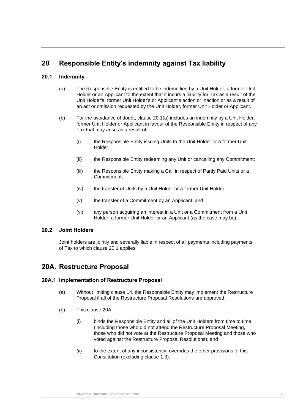# **20 Responsible Entity's indemnity against Tax liability**

# <span id="page-63-1"></span><span id="page-63-0"></span>**20.1 Indemnity**

- (a) The Responsible Entity is entitled to be indemnified by a Unit Holder, a former Unit Holder or an Applicant to the extent that it incurs a liability for Tax as a result of the Unit Holder's, former Unit Holder's or Applicant's action or inaction or as a result of an act or omission requested by the Unit Holder, former Unit Holder or Applicant.
- (b) For the avoidance of doubt, clause 20.1(a) includes an indemnity by a Unit Holder,<br>former Unit Holder or Applicant in favour of the Responsible Entity in respect of any (b) For the avoidance of doubt, clause 20.1(a) includes an indemnity by a Unit Holder, Tax that may arise as a result of:
	- (i) the Responsible Entity issuing Units to the Unit Holder or a former Unit Holder;
	- (ii) the Responsible Entity redeeming any Unit or cancelling any Commitment;
	- (iii) the Responsible Entity making a Call in respect of Partly Paid Units or a Commitment;
	- (iv) the transfer of Units by a Unit Holder or a former Unit Holder;
	- (v) the transfer of a Commitment by an Applicant; and
	- (vi) any person acquiring an interest in a Unit or a Commitment from a Unit Holder, a former Unit Holder or an Applicant (as the case may be).

#### **20.2 Joint Holders**

Joint holders are jointly and severally liable in respect of all payments including payments of Tax to which clause [20.1](#page-63-1) applies.

# **20A. Restructure Proposal**

#### **20A.1 Implementation of Restructure Proposal**

- (a) Without limiting clause [14,](#page-53-2) the Responsible Entity may implement the Restructure Proposal if all of the Restructure Proposal Resolutions are approved.
- (b) This clause 20A:
	- (i) binds the Responsible Entity and all of the Unit Holders from time to time (including those who did not attend the Restructure Proposal Meeting, those who did not vote at the Restructure Proposal Meeting and those who voted against the Restructure Proposal Resolutions); and
	- (ii) to the extent of any inconsistency, overrides the other provisions of this Constitution (excluding clause [1.3\)](#page-18-0).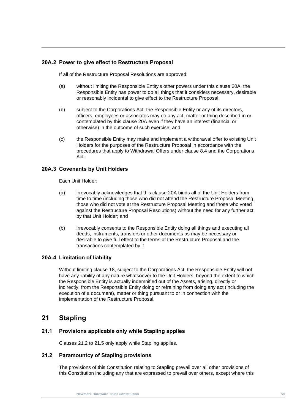# **20A.2 Power to give effect to Restructure Proposal**

If all of the Restructure Proposal Resolutions are approved:

- (a) without limiting the Responsible Entity's other powers under this clause 20A, the Responsible Entity has power to do all things that it considers necessary, desirable or reasonably incidental to give effect to the Restructure Proposal;
- officers, employees or associates may do any act, matter or thing described in or<br>contemplated by this clause 20A even if they have an interest (financial or<br>otherwise) in the sutcome of such exercises and (b) subject to the Corporations Act*,* the Responsible Entity or any of its directors, officers, employees or associates may do any act, matter or thing described in or otherwise) in the outcome of such exercise; and
	- (c) the Responsible Entity may make and implement a withdrawal offer to existing Unit Holders for the purposes of the Restructure Proposal in accordance with the procedures that apply to Withdrawal Offers under clause [8.4](#page-38-1) and the Corporations Act.

#### **20A.3 Covenants by Unit Holders**

Each Unit Holder:

- (a) irrevocably acknowledges that this clause 20A binds all of the Unit Holders from time to time (including those who did not attend the Restructure Proposal Meeting, those who did not vote at the Restructure Proposal Meeting and those who voted against the Restructure Proposal Resolutions) without the need for any further act by that Unit Holder; and
- (b) irrevocably consents to the Responsible Entity doing all things and executing all deeds, instruments, transfers or other documents as may be necessary or desirable to give full effect to the terms of the Restructure Proposal and the transactions contemplated by it.

#### **20A.4 Limitation of liability**

Without limiting clause [18,](#page-61-1) subject to the Corporations Act, the Responsible Entity will not have any liability of any nature whatsoever to the Unit Holders, beyond the extent to which the Responsible Entity is actually indemnified out of the Assets, arising, directly or indirectly, from the Responsible Entity doing or refraining from doing any act (including the execution of a document), matter or thing pursuant to or in connection with the implementation of the Restructure Proposal.

# **21 Stapling**

#### **21.1 Provisions applicable only while Stapling applies**

Clauses [21.2](#page-64-0) to [21.5](#page-65-0) only apply while Stapling applies.

#### <span id="page-64-0"></span>**21.2 Paramountcy of Stapling provisions**

The provisions of this Constitution relating to Stapling prevail over all other provisions of this Constitution including any that are expressed to prevail over others, except where this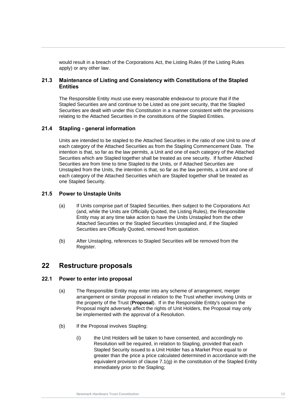would result in a breach of the Corporations Act, the Listing Rules (if the Listing Rules apply) or any other law.

# **21.3 Maintenance of Listing and Consistency with Constitutions of the Stapled Entities**

relating to the Attached Securities in the constitutions of the Stapled Entities.<br> **R1.1 R1.1 R1.1 R1.1 R1.1 R1.1 R1.1 R1.1 R1.1 R1.1 R1.1 R1.1 R1.1 R1.1 R1.1 R1.1 R1.1 R1.1 R1.1 R1.1** The Responsible Entity must use every reasonable endeavour to procure that if the Stapled Securities are and continue to be Listed as one joint security, that the Stapled Securities are dealt with under this Constitution in a manner consistent with the provisions

## **21.4 Stapling - general information**

Units are intended to be stapled to the Attached Securities in the ratio of one Unit to one of each category of the Attached Securities as from the Stapling Commencement Date. The intention is that, so far as the law permits, a Unit and one of each category of the Attached Securities which are Stapled together shall be treated as one security. If further Attached Securities are from time to time Stapled to the Units, or if Attached Securities are Unstapled from the Units, the intention is that, so far as the law permits, a Unit and one of each category of the Attached Securities which are Stapled together shall be treated as one Stapled Security.

## <span id="page-65-0"></span>**21.5 Power to Unstaple Units**

- (a) If Units comprise part of Stapled Securities, then subject to the Corporations Act (and, while the Units are Officially Quoted, the Listing Rules), the Responsible Entity may at any time take action to have the Units Unstapled from the other Attached Securities or the Stapled Securities Unstapled and, if the Stapled Securities are Officially Quoted, removed from quotation.
- (b) After Unstapling, references to Stapled Securities will be removed from the Register.

# <span id="page-65-2"></span>**22 Restructure proposals**

#### <span id="page-65-1"></span>**22.1 Power to enter into proposal**

- (a) The Responsible Entity may enter into any scheme of arrangement, merger arrangement or similar proposal in relation to the Trust whether involving Units or the property of the Trust (**Proposal**). If in the Responsible Entity's opinion the Proposal might adversely affect the rights of Unit Holders, the Proposal may only be implemented with the approval of a Resolution.
- (b) If the Proposal involves Stapling:
	- (i) the Unit Holders will be taken to have consented, and accordingly no Resolution will be required, in relation to Stapling, provided that each Stapled Security issued to a Unit Holder has a Market Price equal to or greater than the price a price calculated determined in accordance with the equivalent provision of clause [7.1\(g\)](#page-33-0) in the constitution of the Stapled Entity immediately prior to the Stapling;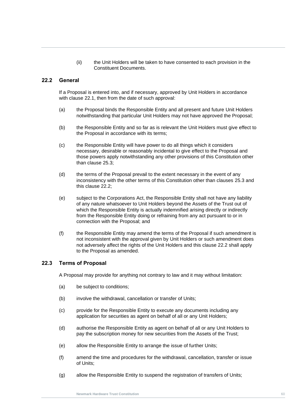(ii) the Unit Holders will be taken to have consented to each provision in the Constituent Documents.

#### <span id="page-66-0"></span>**22.2 General**

If a Proposal is entered into, and if necessary, approved by Unit Holders in accordance with clause [22.1,](#page-65-1) then from the date of such approval:

- notwithstanding that particular Unit Holders may not have approved the Proposal;<br>(b) the Peanancible Entity and so far as is relevant the Unit Holders must give effect to (a) the Proposal binds the Responsible Entity and all present and future Unit Holders
	- (b) the Responsible Entity and so far as is relevant the Unit Holders must give effect to the Proposal in accordance with its terms;
	- (c) the Responsible Entity will have power to do all things which it considers necessary, desirable or reasonably incidental to give effect to the Proposal and those powers apply notwithstanding any other provisions of this Constitution other than clause [25.3;](#page-74-0)
	- (d) the terms of the Proposal prevail to the extent necessary in the event of any inconsistency with the other terms of this Constitution other than clauses [25.3](#page-74-0) and this clause [22.2;](#page-66-0)
	- (e) subject to the Corporations Act, the Responsible Entity shall not have any liability of any nature whatsoever to Unit Holders beyond the Assets of the Trust out of which the Responsible Entity is actually indemnified arising directly or indirectly from the Responsible Entity doing or refraining from any act pursuant to or in connection with the Proposal; and
	- (f) the Responsible Entity may amend the terms of the Proposal if such amendment is not inconsistent with the approval given by Unit Holders or such amendment does not adversely affect the rights of the Unit Holders and this clause [22.2](#page-66-0) shall apply to the Proposal as amended.

#### **22.3 Terms of Proposal**

A Proposal may provide for anything not contrary to law and it may without limitation:

- (a) be subject to conditions;
- (b) involve the withdrawal, cancellation or transfer of Units;
- (c) provide for the Responsible Entity to execute any documents including any application for securities as agent on behalf of all or any Unit Holders;
- (d) authorise the Responsible Entity as agent on behalf of all or any Unit Holders to pay the subscription money for new securities from the Assets of the Trust;
- (e) allow the Responsible Entity to arrange the issue of further Units;
- (f) amend the time and procedures for the withdrawal, cancellation, transfer or issue of Units;
- (g) allow the Responsible Entity to suspend the registration of transfers of Units;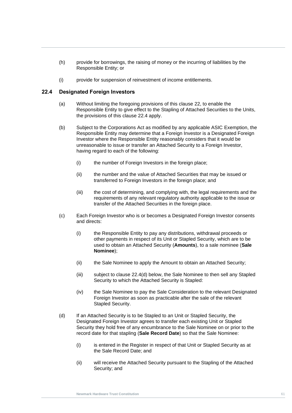- (h) provide for borrowings, the raising of money or the incurring of liabilities by the Responsible Entity; or
- (i) provide for suspension of reinvestment of income entitlements.

## <span id="page-67-0"></span>**22.4 Designated Foreign Investors**

- (a) Without limiting the foregoing provisions of this clause [22,](#page-65-2) to enable the Responsible Entity to give effect to the Stapling of Attached Securities to the Units, the provisions of this clause 22.4 apply.
- <span id="page-67-2"></span><span id="page-67-1"></span>the provisions of this clause 22.4 apply.<br>(b) Subject to the Corporations Act as modified by any applicable ASIC Exemption, the Responsible Entity may determine that a Foreign Investor is a Designated Foreign Investor where the Responsible Entity reasonably considers that it would be unreasonable to issue or transfer an Attached Security to a Foreign Investor, having regard to each of the following:
	- (i) the number of Foreign Investors in the foreign place;
	- (ii) the number and the value of Attached Securities that may be issued or transferred to Foreign Investors in the foreign place; and
	- (iii) the cost of determining, and complying with, the legal requirements and the requirements of any relevant regulatory authority applicable to the issue or transfer of the Attached Securities in the foreign place.
	- (c) Each Foreign Investor who is or becomes a Designated Foreign Investor consents and directs:
		- (i) the Responsible Entity to pay any distributions, withdrawal proceeds or other payments in respect of its Unit or Stapled Security, which are to be used to obtain an Attached Security (**Amounts**), to a sale nominee (**Sale Nominee**);
		- (ii) the Sale Nominee to apply the Amount to obtain an Attached Security;
		- (iii) subject to clause [22.4\(d\)](#page-67-1) below, the Sale Nominee to then sell any Stapled Security to which the Attached Security is Stapled:
		- (iv) the Sale Nominee to pay the Sale Consideration to the relevant Designated Foreign Investor as soon as practicable after the sale of the relevant Stapled Security.
	- (d) If an Attached Security is to be Stapled to an Unit or Stapled Security, the Designated Foreign Investor agrees to transfer each existing Unit or Stapled Security they hold free of any encumbrance to the Sale Nominee on or prior to the record date for that stapling (**Sale Record Date**) so that the Sale Nominee:
		- (i) is entered in the Register in respect of that Unit or Stapled Security as at the Sale Record Date; and
		- (ii) will receive the Attached Security pursuant to the Stapling of the Attached Security; and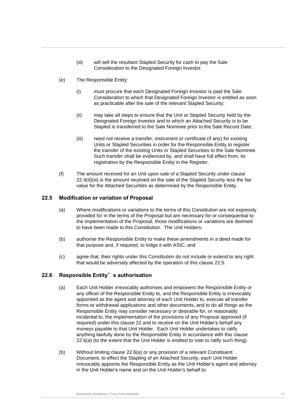- (iii) will sell the resultant Stapled Security for cash to pay the Sale Consideration to the Designated Foreign Investor.
- <span id="page-68-0"></span>(e) The Responsible Entity:
	- (i) must procure that each Designated Foreign Investor is paid the Sale Consideration to which that Designated Foreign Investor is entitled as soon as practicable after the sale of the relevant Stapled Security;
- II) Thay take all steps to ensure that the Unit or Stapled Security held by the<br>Designated Foreign Investor and to which an Attached Security is to be<br>Stapled is transferred to the Sale Nominee prior to the Sale Becord Dat (ii) may take all steps to ensure that the Unit or Stapled Security held by the Stapled is transferred to the Sale Nominee prior to the Sale Record Date;
	- (iii) need not receive a transfer, instrument or certificate (if any) for existing Units or Stapled Securities in order for the Responsible Entity to register the transfer of the existing Units or Stapled Securities to the Sale Nominee. Such transfer shall be evidenced by, and shall have full effect from, its registration by the Responsible Entity in the Register.
	- (f) The amount received for an Unit upon sale of a Stapled Security under clause [22.4\(d\)\(iii\)](#page-68-0) is the amount received on the sale of the Stapled Security less the fair value for the Attached Securities as determined by the Responsible Entity.

#### <span id="page-68-1"></span>**22.5 Modification or variation of Proposal**

- (a) Where modifications or variations to the terms of this Constitution are not expressly provided for in the terms of the Proposal but are necessary for or consequential to the implementation of the Proposal, those modifications or variations are deemed to have been made to this Constitution. The Unit Holders:
- (b) authorise the Responsible Entity to make these amendments in a deed made for that purpose and, if required, to lodge it with ASIC; and
- (c) agree that, their rights under this Constitution do not include or extend to any right that would be adversely affected by the operation of this clause [22.5.](#page-68-1)

# <span id="page-68-2"></span>**22.6 Responsible Entity**'**s authorisation**

- (a) Each Unit Holder irrevocably authorises and empowers the Responsible Entity or any officer of the Responsible Entity to, and the Responsible Entity is irrevocably appointed as the agent and attorney of each Unit Holder to, execute all transfer forms or withdrawal applications and other documents, and to do all things as the Responsible Entity may consider necessary or desirable for, or reasonably incidental to, the implementation of the provisions of any Proposal approved (if required) under this clause [22](#page-65-2) and to receive on the Unit Holder's behalf any moneys payable to that Unit Holder. Each Unit Holder undertakes to ratify anything lawfully done by the Responsible Entity in accordance with this clause [22.6\(a\)](#page-68-2) (to the extent that the Unit Holder is entitled to vote to ratify such thing).
- (b) Without limiting clause [22.6\(a\)](#page-68-2) or any provision of a relevant Constituent Document, to effect the Stapling of an Attached Security, each Unit Holder irrevocably appoints the Responsible Entity as the Unit Holder's agent and attorney in the Unit Holder's name and on the Unit Holder's behalf to: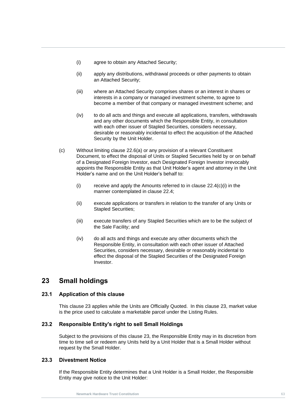- (i) agree to obtain any Attached Security;
- (ii) apply any distributions, withdrawal proceeds or other payments to obtain an Attached Security;
- (iii) where an Attached Security comprises shares or an interest in shares or interests in a company or managed investment scheme, to agree to become a member of that company or managed investment scheme; and
- (IV) to do all acts and things and execute all applications, transfers, withdrawals<br>and any other documents which the Responsible Entity, in consultation<br>with each other issuer of Stapled Securities, considers pecessary (iv) to do all acts and things and execute all applications, transfers, withdrawals with each other issuer of Stapled Securities, considers necessary, desirable or reasonably incidental to effect the acquisition of the Attached Security by the Unit Holder.
	- (c) Without limiting clause [22.6\(a\)](#page-68-2) or any provision of a relevant Constituent Document, to effect the disposal of Units or Stapled Securities held by or on behalf of a Designated Foreign Investor, each Designated Foreign Investor irrevocably appoints the Responsible Entity as that Unit Holder's agent and attorney in the Unit Holder's name and on the Unit Holder's behalf to:
		- $(i)$  receive and apply the Amounts referred to in clause 22.4(c) $(i)$  in the manner contemplated in clause [22.4;](#page-67-0)
		- (ii) execute applications or transfers in relation to the transfer of any Units or Stapled Securities;
		- (iii) execute transfers of any Stapled Securities which are to be the subject of the Sale Facility; and
		- (iv) do all acts and things and execute any other documents which the Responsible Entity, in consultation with each other issuer of Attached Securities, considers necessary, desirable or reasonably incidental to effect the disposal of the Stapled Securities of the Designated Foreign Investor.

# <span id="page-69-0"></span>**23 Small holdings**

# **23.1 Application of this clause**

This clause [23](#page-69-0) applies while the Units are Officially Quoted. In this clause [23,](#page-69-0) market value is the price used to calculate a marketable parcel under the Listing Rules.

# **23.2 Responsible Entity's right to sell Small Holdings**

Subject to the provisions of this clause [23,](#page-69-0) the Responsible Entity may in its discretion from time to time sell or redeem any Units held by a Unit Holder that is a Small Holder without request by the Small Holder.

#### **23.3 Divestment Notice**

If the Responsible Entity determines that a Unit Holder is a Small Holder, the Responsible Entity may give notice to the Unit Holder: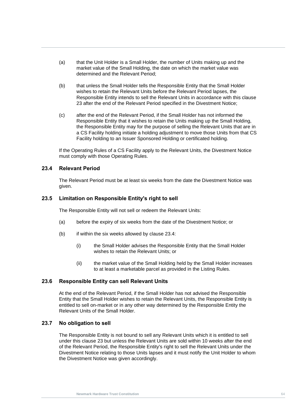- (a) that the Unit Holder is a Small Holder, the number of Units making up and the market value of the Small Holding, the date on which the market value was determined and the Relevant Period;
- (b) that unless the Small Holder tells the Responsible Entity that the Small Holder wishes to retain the Relevant Units before the Relevant Period lapses, the Responsible Entity intends to sell the Relevant Units in accordance with this clause [23](#page-69-0) after the end of the Relevant Period specified in the Divestment Notice;
- (c) arter the end of the Relevant Period, if the Small Holder has not informed the<br>Responsible Entity that it wishes to retain the Units making up the Small Holding,<br>the Pesponsible Entity may for the purpose of selling th (c) after the end of the Relevant Period, if the Small Holder has not informed the the Responsible Entity may for the purpose of selling the Relevant Units that are in a CS Facility holding initiate a holding adjustment to move those Units from that CS Facility holding to an Issuer Sponsored Holding or certificated holding.

If the Operating Rules of a CS Facility apply to the Relevant Units, the Divestment Notice must comply with those Operating Rules.

#### <span id="page-70-0"></span>**23.4 Relevant Period**

The Relevant Period must be at least six weeks from the date the Divestment Notice was given.

# **23.5 Limitation on Responsible Entity's right to sell**

The Responsible Entity will not sell or redeem the Relevant Units:

- (a) before the expiry of six weeks from the date of the Divestment Notice; or
- $(b)$  if within the six weeks allowed by clause [23.4:](#page-70-0)
	- (i) the Small Holder advises the Responsible Entity that the Small Holder wishes to retain the Relevant Units; or
	- (ii) the market value of the Small Holding held by the Small Holder increases to at least a marketable parcel as provided in the Listing Rules.

#### **23.6 Responsible Entity can sell Relevant Units**

At the end of the Relevant Period, if the Small Holder has not advised the Responsible Entity that the Small Holder wishes to retain the Relevant Units, the Responsible Entity is entitled to sell on-market or in any other way determined by the Responsible Entity the Relevant Units of the Small Holder.

#### **23.7 No obligation to sell**

The Responsible Entity is not bound to sell any Relevant Units which it is entitled to sell under this clause [23](#page-69-0) but unless the Relevant Units are sold within 10 weeks after the end of the Relevant Period, the Responsible Entity's right to sell the Relevant Units under the Divestment Notice relating to those Units lapses and it must notify the Unit Holder to whom the Divestment Notice was given accordingly.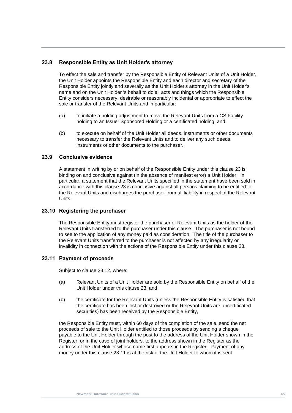# **23.8 Responsible Entity as Unit Holder's attorney**

To effect the sale and transfer by the Responsible Entity of Relevant Units of a Unit Holder, the Unit Holder appoints the Responsible Entity and each director and secretary of the Responsible Entity jointly and severally as the Unit Holder's attorney in the Unit Holder's name and on the Unit Holder 's behalf to do all acts and things which the Responsible Entity considers necessary, desirable or reasonably incidental or appropriate to effect the sale or transfer of the Relevant Units and in particular:

- (a) to initiate a holding adjustment to move the Relevant Units from a CS Facility<br>holding to an Issuer Sponsored Holding or a certificated holding; and (a) to initiate a holding adjustment to move the Relevant Units from a CS Facility
	- (b) to execute on behalf of the Unit Holder all deeds, instruments or other documents necessary to transfer the Relevant Units and to deliver any such deeds, instruments or other documents to the purchaser.

#### **23.9 Conclusive evidence**

A statement in writing by or on behalf of the Responsible Entity under this clause [23](#page-69-0) is binding on and conclusive against (in the absence of manifest error) a Unit Holder. In particular, a statement that the Relevant Units specified in the statement have been sold in accordance with this clause [23](#page-69-0) is conclusive against all persons claiming to be entitled to the Relevant Units and discharges the purchaser from all liability in respect of the Relevant Units.

#### **23.10 Registering the purchaser**

The Responsible Entity must register the purchaser of Relevant Units as the holder of the Relevant Units transferred to the purchaser under this clause. The purchaser is not bound to see to the application of any money paid as consideration. The title of the purchaser to the Relevant Units transferred to the purchaser is not affected by any irregularity or invalidity in connection with the actions of the Responsible Entity under this clause [23.](#page-69-0)

#### <span id="page-71-0"></span>**23.11 Payment of proceeds**

Subject to clause [23.12,](#page-72-0) where:

- (a) Relevant Units of a Unit Holder are sold by the Responsible Entity on behalf of the Unit Holder under this clause [23;](#page-69-0) and
- (b) the certificate for the Relevant Units (unless the Responsible Entity is satisfied that the certificate has been lost or destroyed or the Relevant Units are uncertificated securities) has been received by the Responsible Entity,

the Responsible Entity must, within 60 days of the completion of the sale, send the net proceeds of sale to the Unit Holder entitled to those proceeds by sending a cheque payable to the Unit Holder through the post to the address of the Unit Holder shown in the Register, or in the case of joint holders, to the address shown in the Register as the address of the Unit Holder whose name first appears in the Register. Payment of any money under this clause [23.11](#page-71-0) is at the risk of the Unit Holder to whom it is sent.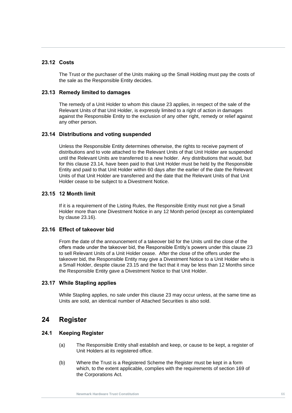#### **23.12 Costs**

The Trust or the purchaser of the Units making up the Small Holding must pay the costs of the sale as the Responsible Entity decides.

#### **23.13 Remedy limited to damages**

against the Responsible Entity to the exclusion of any other right, remedy or relief against<br>any other person. The remedy of a Unit Holder to whom this clause [23](#page-69-0) applies, in respect of the sale of the Relevant Units of that Unit Holder, is expressly limited to a right of action in damages any other person.

#### <span id="page-72-0"></span>**23.14 Distributions and voting suspended**

Unless the Responsible Entity determines otherwise, the rights to receive payment of distributions and to vote attached to the Relevant Units of that Unit Holder are suspended until the Relevant Units are transferred to a new holder. Any distributions that would, but for this clause [23.14,](#page-72-0) have been paid to that Unit Holder must be held by the Responsible Entity and paid to that Unit Holder within 60 days after the earlier of the date the Relevant Units of that Unit Holder are transferred and the date that the Relevant Units of that Unit Holder cease to be subject to a Divestment Notice.

#### <span id="page-72-2"></span>**23.15 12 Month limit**

If it is a requirement of the Listing Rules, the Responsible Entity must not give a Small Holder more than one Divestment Notice in any 12 Month period (except as contemplated by clause [23.16\)](#page-72-1).

#### <span id="page-72-1"></span>**23.16 Effect of takeover bid**

From the date of the announcement of a takeover bid for the Units until the close of the offers made under the takeover bid, the Responsible Entity's powers under this clause [23](#page-69-0) to sell Relevant Units of a Unit Holder cease. After the close of the offers under the takeover bid, the Responsible Entity may give a Divestment Notice to a Unit Holder who is a Small Holder, despite clause [23.15](#page-72-2) and the fact that it may be less than 12 Months since the Responsible Entity gave a Divestment Notice to that Unit Holder.

#### **23.17 While Stapling applies**

While Stapling applies, no sale under this clause [23](#page-69-0) may occur unless, at the same time as Units are sold, an identical number of Attached Securities is also sold.

## **24 Register**

#### **24.1 Keeping Register**

- (a) The Responsible Entity shall establish and keep, or cause to be kept, a register of Unit Holders at its registered office.
- (b) Where the Trust is a Registered Scheme the Register must be kept in a form which, to the extent applicable, complies with the requirements of section 169 of the Corporations Act*.*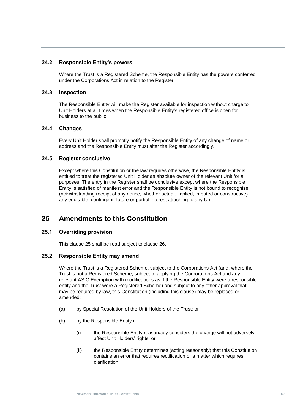#### **24.2 Responsible Entity's powers**

Where the Trust is a Registered Scheme, the Responsible Entity has the powers conferred under the Corporations Act in relation to the Register.

#### **24.3 Inspection**

**Nusiness to the public.**<br> **New York Constitution** The Responsible Entity will make the Register available for inspection without charge to Unit Holders at all times when the Responsible Entity's registered office is open for business to the public.

#### **24.4 Changes**

Every Unit Holder shall promptly notify the Responsible Entity of any change of name or address and the Responsible Entity must alter the Register accordingly.

#### **24.5 Register conclusive**

Except where this Constitution or the law requires otherwise, the Responsible Entity is entitled to treat the registered Unit Holder as absolute owner of the relevant Unit for all purposes. The entry in the Register shall be conclusive except where the Responsible Entity is satisfied of manifest error and the Responsible Entity is not bound to recognise (notwithstanding receipt of any notice, whether actual, implied, imputed or constructive) any equitable, contingent, future or partial interest attaching to any Unit.

## <span id="page-73-0"></span>**25 Amendments to this Constitution**

#### **25.1 Overriding provision**

This clause [25](#page-73-0) shall be read subject to clause [26.](#page-74-0)

#### <span id="page-73-1"></span>**25.2 Responsible Entity may amend**

Where the Trust is a Registered Scheme, subject to the Corporations Act (and, where the Trust is not a Registered Scheme, subject to applying the Corporations Act and any relevant ASIC Exemption with modifications as if the Responsible Entity were a responsible entity and the Trust were a Registered Scheme) and subject to any other approval that may be required by law, this Constitution (including this clause) may be replaced or amended:

- (a) by Special Resolution of the Unit Holders of the Trust; or
- (b) by the Responsible Entity if:
	- (i) the Responsible Entity reasonably considers the change will not adversely affect Unit Holders' rights; or
	- (ii) the Responsible Entity determines (acting reasonably) that this Constitution contains an error that requires rectification or a matter which requires clarification.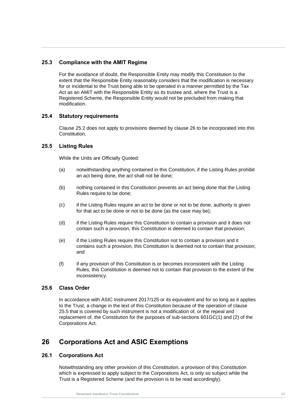#### **25.3 Compliance with the AMIT Regime**

For the avoidance of doubt, the Responsible Entity may modify this Constitution to the extent that the Responsible Entity reasonably considers that the modification is necessary for or incidental to the Trust being able to be operated in a manner permitted by the Tax Act as an AMIT with the Responsible Entity as its trustee and, where the Trust is a Registered Scheme, the Responsible Entity would not be precluded from making that modification.

#### **25.4 Statutory requirements**

**Newmark Hardware Trust Constitution** Clause [25.2](#page-73-1) does not apply to provisions deemed by clause [26](#page-74-0) to be incorporated into this **Constitution** 

#### <span id="page-74-1"></span>**25.5 Listing Rules**

While the Units are Officially Quoted:

- (a) notwithstanding anything contained in this Constitution, if the Listing Rules prohibit an act being done, the act shall not be done;
- (b) nothing contained in this Constitution prevents an act being done that the Listing Rules require to be done;
- (c) if the Listing Rules require an act to be done or not to be done, authority is given for that act to be done or not to be done (as the case may be);
- (d) if the Listing Rules require this Constitution to contain a provision and it does not contain such a provision, this Constitution is deemed to contain that provision;
- (e) if the Listing Rules require this Constitution not to contain a provision and it contains such a provision, this Constitution is deemed not to contain that provision; and
- (f) if any provision of this Constitution is or becomes inconsistent with the Listing Rules, this Constitution is deemed not to contain that provision to the extent of the inconsistency.

#### **25.6 Class Order**

In accordance with ASIC Instrument 2017/125 or its equivalent and for so long as it applies to the Trust, a change in the text of this Constitution because of the operation of clause [25.5](#page-74-1) that is covered by such instrument is not a modification of, or the repeal and replacement of, the Constitution for the purposes of sub-sections 601GC(1) and (2) of the Corporations Act.

## <span id="page-74-0"></span>**26 Corporations Act and ASIC Exemptions**

#### **26.1 Corporations Act**

Notwithstanding any other provision of this Constitution, a provision of this Constitution which is expressed to apply subject to the Corporations Act*,* is only so subject while the Trust is a Registered Scheme (and the provision is to be read accordingly).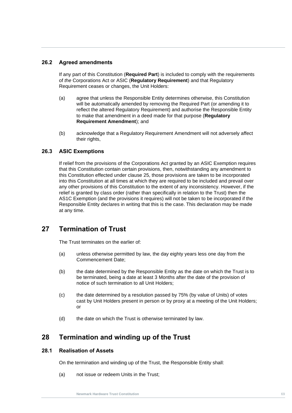#### **26.2 Agreed amendments**

If any part of this Constitution (**Required Part**) is included to comply with the requirements of *the* Corporations Act or ASIC (**Regulatory Requirement**) and that Regulatory Requirement ceases or changes, the Unit Holders:

- to make that amendment in a deed made for that purpose (**Regulatory**<br>**Requirement Amendment**); and (a) agree that unless the Responsible Entity determines otherwise, this Constitution will be automatically amended by removing the Required Part (or amending it to reflect the altered Regulatory Requirement) and authorise the Responsible Entity **Requirement Amendment**); and
	- (b) acknowledge that a Regulatory Requirement Amendment will not adversely affect their rights,

#### **26.3 ASIC Exemptions**

If relief from the provisions of the Corporations Act granted by an ASIC Exemption requires that this Constitution contain certain provisions, then, notwithstanding any amendment to this Constitution effected under clause [25,](#page-73-0) those provisions are taken to be incorporated into this Constitution at all times at which they are required to be included and prevail over any other provisions of this Constitution to the extent of any inconsistency. However, if the relief is granted by class order (rather than specifically in relation to the Trust) then the AS1C Exemption (and the provisions it requires) will not be taken to be incorporated if the Responsible Entity declares in writing that this is the case. This declaration may be made at any time.

## **27 Termination of Trust**

The Trust terminates on the earlier of:

- (a) unless otherwise permitted by law, the day eighty years less one day from the Commencement Date;
- (b) the date determined by the Responsible Entity as the date on which the Trust is to be terminated, being a date at least 3 Months after the date of the provision of notice of such termination to all Unit Holders;
- (c) the date determined by a resolution passed by 75% (by value of Units) of votes cast by Unit Holders present in person or by proxy at a meeting of the Unit Holders; or
- (d) the date on which the Trust is otherwise terminated by law.

## <span id="page-75-1"></span>**28 Termination and winding up of the Trust**

#### <span id="page-75-0"></span>**28.1 Realisation of Assets**

On the termination and winding up of the Trust, the Responsible Entity shall:

(a) not issue or redeem Units in the Trust;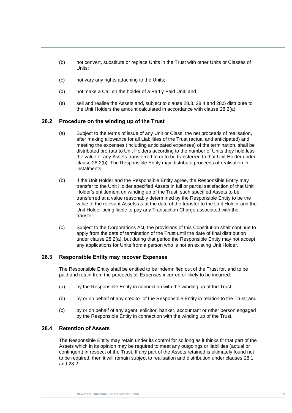- (b) not convert, substitute or replace Units in the Trust with other Units or Classes of Units;
- (c) not vary any rights attaching to the Units;
- (d) not make a Call on the holder of a Partly Paid Unit; and
- (e) sell and realise the Assets and, subject to clause [28.3,](#page-76-0) [28.4](#page-76-1) and [28.5](#page-77-0) distribute to the Unit Holders the amount calculated in accordance with clause [28.2\(a\).](#page-76-2)

# <span id="page-76-4"></span><span id="page-76-2"></span>**28.2** Procedure on the winding up of the Trust

- (a) Subject to the terms of issue of any Unit or Class, the net proceeds of realisation, after making allowance for all Liabilities of the Trust (actual and anticipated) and meeting the expenses (including anticipated expenses) of the termination, shall be distributed pro rata to Unit Holders according to the number of Units they hold less the value of any Assets transferred to or to be transferred to that Unit Holder under clause [28.2\(b\).](#page-76-3) The Responsible Entity may distribute proceeds of realisation in instalments.
- <span id="page-76-3"></span>(b) If the Unit Holder and the Responsible Entity agree, the Responsible Entity may transfer to the Unit Holder specified Assets in full or partial satisfaction of that Unit Holder's entitlement on winding up of the Trust, such specified Assets to be transferred at a value reasonably determined by the Responsible Entity to be the value of the relevant Assets as at the date of the transfer to the Unit Holder and the Unit Holder being liable to pay any Transaction Charge associated with the transfer.
- (c) Subject to the Corporations Act*,* the provisions of this Constitution shalt continue to apply from the date of termination of the Trust until the date of final distribution under clause [28.2\(a\),](#page-76-2) but during that period the Responsible Entity may not accept any applications for Units from a person who is not an existing Unit Holder.

#### <span id="page-76-0"></span>**28.3 Responsible Entity may recover Expenses**

The Responsible Entity shall be entitled to be indemnified out of the Trust for, and to be paid and retain from the proceeds all Expenses incurred or likely to be incurred:

- (a) by the Responsible Entity in connection with the winding up of the Trust;
- (b) by or on behalf of any creditor of the Responsible Entity in relation to the Trust; and
- (c) by or on behalf of any agent, solicitor, banker, accountant or other person engaged by the Responsible Entity in connection with the winding up of the Trust.

#### <span id="page-76-1"></span>**28.4 Retention of Assets**

The Responsible Entity may retain under its control for so long as it thinks fit that part of the Assets which in its opinion may be required to meet any outgoings or liabilities (actual or contingent) in respect of the Trust. If any part of the Assets retained is ultimately found not to be required, then it will remain subject to realisation and distribution under clauses [28.1](#page-75-0) and [28.2.](#page-76-4)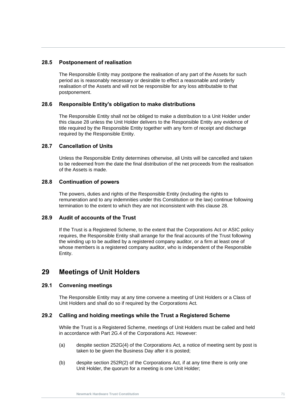#### <span id="page-77-0"></span>**28.5 Postponement of realisation**

The Responsible Entity may postpone the realisation of any part of the Assets for such period as is reasonably necessary or desirable to effect a reasonable and orderly realisation of the Assets and will not be responsible for any loss attributable to that postponement.

#### **28.6 Responsible Entity's obligation to make distributions**

The Responsible Entity shall not be obliged to make a distribution to a Unit Holder under<br>this clause 28 unless the Unit Holder delivers to the Responsible Entity any evidence of The Responsible Entity shall not be obliged to make a distribution to a Unit Holder under title required by the Responsible Entity together with any form of receipt and discharge required by the Responsible Entity.

#### **28.7 Cancellation of Units**

Unless the Responsible Entity determines otherwise, all Units will be cancelled and taken to be redeemed from the date the final distribution of the net proceeds from the realisation of the Assets is made.

#### **28.8 Continuation of powers**

The powers, duties and rights of the Responsible Entity (including the rights to remuneration and to any indemnities under this Constitution or the law) continue following termination to the extent to which they are not inconsistent with this clause [28.](#page-75-1)

#### **28.9 Audit of accounts of the Trust**

If the Trust is a Registered Scheme, to the extent that the Corporations Act or ASIC policy requires, the Responsible Entity shall arrange for the final accounts of the Trust following the winding up to be audited by a registered company auditor, or a firm at least one of whose members is a registered company auditor, who is independent of the Responsible Entity.

## <span id="page-77-1"></span>**29 Meetings of Unit Holders**

#### **29.1 Convening meetings**

The Responsible Entity may at any time convene a meeting of Unit Holders or a Class of Unit Holders and shall do so if required by the Corporations Act*.*

#### **29.2 Calling and holding meetings while the Trust a Registered Scheme**

While the Trust is a Registered Scheme, meetings of Unit Holders must be called and held in accordance with Part 2G.4 of the Corporations Act*.* However:

- (a) despite section 252G(4) of the Corporations Act*,* a notice of meeting sent by post is taken to be given the Business Day after it is posted;
- (b) despite section 252R(2) of the Corporations Act*,* if at any time there is only one Unit Holder, the quorum for a meeting is one Unit Holder;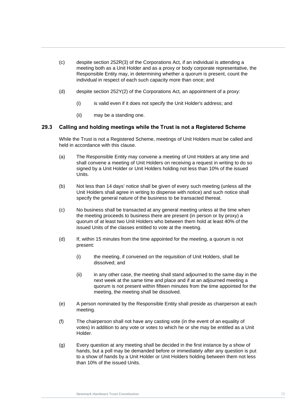- (c) despite section 252R(3) of the Corporations Act*,* if an individual is attending a meeting both as a Unit Holder and as a proxy or body corporate representative, the Responsible Entity may, in determining whether a quorum is present, count the individual in respect of each such capacity more than once; and
- (d) despite section 252Y(2) of the Corporations Act*,* an appointment of a proxy:
	- (i) is valid even if it does not specify the Unit Holder's address; and
	- (ii) may be a standing one.

# **Newmark Hardware Trust Constitution 29.3 Calling and holding meetings while the Trust is not a Registered Scheme**

While the Trust is not a Registered Scheme, meetings of Unit Holders must be called and held in accordance with this clause.

- (a) The Responsible Entity may convene a meeting of Unit Holders at any time and shall convene a meeting of Unit Holders on receiving a request in writing to do so signed by a Unit Holder or Unit Holders holding not less than 10% of the issued Units.
- (b) Not less than 14 days' notice shall be given of every such meeting (unless all the Unit Holders shall agree in writing to dispense with notice) and such notice shall specify the general nature of the business to be transacted thereat.
- (c) No business shall be transacted at any general meeting unless at the time when the meeting proceeds to business there are present (in person or by proxy) a quorum of at least two Unit Holders who between them hold at least 40% of the issued Units of the classes entitled to vote at the meeting.
- (d) If, within 15 minutes from the time appointed for the meeting, a quorum is not present:
	- (i) the meeting, if convened on the requisition of Unit Holders, shall be dissolved; and
	- (ii) in any other case, the meeting shall stand adjourned to the same day in the next week at the same time and place and if at an adjourned meeting a quorum is not present within fifteen minutes from the time appointed for the meeting, the meeting shall be dissolved.
- (e) A person nominated by the Responsible Entity shall preside as chairperson at each meeting.
- (f) The chairperson shall not have any casting vote (in the event of an equality of votes) in addition to any vote or votes to which he or she may be entitled as a Unit Holder.
- (g) Every question at any meeting shall be decided in the first instance by a show of hands, but a poll may be demanded before or immediately after any question is put to a show of hands by a Unit Holder or Unit Holders holding between them not less than 10% of the issued Units.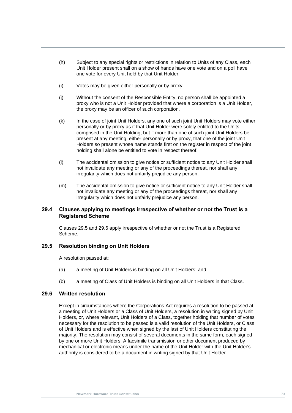- (h) Subject to any special rights or restrictions in relation to Units of any Class, each Unit Holder present shall on a show of hands have one vote and on a poll have one vote for every Unit held by that Unit Holder.
- (i) Votes may be given either personally or by proxy.
- (j) Without the consent of the Responsible Entity, no person shall be appointed a proxy who is not a Unit Holder provided that where a corporation is a Unit Holder, the proxy may be an officer of such corporation.
- k) In the case of joint Unit Holders, any one of such joint Unit Holders may vote either<br>nersonally or by proxy as if that Unit Holder were solely entitled to the Units personally or by proxy as if that Unit Holder were solely entitled to the Units comprised in the Unit Holding, but if more than one of such joint Unit Holders be present at any meeting, either personally or by proxy, that one of the joint Unit Holders so present whose name stands first on the register in respect of the joint holding shall alone be entitled to vote in respect thereof.
	- (l) The accidental omission to give notice or sufficient notice to any Unit Holder shall not invalidate any meeting or any of the proceedings thereat, nor shall any irregularity which does not unfairly prejudice any person.
	- (m) The accidental omission to give notice or sufficient notice to any Unit Holder shall not invalidate any meeting or any of the proceedings thereat, nor shall any irregularity which does not unfairly prejudice any person.

#### **29.4 Clauses applying to meetings irrespective of whether or not the Trust is a Registered Scheme**

Clauses [29.5](#page-79-0) and [29.6](#page-79-1) apply irrespective of whether or not the Trust is a Registered Scheme.

#### <span id="page-79-0"></span>**29.5 Resolution binding on Unit Holders**

A resolution passed at:

- (a) a meeting of Unit Holders is binding on all Unit Holders; and
- (b) a meeting of Class of Unit Holders is binding on all Unit Holders in that Class.

#### <span id="page-79-1"></span>**29.6 Written resolution**

Except in circumstances where the Corporations Act requires a resolution to be passed at a meeting of Unit Holders or a Class of Unit Holders, a resolution in writing signed by Unit Holders, or, where relevant, Unit Holders of a Class, together holding that number of votes necessary for the resolution to be passed is a valid resolution of the Unit Holders, or Class of Unit Holders and is effective when signed by the last of Unit Holders constituting the majority. The resolution may consist of several documents in the same form, each signed by one or more Unit Holders. A facsimile transmission or other document produced by mechanical or electronic means under the name of the Unit Holder with the Unit Holder's authority is considered to be a document in writing signed by that Unit Holder.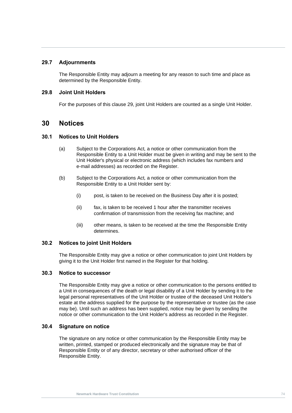#### **29.7 Adjournments**

The Responsible Entity may adjourn a meeting for any reason to such time and place as determined by the Responsible Entity.

#### **29.8 Joint Unit Holders**

For the purposes of this clause [29,](#page-77-1) joint Unit Holders are counted as a single Unit Holder.

#### **New Mark Hardware Trust Constitution**<br> **New York: Trust Constitution**<br> **New York: Trust Constitution 30 Notices**

#### **30.1 Notices to Unit Holders**

- (a) Subject to the Corporations Act*,* a notice or other communication from the Responsible Entity to a Unit Holder must be given in writing and may be sent to the Unit Holder's physical or electronic address (which includes fax numbers and e-mail addresses) as recorded on the Register.
- (b) Subject to the Corporations Act*,* a notice or other communication from the Responsible Entity to a Unit Holder sent by:
	- (i) post, is taken to be received on the Business Day after it is posted;
	- (ii) fax, is taken to be received 1 hour after the transmitter receives confirmation of transmission from the receiving fax machine; and
	- (iii) other means, is taken to be received at the time the Responsible Entity determines.

#### **30.2 Notices to joint Unit Holders**

The Responsible Entity may give a notice or other communication to joint Unit Holders by giving it to the Unit Holder first named in the Register for that holding.

#### **30.3 Notice to successor**

The Responsible Entity may give a notice or other communication to the persons entitled to a Unit in consequences of the death or legal disability of a Unit Holder by sending it to the legal personal representatives of the Unit Holder or trustee of the deceased Unit Holder's estate at the address supplied for the purpose by the representative or trustee (as the case may be). Until such an address has been supplied, notice may be given by sending the notice or other communication to the Unit Holder's address as recorded in the Register.

#### **30.4 Signature on notice**

The signature on any notice or other communication by the Responsible Entity may be written, printed, stamped or produced electronically and the signature may be that of Responsible Entity or of any director, secretary or other authorised officer of the Responsible Entity.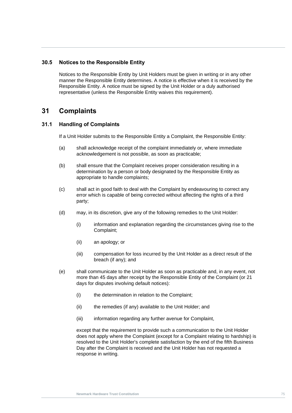#### **30.5 Notices to the Responsible Entity**

Notices to the Responsible Entity by Unit Holders must be given in writing or in any other manner the Responsible Entity determines. A notice is effective when it is received by the Responsible Entity. A notice must be signed by the Unit Holder or a duly authorised representative (unless the Responsible Entity waives this requirement).

## **31 Complaints**

# **Newmark Hardware Trust Constitution 31.1 Handling of Complaints**

If a Unit Holder submits to the Responsible Entity a Complaint, the Responsible Entity:

- (a) shall acknowledge receipt of the complaint immediately or, where immediate acknowledgement is not possible, as soon as practicable;
- (b) shall ensure that the Complaint receives proper consideration resulting in a determination by a person or body designated by the Responsible Entity as appropriate to handle complaints;
- (c) shall act in good faith to deal with the Complaint by endeavouring to correct any error which is capable of being corrected without affecting the rights of a third party;
- (d) may, in its discretion, give any of the following remedies to the Unit Holder:
	- (i) information and explanation regarding the circumstances giving rise to the Complaint;
	- (ii) an apology; or
	- (iii) compensation for loss incurred by the Unit Holder as a direct result of the breach (if any); and
- <span id="page-81-0"></span>(e) shall communicate to the Unit Holder as soon as practicable and, in any event, not more than 45 days after receipt by the Responsible Entity of the Complaint (or 21 days for disputes involving default notices):
	- (i) the determination in relation to the Complaint;
	- (ii) the remedies (if any) available to the Unit Holder; and
	- (iii) information regarding any further avenue for Complaint,

except that the requirement to provide such a communication to the Unit Holder does not apply where the Complaint (except for a Complaint relating to hardship) is resolved to the Unit Holder's complete satisfaction by the end of the fifth Business Day after the Complaint is received and the Unit Holder has not requested a response in writing.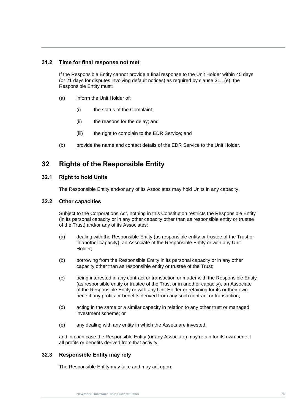#### **31.2 Time for final response not met**

If the Responsible Entity cannot provide a final response to the Unit Holder within 45 days (or 21 days for disputes involving default notices) as required by clause [31.1\(e\),](#page-81-0) the Responsible Entity must:

- (a) inform the Unit Holder of:
	- (i) the status of the Complaint;
- (ii) the reasons for the delay; and
	- (iii) the right to complain to the EDR Service; and
	- (b) provide the name and contact details of the EDR Service to the Unit Holder.

## **32 Rights of the Responsible Entity**

#### **32.1 Right to hold Units**

The Responsible Entity and/or any of its Associates may hold Units in any capacity.

#### **32.2 Other capacities**

Subject to the Corporations Act*,* nothing in this Constitution restricts the Responsible Entity (in its personal capacity or in any other capacity other than as responsible entity or trustee of the Trust) and/or any of its Associates:

- (a) dealing with the Responsible Entity (as responsible entity or trustee of the Trust or in another capacity), an Associate of the Responsible Entity or with any Unit Holder;
- (b) borrowing from the Responsible Entity in its personal capacity or in any other capacity other than as responsible entity or trustee of the Trust;
- (c) being interested in any contract or transaction or matter with the Responsible Entity (as responsible entity or trustee of the Trust or in another capacity), an Associate of the Responsible Entity or with any Unit Holder or retaining for its or their own benefit any profits or benefits derived from any such contract or transaction;
- (d) acting in the same or a similar capacity in relation to any other trust or managed investment scheme; or
- (e) any dealing with any entity in which the Assets are invested,

and in each case the Responsible Entity (or any Associate) may retain for its own benefit all profits or benefits derived from that activity.

#### **32.3 Responsible Entity may rely**

The Responsible Entity may take and may act upon: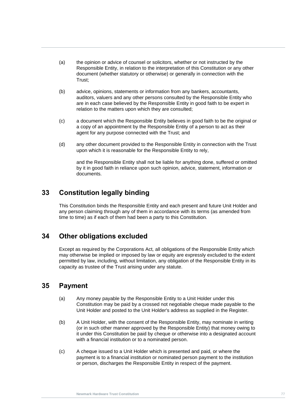- (a) the opinion or advice of counsel or solicitors, whether or not instructed by the Responsible Entity, in relation to the interpretation of this Constitution or any other document (whether statutory or otherwise) or generally in connection with the Trust;
- (b) advice, opinions, statements or information from any bankers, accountants, auditors, valuers and any other persons consulted by the Responsible Entity who are in each case believed by the Responsible Entity in good faith to be expert in relation to the matters upon which they are consulted;
- (c) a document which the Responsible Entity believes in good faith to be the original or<br>a copy of an appointment by the Pesponsible Entity of a person to act as their a copy of an appointment by the Responsible Entity of a person to act as their agent for any purpose connected with the Trust; and
	- (d) any other document provided to the Responsible Entity in connection with the Trust upon which it is reasonable for the Responsible Entity to rely,

and the Responsible Entity shall not be liable for anything done, suffered or omitted by it in good faith in reliance upon such opinion, advice, statement, information or documents.

## **33 Constitution legally binding**

This Constitution binds the Responsible Entity and each present and future Unit Holder and any person claiming through any of them in accordance with its terms (as amended from time to time) as if each of them had been a party to this Constitution.

## **34 Other obligations excluded**

Except as required by the Corporations Act*,* all obligations of the Responsible Entity which may otherwise be implied or imposed by law or equity are expressly excluded to the extent permitted by law, including, without limitation, any obligation of the Responsible Entity in its capacity as trustee of the Trust arising under any statute.

## <span id="page-83-0"></span>**35 Payment**

- (a) Any money payable by the Responsible Entity to a Unit Holder under this Constitution may be paid by a crossed not negotiable cheque made payable to the Unit Holder and posted to the Unit Holder's address as supplied in the Register.
- (b) A Unit Holder, with the consent of the Responsible Entity, may nominate in writing (or in such other manner approved by the Responsible Entity) that money owing to it under this Constitution be paid by cheque or otherwise into a designated account with a financial institution or to a nominated person.
- (c) A cheque issued to a Unit Holder which is presented and paid, or where the payment is to a financial institution or nominated person payment to the institution or person, discharges the Responsible Entity in respect of the payment.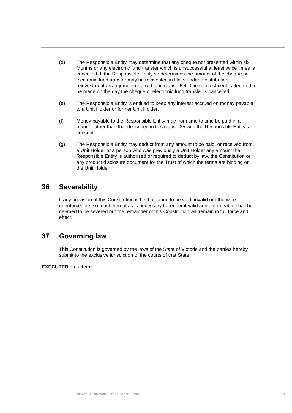- (d) The Responsible Entity may determine that any cheque not presented within six Months or any electronic fund transfer which is unsuccessful at least twice times is cancelled. If the Responsible Entity so determines the amount of the cheque or electronic fund transfer may be reinvested in Units under a distribution reinvestment arrangement referred to in clause [5.4.](#page-25-0) The reinvestment is deemed to be made on the day the cheque or electronic fund transfer is cancelled.
- (e) The Responsible Entity is entitled to keep any interest accrued on money payable to a Unit Holder or former Unit Holder.
- (f) Money payable to the Responsible Entity may from time to time be paid in a<br>manner other than that described in this clause 35 with the Pesponsible Entity's manner other than that described in this clause [35](#page-83-0) with the Responsible Entity's consent.
	- (g) The Responsible Entity may deduct from any amount to be paid, or received from, a Unit Holder or a person who was previously a Unit Holder any amount the Responsible Entity is authorised or required to deduct by law, the Constitution or any product disclosure document for the Trust of which the terms are binding on the Unit Holder.

## **36 Severability**

If any provision of this Constitution is held or found to be void, invalid or otherwise unenforceable, so much hereof as is necessary to render it valid and enforceable shall be deemed to be severed but the remainder of this Constitution will remain in full force and effect.

## **37 Governing law**

This Constitution is governed by the laws of the State of Victoria and the parties hereby submit to the exclusive jurisdiction of the courts of that State.

#### **EXECUTED** as a **deed**.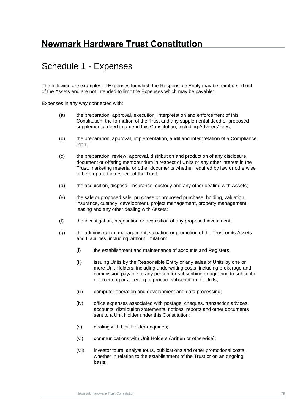# **Newmark Hardware Trust Constitution**

## Schedule 1 - Expenses

The following are examples of Expenses for which the Responsible Entity may be reimbursed out of the Assets and are not intended to limit the Expenses which may be payable:

Expenses in any way connected with:

- (a) the preparation, approval, execution, interpretation and enforcement of this Constitution, the formation of the Trust and any supplemental deed or proposed supplemental deed to amend this Constitution, including Advisers' fees;
- (b) the preparation, approval, implementation, audit and interpretation of a Compliance Plan;
- (c) the preparation, review, approval, distribution and production of any disclosure document or offering memorandum in respect of Units or any other interest in the Trust, marketing material or other documents whether required by law or otherwise to be prepared in respect of the Trust;
- (d) the acquisition, disposal, insurance, custody and any other dealing with Assets;
- (e) the sale or proposed sale, purchase or proposed purchase, holding, valuation, insurance, custody, development, project management, property management, leasing and any other dealing with Assets;
- (f) the investigation, negotiation or acquisition of any proposed investment;
- (g) the administration, management, valuation or promotion of the Trust or its Assets and Liabilities, including without limitation:
	- (i) the establishment and maintenance of accounts and Registers;
	- (ii) issuing Units by the Responsible Entity or any sales of Units by one or more Unit Holders, including underwriting costs, including brokerage and commission payable to any person for subscribing or agreeing to subscribe or procuring or agreeing to procure subscription for Units;
	- (iii) computer operation and development and data processing;
	- (iv) office expenses associated with postage, cheques, transaction advices, accounts, distribution statements, notices, reports and other documents sent to a Unit Holder under this Constitution;
	- (v) dealing with Unit Holder enquiries:
	- (vi) communications with Unit Holders (written or otherwise);
	- (vii) investor tours, analyst tours, publications and other promotional costs, whether in relation to the establishment of the Trust or on an ongoing basis;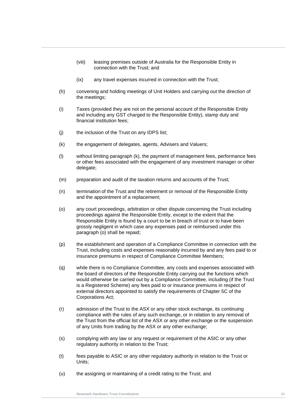- (viii) leasing premises outside of Australia for the Responsible Entity in connection with the Trust; and
- (ix) any travel expenses incurred in connection with the Trust;
- (h) convening and holding meetings of Unit Holders and carrying out the direction of the meetings;
- and including any GST charged to the Responsible Entity), stamp duty and<br>financial institution fees; (i) Taxes (provided they are not on the personal account of the Responsible Entity financial institution fees;
	- (j) the inclusion of the Trust on any IDPS list;
	- (k) the engagement of delegates, agents, Advisers and Valuers;
	- (l) without limiting paragraph (k), the payment of management fees, performance fees or other fees associated with the engagement of any investment manager or other delegate;
	- (m) preparation and audit of the taxation returns and accounts of the Trust;
	- (n) termination of the Trust and the retirement or removal of the Responsible Entity and the appointment of a replacement;
	- (o) any court proceedings, arbitration or other dispute concerning the Trust including proceedings against the Responsible Entity, except to the extent that the Responsible Entity is found by a court to be in breach of trust or to have been grossly negligent in which case any expenses paid or reimbursed under this paragraph (o) shall be repaid;
	- (p) the establishment and operation of a Compliance Committee in connection with the Trust, including costs and expenses reasonably incurred by and any fees paid to or insurance premiums in respect of Compliance Committee Members;
	- (q) while there is no Compliance Committee, any costs and expenses associated with the board of directors of the Responsible Entity carrying out the functions which would otherwise be carried out by a Compliance Committee, including (if the Trust is a Registered Scheme) any fees paid to or insurance premiums in respect of external directors appointed to satisfy the requirements of Chapter 5C of the Corporations Act;
	- (r) admission of the Trust to the ASX or any other stock exchange, its continuing compliance with the rules of any such exchange, or in relation to any removal of the Trust from the official list of the ASX or any other exchange or the suspension of any Units from trading by the ASX or any other exchange;
	- (s) complying with any law or any request or requirement of the ASIC or any other regulatory authority in relation to the Trust;
	- (t) fees payable to ASIC or any other regulatory authority in relation to the Trust or Units;
	- (u) the assigning or maintaining of a credit rating to the Trust; and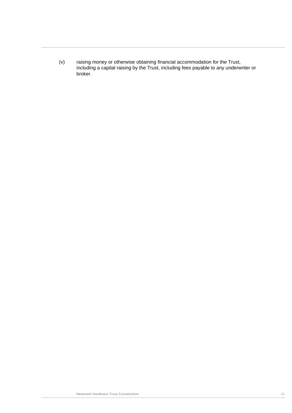(v) raising money or otherwise obtaining financial accommodation for the Trust, including a capital raising by the Trust, including fees payable to any underwriter or broker.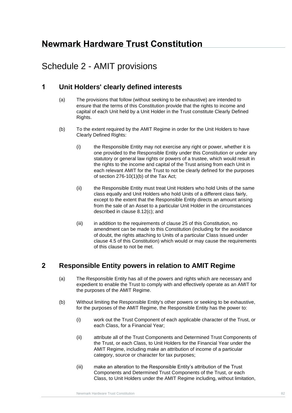# **Newmark Hardware Trust Constitution**

# Schedule 2 - AMIT provisions

## **1 Unit Holders' clearly defined interests**

- (a) The provisions that follow (without seeking to be exhaustive) are intended to ensure that the terms of this Constitution provide that the rights to income and capital of each Unit held by a Unit Holder in the Trust constitute Clearly Defined Rights.
- (b) To the extent required by the AMIT Regime in order for the Unit Holders to have Clearly Defined Rights:
	- (i) the Responsible Entity may not exercise any right or power, whether it is one provided to the Responsible Entity under this Constitution or under any statutory or general law rights or powers of a trustee, which would result in the rights to the income and capital of the Trust arising from each Unit in each relevant AMIT for the Trust to not be clearly defined for the purposes of section 276-10(1)(b) of the Tax Act;
	- (ii) the Responsible Entity must treat Unit Holders who hold Units of the same class equally and Unit Holders who hold Units of a different class fairly, except to the extent that the Responsible Entity directs an amount arising from the sale of an Asset to a particular Unit Holder in the circumstances described in clause [8.12\(c\);](#page-42-0) and
	- (iii) in addition to the requirements of clause [25](#page-73-0) of this Constitution, no amendment can be made to this Constitution (including for the avoidance of doubt, the rights attaching to Units of a particular Class issued under clause [4.5](#page-21-0) of this Constitution) which would or may cause the requirements of this clause to not be met.

## **2 Responsible Entity powers in relation to AMIT Regime**

- (a) The Responsible Entity has all of the powers and rights which are necessary and expedient to enable the Trust to comply with and effectively operate as an AMIT for the purposes of the AMIT Regime.
- (b) Without limiting the Responsible Entity's other powers or seeking to be exhaustive, for the purposes of the AMIT Regime, the Responsible Entity has the power to:
	- (i) work out the Trust Component of each applicable character of the Trust, or each Class, for a Financial Year;
	- (ii) attribute all of the Trust Components and Determined Trust Components of the Trust, or each Class, to Unit Holders for the Financial Year under the AMIT Regime, including make an attribution of income of a particular category, source or character for tax purposes;
	- (iii) make an alteration to the Responsible Entity's attribution of the Trust Components and Determined Trust Components of the Trust, or each Class, to Unit Holders under the AMIT Regime including, without limitation,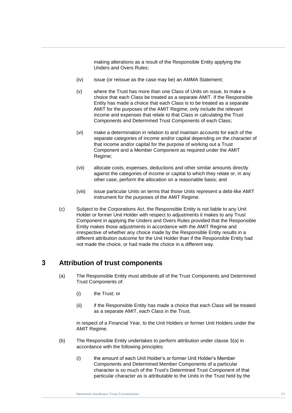making alterations as a result of the Responsible Entity applying the Unders and Overs Rules;

- (iv) issue (or reissue as the case may be) an AMMA Statement;
- Income and expenses that relate to that Class in calculating the Trust<br>Components and Determined Trust Components of each Class; (v) where the Trust has more than one Class of Units on issue, to make a choice that each Class be treated as a separate AMIT. If the Responsible Entity has made a choice that each Class is to be treated as a separate AMIT for the purposes of the AMIT Regime, only include the relevant income and expenses that relate to that Class in calculating the Trust
	- (vi) make a determination in relation to and maintain accounts for each of the separate categories of income and/or capital depending on the character of that income and/or capital for the purpose of working out a Trust Component and a Member Component as required under the AMIT Regime;
	- (vii) allocate costs, expenses, deductions and other similar amounts directly against the categories of income or capital to which they relate or, in any other case, perform the allocation on a reasonable basis; and
	- (viii) issue particular Units on terms that those Units represent a debt-like AMIT instrument for the purposes of the AMIT Regime.
	- (c) Subject to the Corporations Act, the Responsible Entity is not liable to any Unit Holder or former Unit Holder with respect to adjustments it makes to any Trust Component in applying the Unders and Overs Rules provided that the Responsible Entity makes those adjustments in accordance with the AMIT Regime and irrespective of whether any choice made by the Responsible Entity results in a different attribution outcome for the Unit Holder than if the Responsible Entity had not made the choice, or had made the choice in a different way.

## **3 Attribution of trust components**

- (a) The Responsible Entity must attribute all of the Trust Components and Determined Trust Components of:
	- (i) the Trust; or
	- (ii) if the Responsible Entity has made a choice that each Class will be treated as a separate AMIT, each Class in the Trust,

in respect of a Financial Year, to the Unit Holders or former Unit Holders under the AMIT Regime.

- (b) The Responsible Entity undertakes to perform attribution under clause [3\(a\)](#page-19-0) in accordance with the following principles:
	- (i) the amount of each Unit Holder's or former Unit Holder's Member Components and Determined Member Components of a particular character is so much of the Trust's Determined Trust Component of that particular character as is attributable to the Units in the Trust held by the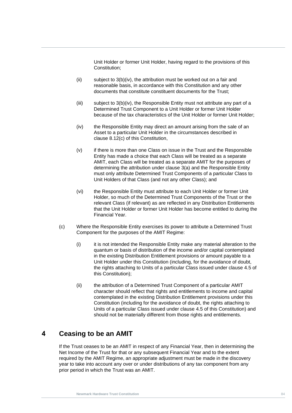Unit Holder or former Unit Holder, having regard to the provisions of this Constitution;

- (ii) subject to 3(b)(iv), the attribution must be worked out on a fair and reasonable basis, in accordance with this Constitution and any other documents that constitute constituent documents for the Trust;
- (iii) subject to 3(b)(iv), the Responsible Entity must not attribute any part of a Determined Trust Component to a Unit Holder or former Unit Holder because of the tax characteristics of the Unit Holder or former Unit Holder;
- necause or the tax characteristics of the Unit Holder or former Unit Holder;<br>(iv) the Responsible Entity may direct an amount arising from the sale of an Asset to a particular Unit Holder in the circumstances described in clause [8.12\(c\)](#page-42-0) of this Constitution,
	- (v) if there is more than one Class on issue in the Trust and the Responsible Entity has made a choice that each Class will be treated as a separate AMIT, each Class will be treated as a separate AMIT for the purposes of determining the attribution under clause [3\(a\)](#page-19-0) and the Responsible Entity must only attribute Determined Trust Components of a particular Class to Unit Holders of that Class (and not any other Class); and
	- (vi) the Responsible Entity must attribute to each Unit Holder or former Unit Holder, so much of the Determined Trust Components of the Trust or the relevant Class (if relevant) as are reflected in any Distribution Entitlements that the Unit Holder or former Unit Holder has become entitled to during the Financial Year.
	- (c) Where the Responsible Entity exercises its power to attribute a Determined Trust Component for the purposes of the AMIT Regime:
		- (i) it is not intended the Responsible Entity make any material alteration to the quantum or basis of distribution of the income and/or capital contemplated in the existing Distribution Entitlement provisions or amount payable to a Unit Holder under this Constitution (including, for the avoidance of doubt, the rights attaching to Units of a particular Class issued under clause [4.5](#page-21-0) of this Constitution);
		- (ii) the attribution of a Determined Trust Component of a particular AMIT character should reflect that rights and entitlements to income and capital contemplated in the existing Distribution Entitlement provisions under this Constitution (including for the avoidance of doubt, the rights attaching to Units of a particular Class issued under clause [4.5](#page-21-0) of this Constitution) and should not be materially different from those rights and entitlements.

## **4 Ceasing to be an AMIT**

If the Trust ceases to be an AMIT in respect of any Financial Year, then in determining the Net Income of the Trust for that or any subsequent Financial Year and to the extent required by the AMIT Regime, an appropriate adjustment must be made in the discovery year to take into account any over or under distributions of any tax component from any prior period in which the Trust was an AMIT.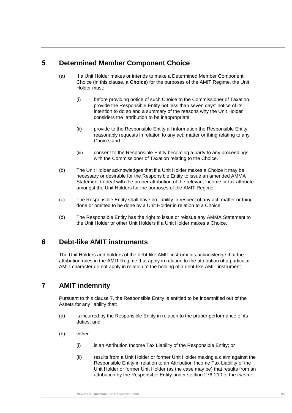## **5 Determined Member Component Choice**

- (a) If a Unit Holder makes or intends to make a Determined Member Component Choice (in this clause, a **Choice**) for the purposes of the AMIT Regime, the Unit Holder must:
- considers the attribution to be inappropriate; (i) before providing notice of such Choice to the Commissioner of Taxation, provide the Responsible Entity not less than seven days' notice of its intention to do so and a summary of the reasons why the Unit Holder
	- (ii) provide to the Responsible Entity all information the Responsible Entity reasonably requests in relation to any act, matter or thing relating to any Choice; and
	- (iii) consent to the Responsible Entity becoming a party to any proceedings with the Commissioner of Taxation relating to the Choice.
	- (b) The Unit Holder acknowledges that if a Unit Holder makes a Choice it may be necessary or desirable for the Responsible Entity to issue an amended AMMA Statement to deal with the proper attribution of the relevant income or tax attribute amongst the Unit Holders for the purposes of the AMIT Regime.
	- (c) The Responsible Entity shall have no liability in respect of any act, matter or thing done or omitted to be done by a Unit Holder in relation to a Choice.
	- (d) The Responsible Entity has the right to issue or reissue any AMMA Statement to the Unit Holder or other Unit Holders if a Unit Holder makes a Choice.

## **6 Debt-like AMIT instruments**

The Unit Holders and holders of the debt-like AMIT instruments acknowledge that the attribution rules in the AMIT Regime that apply in relation to the attribution of a particular AMIT character do not apply in relation to the holding of a debt-like AMIT instrument.

## **7 AMIT indemnity**

Pursuant to this clause [7,](#page-33-0) the Responsible Entity is entitled to be indemnified out of the Assets for any liability that:

- (a) is incurred by the Responsible Entity in relation to the proper performance of its duties; and
- (b) either:
	- (i) is an Attribution Income Tax Liability of the Responsible Entity; or
	- (ii) results from a Unit Holder or former Unit Holder making a claim against the Responsible Entity in relation to an Attribution Income Tax Liability of the Unit Holder or former Unit Holder (as the case may be) that results from an attribution by the Responsible Entity under section 276-210 of the *Income*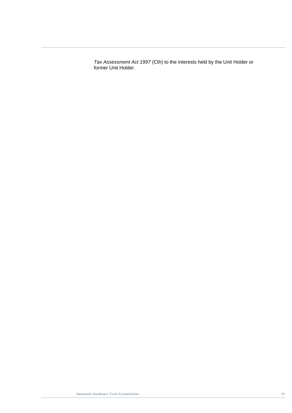*Tax Assessment Act 1997* (Cth) to the interests held by the Unit Holder or former Unit Holder.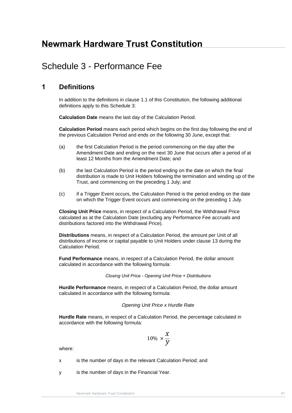# **Newmark Hardware Trust Constitution**

## <span id="page-93-0"></span>Schedule 3 - Performance Fee

### **1 Definitions**

In addition to the definitions in clause [1.1](#page-7-0) of this Constitution, the following additional definitions apply to this [Schedule 3:](#page-93-0)

**Calculation Date** means the last day of the Calculation Period.

**Calculation Period** means each period which begins on the first day following the end of the previous Calculation Period and ends on the following 30 June, except that:

- (a) the first Calculation Period is the period commencing on the day after the Amendment Date and ending on the next 30 June that occurs after a period of at least 12 Months from the Amendment Date; and
- (b) the last Calculation Period is the period ending on the date on which the final distribution is made to Unit Holders following the termination and winding up of the Trust, and commencing on the preceding 1 July; and
- (c) if a Trigger Event occurs, the Calculation Period is the period ending on the date on which the Trigger Event occurs and commencing on the preceding 1 July.

**Closing Unit Price** means, in respect of a Calculation Period, the Withdrawal Price calculated as at the Calculation Date (excluding any Performance Fee accruals and distributions factored into the Withdrawal Price).

**Distributions** means, in respect of a Calculation Period, the amount per Unit of all distributions of income or capital payable to Unit Holders under clause [13](#page-48-0) during the Calculation Period.

**Fund Performance** means, in respect of a Calculation Period, the dollar amount calculated in accordance with the following formula:

*Closing Unit Price - Opening Unit Price + Distributions*

**Hurdle Performance** means, in respect of a Calculation Period, the dollar amount calculated in accordance with the following formula:

#### *Opening Unit Price x Hurdle Rate*

**Hurdle Rate** means, in respect of a Calculation Period, the percentage calculated in accordance with the following formula:

$$
10\% \times \frac{x}{y}
$$

where:

- x is the number of days in the relevant Calculation Period; and
- y is the number of days in the Financial Year.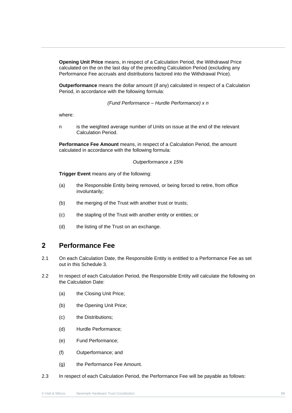**Opening Unit Price** means, in respect of a Calculation Period, the Withdrawal Price calculated on the on the last day of the preceding Calculation Period (excluding any Performance Fee accruals and distributions factored into the Withdrawal Price).

**Outperformance** means the dollar amount (if any) calculated in respect of a Calculation Period, in accordance with the following formula:

*(Fund Performance – Hurdle Performance) x n*

where:

wnere:<br>n is the weighted average number of Units on issue at the end of the relevant Calculation Period.

**Performance Fee Amount** means, in respect of a Calculation Period, the amount calculated in accordance with the following formula:

#### *Outperformance x 15%*

**Trigger Event** means any of the following:

- (a) the Responsible Entity being removed, or being forced to retire, from office involuntarily;
- (b) the merging of the Trust with another trust or trusts;
- (c) the stapling of the Trust with another entity or entities; or
- (d) the listing of the Trust on an exchange.

## **2 Performance Fee**

- 2.1 On each Calculation Date, the Responsible Entity is entitled to a Performance Fee as set out in this [Schedule 3.](#page-93-0)
- 2.2 In respect of each Calculation Period, the Responsible Entity will calculate the following on the Calculation Date:
	- (a) the Closing Unit Price;
	- (b) the Opening Unit Price;
	- (c) the Distributions;
	- (d) Hurdle Performance;
	- (e) Fund Performance;
	- (f) Outperformance; and
	- (g) the Performance Fee Amount.
- 2.3 In respect of each Calculation Period, the Performance Fee will be payable as follows: